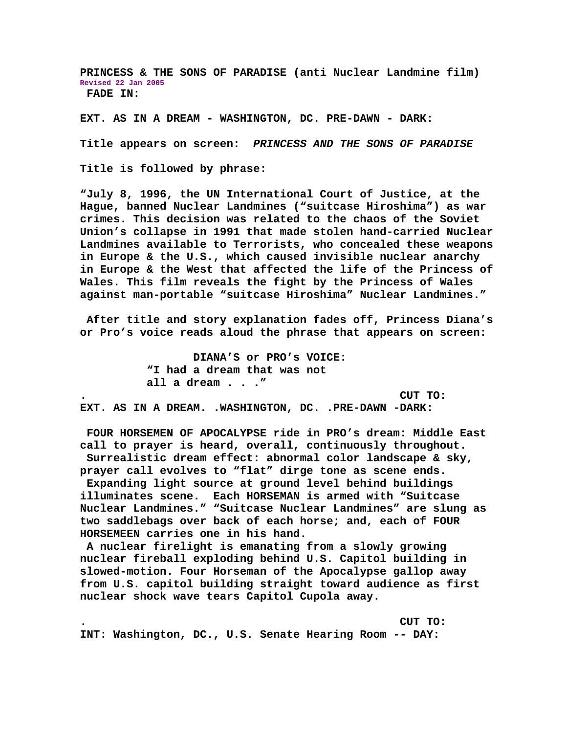**PRINCESS & THE SONS OF PARADISE (anti Nuclear Landmine film) Revised 22 Jan 2005 FADE IN:** 

**EXT. AS IN A DREAM - WASHINGTON, DC. PRE-DAWN - DARK:** 

**Title appears on screen:** *PRINCESS AND THE SONS OF PARADISE*

**Title is followed by phrase:** 

**"July 8, 1996, the UN International Court of Justice, at the Hague, banned Nuclear Landmines ("suitcase Hiroshima") as war crimes. This decision was related to the chaos of the Soviet Union's collapse in 1991 that made stolen hand-carried Nuclear Landmines available to Terrorists, who concealed these weapons in Europe & the U.S., which caused invisible nuclear anarchy in Europe & the West that affected the life of the Princess of Wales. This film reveals the fight by the Princess of Wales against man-portable "suitcase Hiroshima" Nuclear Landmines."** 

 **After title and story explanation fades off, Princess Diana's or Pro's voice reads aloud the phrase that appears on screen:** 

 **DIANA'S or PRO's VOICE: "I had a dream that was not all a dream . . ." . CUT TO: EXT. AS IN A DREAM. .WASHINGTON, DC. .PRE-DAWN -DARK:** 

 **FOUR HORSEMEN OF APOCALYPSE ride in PRO's dream: Middle East call to prayer is heard, overall, continuously throughout. Surrealistic dream effect: abnormal color landscape & sky, prayer call evolves to "flat" dirge tone as scene ends. Expanding light source at ground level behind buildings illuminates scene. Each HORSEMAN is armed with "Suitcase Nuclear Landmines." "Suitcase Nuclear Landmines" are slung as two saddlebags over back of each horse; and, each of FOUR HORSEMEEN carries one in his hand.** 

 **A nuclear firelight is emanating from a slowly growing nuclear fireball exploding behind U.S. Capitol building in slowed-motion. Four Horseman of the Apocalypse gallop away from U.S. capitol building straight toward audience as first nuclear shock wave tears Capitol Cupola away.** 

**. CUT TO: INT: Washington, DC., U.S. Senate Hearing Room -- DAY:**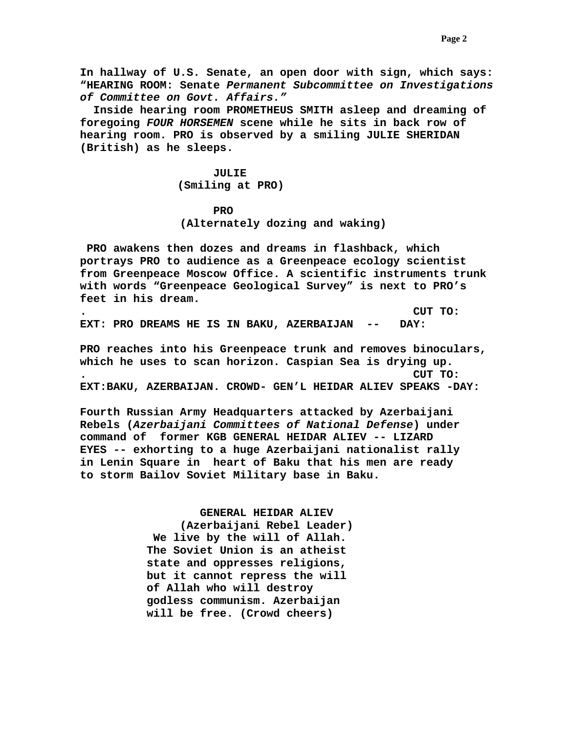**In hallway of U.S. Senate, an open door with sign, which says: "HEARING ROOM: Senate** *Permanent Subcommittee on Investigations of Committee on Govt. Affairs."*

 **Inside hearing room PROMETHEUS SMITH asleep and dreaming of foregoing** *FOUR HORSEMEN* **scene while he sits in back row of hearing room. PRO is observed by a smiling JULIE SHERIDAN (British) as he sleeps.** 

> **JULIE (Smiling at PRO)**

*PRO* 

 **(Alternately dozing and waking)** 

 **PRO awakens then dozes and dreams in flashback, which portrays PRO to audience as a Greenpeace ecology scientist from Greenpeace Moscow Office. A scientific instruments trunk with words "Greenpeace Geological Survey" is next to PRO's feet in his dream.** 

**. CUT TO: EXT: PRO DREAMS HE IS IN BAKU, AZERBAIJAN -- DAY:** 

**PRO reaches into his Greenpeace trunk and removes binoculars, which he uses to scan horizon. Caspian Sea is drying up. . CUT TO: EXT:BAKU, AZERBAIJAN. CROWD- GEN'L HEIDAR ALIEV SPEAKS -DAY:** 

**Fourth Russian Army Headquarters attacked by Azerbaijani Rebels (***Azerbaijani Committees of National Defense***) under command of former KGB GENERAL HEIDAR ALIEV -- LIZARD EYES -- exhorting to a huge Azerbaijani nationalist rally in Lenin Square in heart of Baku that his men are ready to storm Bailov Soviet Military base in Baku.** 

> **GENERAL HEIDAR ALIEV (Azerbaijani Rebel Leader) We live by the will of Allah. The Soviet Union is an atheist state and oppresses religions, but it cannot repress the will of Allah who will destroy godless communism. Azerbaijan will be free. (Crowd cheers)**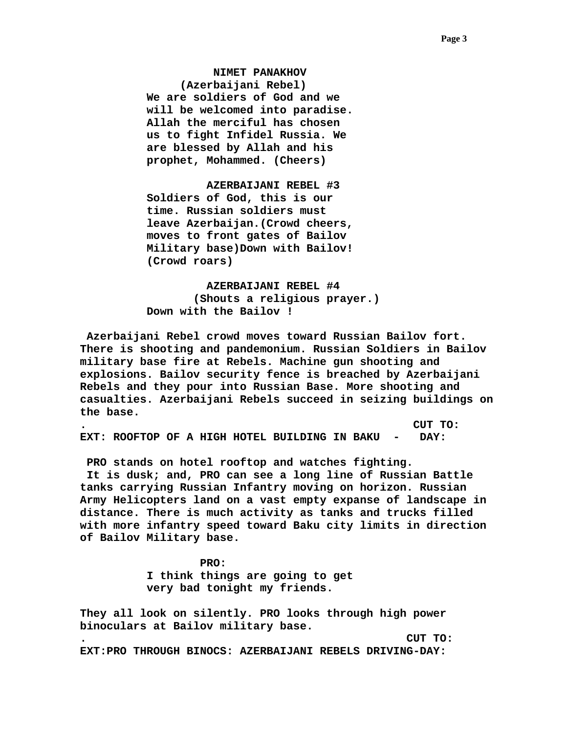**NIMET PANAKHOV (Azerbaijani Rebel) We are soldiers of God and we will be welcomed into paradise. Allah the merciful has chosen us to fight Infidel Russia. We are blessed by Allah and his prophet, Mohammed. (Cheers)** 

 **AZERBAIJANI REBEL #3 Soldiers of God, this is our time. Russian soldiers must leave Azerbaijan.(Crowd cheers, moves to front gates of Bailov Military base)Down with Bailov! (Crowd roars)** 

 **AZERBAIJANI REBEL #4 (Shouts a religious prayer.) Down with the Bailov !** 

 **Azerbaijani Rebel crowd moves toward Russian Bailov fort. There is shooting and pandemonium. Russian Soldiers in Bailov military base fire at Rebels. Machine gun shooting and explosions. Bailov security fence is breached by Azerbaijani Rebels and they pour into Russian Base. More shooting and casualties. Azerbaijani Rebels succeed in seizing buildings on the base.** 

**. CUT TO: EXT: ROOFTOP OF A HIGH HOTEL BUILDING IN BAKU - DAY:** 

 **PRO stands on hotel rooftop and watches fighting.** 

 **It is dusk; and, PRO can see a long line of Russian Battle tanks carrying Russian Infantry moving on horizon. Russian Army Helicopters land on a vast empty expanse of landscape in distance. There is much activity as tanks and trucks filled with more infantry speed toward Baku city limits in direction of Bailov Military base.** 

> **PRO: I think things are going to get very bad tonight my friends.**

**They all look on silently. PRO looks through high power binoculars at Bailov military base. . CUT TO: EXT:PRO THROUGH BINOCS: AZERBAIJANI REBELS DRIVING-DAY:**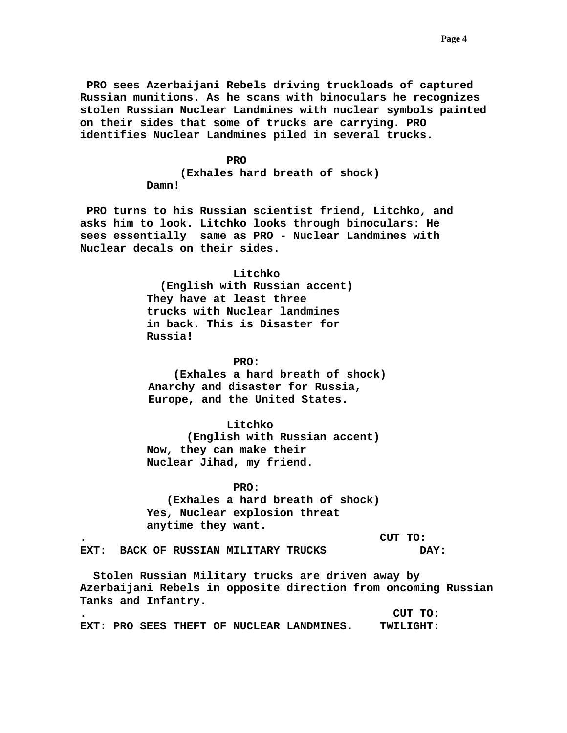# *PRO* PRO

 **(Exhales hard breath of shock) Damn!** 

 **PRO turns to his Russian scientist friend, Litchko, and asks him to look. Litchko looks through binoculars: He sees essentially same as PRO - Nuclear Landmines with Nuclear decals on their sides.** 

## **Litchko**

 **(English with Russian accent) They have at least three trucks with Nuclear landmines in back. This is Disaster for Russia!** 

#### **PRO:**

 **(Exhales a hard breath of shock) Anarchy and disaster for Russia, Europe, and the United States.** 

# **Litchko**

 **(English with Russian accent) Now, they can make their Nuclear Jihad, my friend.** 

#### **PRO:**

 **(Exhales a hard breath of shock) Yes, Nuclear explosion threat anytime they want.** 

**. CUT TO:** 

**EXT: BACK OF RUSSIAN MILITARY TRUCKS DAY:** 

 **Stolen Russian Military trucks are driven away by Azerbaijani Rebels in opposite direction from oncoming Russian Tanks and Infantry.** 

**. CUT TO: EXT: PRO SEES THEFT OF NUCLEAR LANDMINES. TWILIGHT:**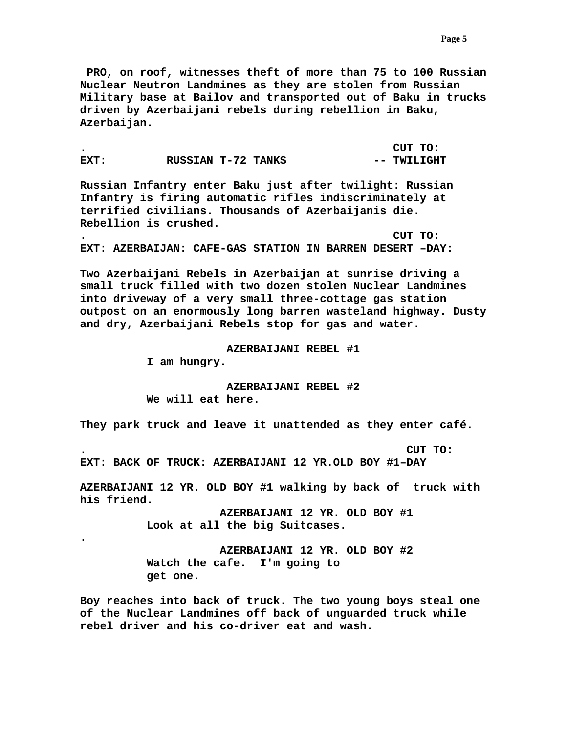**PRO, on roof, witnesses theft of more than 75 to 100 Russian Nuclear Neutron Landmines as they are stolen from Russian Military base at Bailov and transported out of Baku in trucks driven by Azerbaijani rebels during rebellion in Baku, Azerbaijan.** 

**. CUT TO: EXT:** RUSSIAN T-72 TANKS -- TWILIGHT

**Russian Infantry enter Baku just after twilight: Russian Infantry is firing automatic rifles indiscriminately at terrified civilians. Thousands of Azerbaijanis die. Rebellion is crushed.** 

**. CUT TO: EXT: AZERBAIJAN: CAFE-GAS STATION IN BARREN DESERT –DAY:** 

**Two Azerbaijani Rebels in Azerbaijan at sunrise driving a small truck filled with two dozen stolen Nuclear Landmines into driveway of a very small three-cottage gas station outpost on an enormously long barren wasteland highway. Dusty and dry, Azerbaijani Rebels stop for gas and water.** 

 **AZERBAIJANI REBEL #1** 

**I am hungry.** 

**.** 

 **AZERBAIJANI REBEL #2 We will eat here.** 

**They park truck and leave it unattended as they enter café.** 

**. CUT TO:** 

**EXT: BACK OF TRUCK: AZERBAIJANI 12 YR.OLD BOY #1–DAY** 

**AZERBAIJANI 12 YR. OLD BOY #1 walking by back of truck with his friend.** 

> **AZERBAIJANI 12 YR. OLD BOY #1 Look at all the big Suitcases.**

> **AZERBAIJANI 12 YR. OLD BOY #2 Watch the cafe. I'm going to get one.**

**Boy reaches into back of truck. The two young boys steal one of the Nuclear Landmines off back of unguarded truck while rebel driver and his co-driver eat and wash.**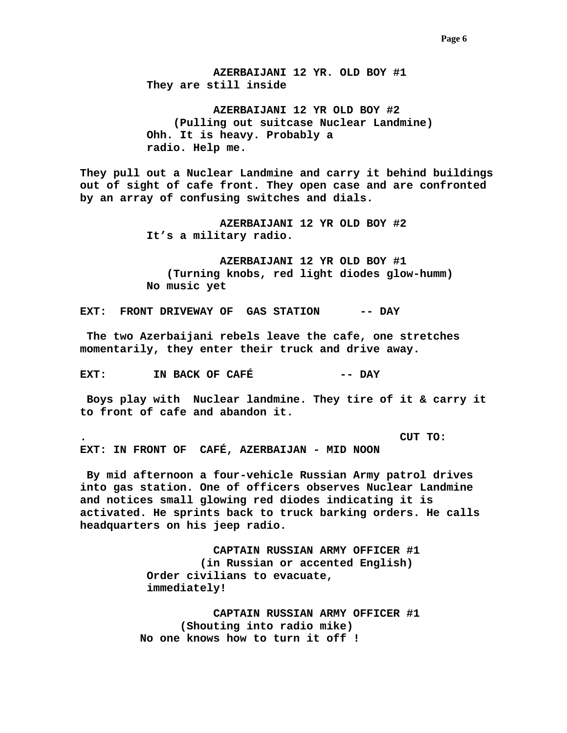**AZERBAIJANI 12 YR. OLD BOY #1 They are still inside** 

 **AZERBAIJANI 12 YR OLD BOY #2 (Pulling out suitcase Nuclear Landmine) Ohh. It is heavy. Probably a radio. Help me.** 

**They pull out a Nuclear Landmine and carry it behind buildings out of sight of cafe front. They open case and are confronted by an array of confusing switches and dials.** 

> **AZERBAIJANI 12 YR OLD BOY #2 It's a military radio.**

 **AZERBAIJANI 12 YR OLD BOY #1 (Turning knobs, red light diodes glow-humm) No music yet** 

**EXT: FRONT DRIVEWAY OF GAS STATION -- DAY** 

 **The two Azerbaijani rebels leave the cafe, one stretches momentarily, they enter their truck and drive away.** 

**EXT:** IN BACK OF CAFÉ  $---$  DAY

 **Boys play with Nuclear landmine. They tire of it & carry it to front of cafe and abandon it.** 

**. CUT TO:** 

**EXT: IN FRONT OF CAFÉ, AZERBAIJAN - MID NOON** 

 **By mid afternoon a four-vehicle Russian Army patrol drives into gas station. One of officers observes Nuclear Landmine and notices small glowing red diodes indicating it is activated. He sprints back to truck barking orders. He calls headquarters on his jeep radio.** 

> **CAPTAIN RUSSIAN ARMY OFFICER #1 (in Russian or accented English) Order civilians to evacuate, immediately!**

 **CAPTAIN RUSSIAN ARMY OFFICER #1 (Shouting into radio mike) No one knows how to turn it off !**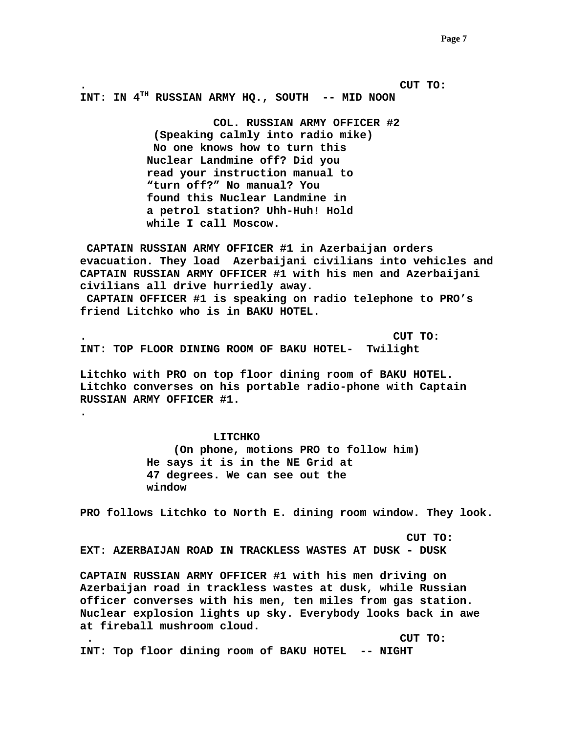**. CUT TO: INT: IN 4TH RUSSIAN ARMY HQ., SOUTH -- MID NOON** 

> **COL. RUSSIAN ARMY OFFICER #2 (Speaking calmly into radio mike) No one knows how to turn this Nuclear Landmine off? Did you read your instruction manual to "turn off?" No manual? You found this Nuclear Landmine in a petrol station? Uhh-Huh! Hold while I call Moscow.**

 **CAPTAIN RUSSIAN ARMY OFFICER #1 in Azerbaijan orders evacuation. They load Azerbaijani civilians into vehicles and CAPTAIN RUSSIAN ARMY OFFICER #1 with his men and Azerbaijani civilians all drive hurriedly away.** 

 **CAPTAIN OFFICER #1 is speaking on radio telephone to PRO's friend Litchko who is in BAKU HOTEL.** 

**. CUT TO: INT: TOP FLOOR DINING ROOM OF BAKU HOTEL- Twilight** 

**Litchko with PRO on top floor dining room of BAKU HOTEL. Litchko converses on his portable radio-phone with Captain RUSSIAN ARMY OFFICER #1.** 

#### **LITCHKO**

**.** 

 **(On phone, motions PRO to follow him) He says it is in the NE Grid at 47 degrees. We can see out the window** 

**PRO follows Litchko to North E. dining room window. They look.** 

 **CUT TO: EXT: AZERBAIJAN ROAD IN TRACKLESS WASTES AT DUSK - DUSK** 

**CAPTAIN RUSSIAN ARMY OFFICER #1 with his men driving on Azerbaijan road in trackless wastes at dusk, while Russian officer converses with his men, ten miles from gas station. Nuclear explosion lights up sky. Everybody looks back in awe at fireball mushroom cloud.** 

 **. CUT TO:** 

**INT: Top floor dining room of BAKU HOTEL -- NIGHT**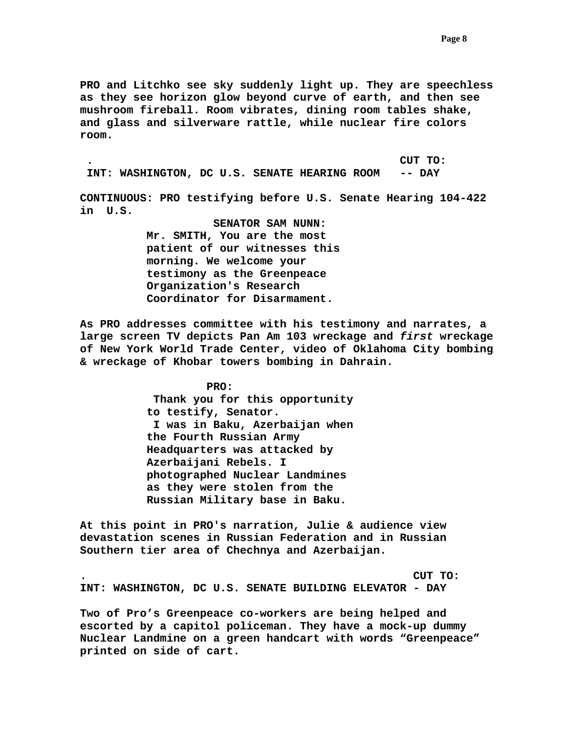**PRO and Litchko see sky suddenly light up. They are speechless as they see horizon glow beyond curve of earth, and then see mushroom fireball. Room vibrates, dining room tables shake, and glass and silverware rattle, while nuclear fire colors room.** 

 **. CUT TO: INT: WASHINGTON, DC U.S. SENATE HEARING ROOM -- DAY** 

**CONTINUOUS: PRO testifying before U.S. Senate Hearing 104-422 in U.S.** 

> **SENATOR SAM NUNN: Mr. SMITH, You are the most patient of our witnesses this morning. We welcome your testimony as the Greenpeace Organization's Research Coordinator for Disarmament.**

**As PRO addresses committee with his testimony and narrates, a large screen TV depicts Pan Am 103 wreckage and** *first* **wreckage of New York World Trade Center, video of Oklahoma City bombing & wreckage of Khobar towers bombing in Dahrain.** 

> **PRO: Thank you for this opportunity to testify, Senator. I was in Baku, Azerbaijan when the Fourth Russian Army Headquarters was attacked by Azerbaijani Rebels. I photographed Nuclear Landmines as they were stolen from the Russian Military base in Baku.**

**At this point in PRO's narration, Julie & audience view devastation scenes in Russian Federation and in Russian Southern tier area of Chechnya and Azerbaijan.** 

**. CUT TO: INT: WASHINGTON, DC U.S. SENATE BUILDING ELEVATOR - DAY** 

**Two of Pro's Greenpeace co-workers are being helped and escorted by a capitol policeman. They have a mock-up dummy Nuclear Landmine on a green handcart with words "Greenpeace" printed on side of cart.**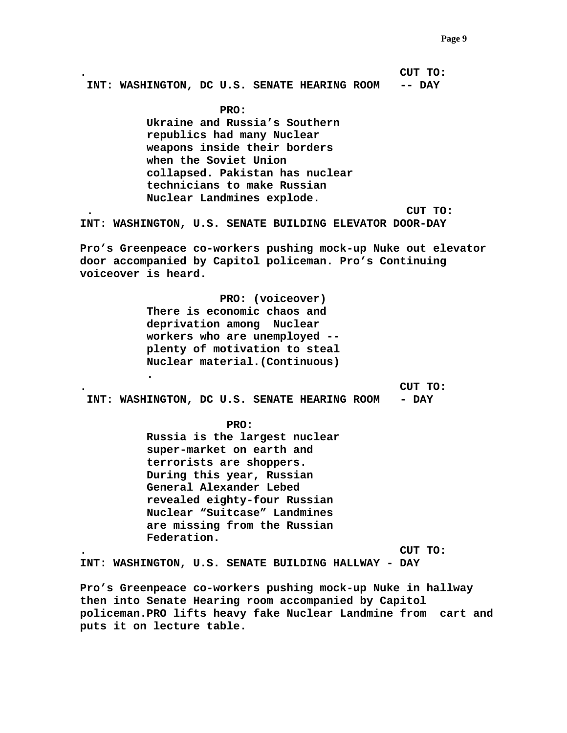**. CUT TO: INT: WASHINGTON, DC U.S. SENATE HEARING ROOM -- DAY** 

> **PRO: Ukraine and Russia's Southern republics had many Nuclear weapons inside their borders when the Soviet Union collapsed. Pakistan has nuclear technicians to make Russian Nuclear Landmines explode.**

 **. CUT TO:** 

**INT: WASHINGTON, U.S. SENATE BUILDING ELEVATOR DOOR-DAY** 

**Pro's Greenpeace co-workers pushing mock-up Nuke out elevator door accompanied by Capitol policeman. Pro's Continuing voiceover is heard.** 

> **PRO: (voiceover) There is economic chaos and deprivation among Nuclear workers who are unemployed - plenty of motivation to steal Nuclear material.(Continuous)**

**. CUT TO:** 

 **INT: WASHINGTON, DC U.S. SENATE HEARING ROOM - DAY** 

**PRO:** 

**.** 

 **Russia is the largest nuclear super-market on earth and terrorists are shoppers. During this year, Russian General Alexander Lebed revealed eighty-four Russian Nuclear "Suitcase" Landmines are missing from the Russian Federation.** 

**. CUT TO:** 

**INT: WASHINGTON, U.S. SENATE BUILDING HALLWAY - DAY** 

**Pro's Greenpeace co-workers pushing mock-up Nuke in hallway then into Senate Hearing room accompanied by Capitol policeman.PRO lifts heavy fake Nuclear Landmine from cart and puts it on lecture table.**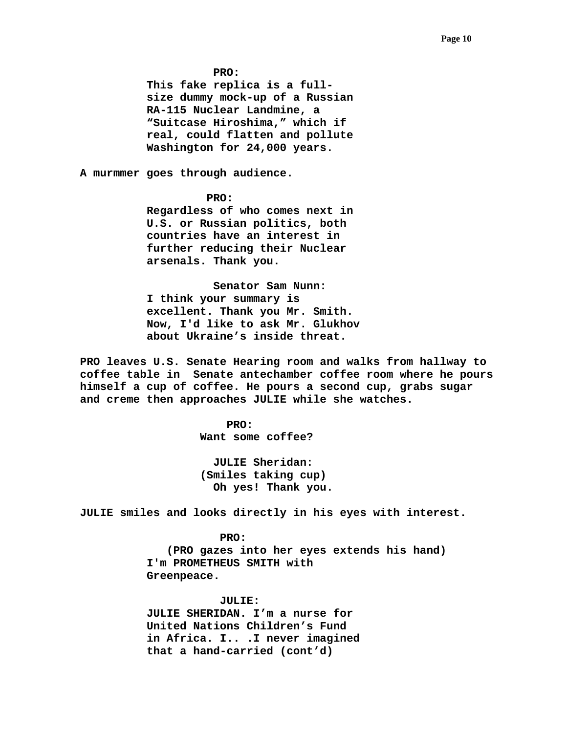**PRO:** 

**This fake replica is a fullsize dummy mock-up of a Russian RA-115 Nuclear Landmine, a "Suitcase Hiroshima," which if real, could flatten and pollute Washington for 24,000 years.** 

**A murmmer goes through audience.** 

# **PRO:**

**Regardless of who comes next in U.S. or Russian politics, both countries have an interest in further reducing their Nuclear arsenals. Thank you.** 

 **Senator Sam Nunn: I think your summary is excellent. Thank you Mr. Smith. Now, I'd like to ask Mr. Glukhov about Ukraine's inside threat.** 

**PRO leaves U.S. Senate Hearing room and walks from hallway to coffee table in Senate antechamber coffee room where he pours himself a cup of coffee. He pours a second cup, grabs sugar and creme then approaches JULIE while she watches.** 

**PRO: Want some coffee?** 

> **JULIE Sheridan: (Smiles taking cup) Oh yes! Thank you.**

**JULIE smiles and looks directly in his eyes with interest.** 

 **PRO: (PRO gazes into her eyes extends his hand) I'm PROMETHEUS SMITH with Greenpeace.** 

 **JULIE:** 

**JULIE SHERIDAN. I'm a nurse for United Nations Children's Fund in Africa. I.. .I never imagined that a hand-carried (cont'd)**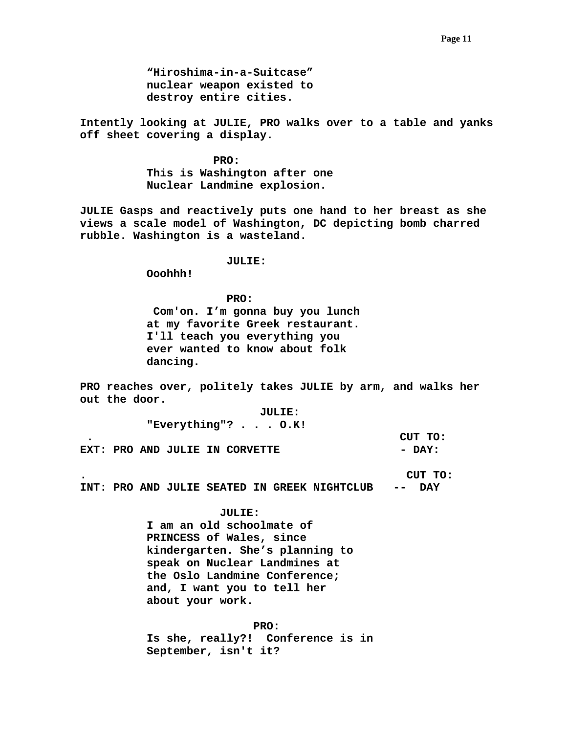**"Hiroshima-in-a-Suitcase" nuclear weapon existed to destroy entire cities.** 

**Intently looking at JULIE, PRO walks over to a table and yanks off sheet covering a display.** 

> **PRO: This is Washington after one Nuclear Landmine explosion.**

**JULIE Gasps and reactively puts one hand to her breast as she views a scale model of Washington, DC depicting bomb charred rubble. Washington is a wasteland.** 

 **JULIE:** 

 **Ooohhh!** 

 **PRO: Com'on. I'm gonna buy you lunch at my favorite Greek restaurant. I'll teach you everything you ever wanted to know about folk dancing.** 

**PRO reaches over, politely takes JULIE by arm, and walks her out the door.** 

 **JULIE:** 

 **"Everything"? . . . O.K! . CUT TO: EXT: PRO AND JULIE IN CORVETTE**  $-$  **DAY:** 

**. CUT TO: INT: PRO AND JULIE SEATED IN GREEK NIGHTCLUB -- DAY** 

## **JULIE:**

**I am an old schoolmate of PRINCESS of Wales, since kindergarten. She's planning to speak on Nuclear Landmines at the Oslo Landmine Conference; and, I want you to tell her about your work.** 

## **PRO:**

**Is she, really?! Conference is in September, isn't it?**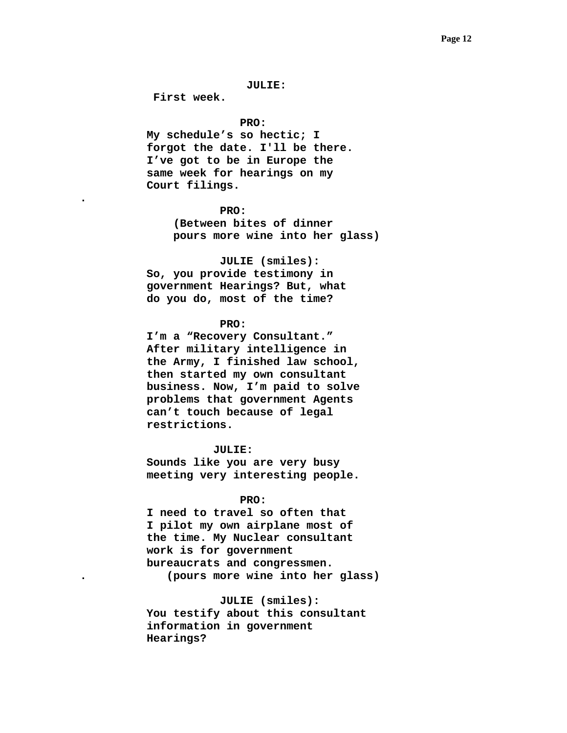#### **JULIE:**

 **First week.** 

**.** 

#### **PRO:**

**My schedule's so hectic; I forgot the date. I'll be there. I've got to be in Europe the same week for hearings on my Court filings.** 

#### **PRO:**

 **(Between bites of dinner pours more wine into her glass)** 

 **JULIE (smiles):** 

 **So, you provide testimony in government Hearings? But, what do you do, most of the time?** 

# **PRO:**

 **I'm a "Recovery Consultant." After military intelligence in the Army, I finished law school, then started my own consultant business. Now, I'm paid to solve problems that government Agents can't touch because of legal restrictions.** 

## **JULIE:**

 **Sounds like you are very busy meeting very interesting people.** 

# **PRO:**

**I need to travel so often that I pilot my own airplane most of the time. My Nuclear consultant work is for government bureaucrats and congressmen. . (pours more wine into her glass)** 

# **JULIE (smiles):**

 **You testify about this consultant information in government Hearings?**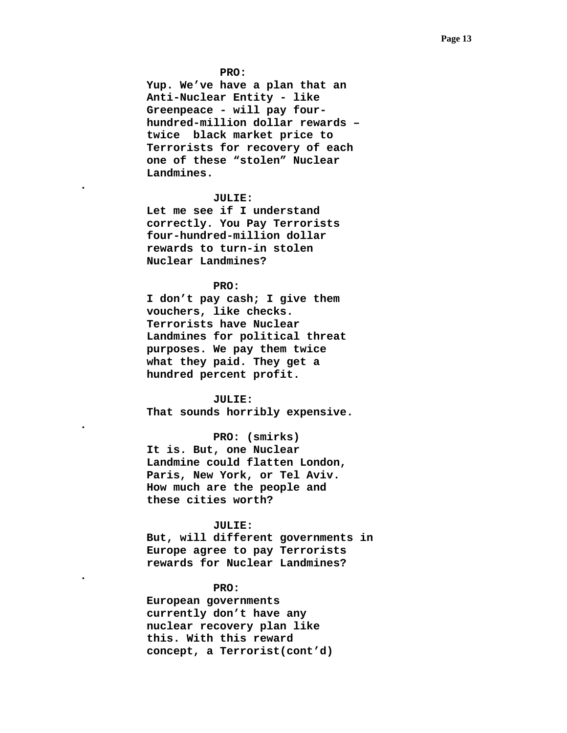#### **PRO:**

 **Yup. We've have a plan that an Anti-Nuclear Entity - like Greenpeace - will pay fourhundred-million dollar rewards – twice black market price to Terrorists for recovery of each one of these "stolen" Nuclear Landmines.** 

# **JULIE:**

**.** 

**.** 

**.** 

 **Let me see if I understand correctly. You Pay Terrorists four-hundred-million dollar rewards to turn-in stolen Nuclear Landmines?** 

# **PRO:**

 **I don't pay cash; I give them vouchers, like checks. Terrorists have Nuclear Landmines for political threat purposes. We pay them twice what they paid. They get a hundred percent profit.** 

 **JULIE: That sounds horribly expensive.** 

 **PRO: (smirks)** 

**It is. But, one Nuclear Landmine could flatten London, Paris, New York, or Tel Aviv. How much are the people and these cities worth?** 

# **JULIE:**

 **But, will different governments in Europe agree to pay Terrorists rewards for Nuclear Landmines?** 

## **PRO:**

 **European governments currently don't have any nuclear recovery plan like this. With this reward concept, a Terrorist(cont'd)**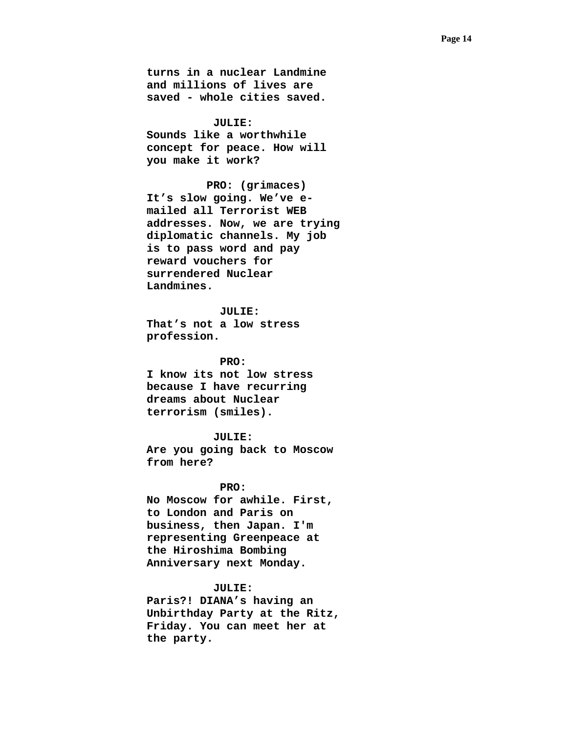**turns in a nuclear Landmine and millions of lives are saved - whole cities saved.** 

 **JULIE: Sounds like a worthwhile concept for peace. How will you make it work?** 

 **PRO: (grimaces) It's slow going. We've emailed all Terrorist WEB addresses. Now, we are trying diplomatic channels. My job is to pass word and pay reward vouchers for surrendered Nuclear Landmines.** 

 **JULIE: That's not a low stress profession.** 

 **PRO: I know its not low stress because I have recurring dreams about Nuclear terrorism (smiles).** 

 **JULIE: Are you going back to Moscow from here?** 

# **PRO:**

 **No Moscow for awhile. First, to London and Paris on business, then Japan. I'm representing Greenpeace at the Hiroshima Bombing Anniversary next Monday.** 

## **JULIE:**

**Paris?! DIANA's having an Unbirthday Party at the Ritz, Friday. You can meet her at the party.**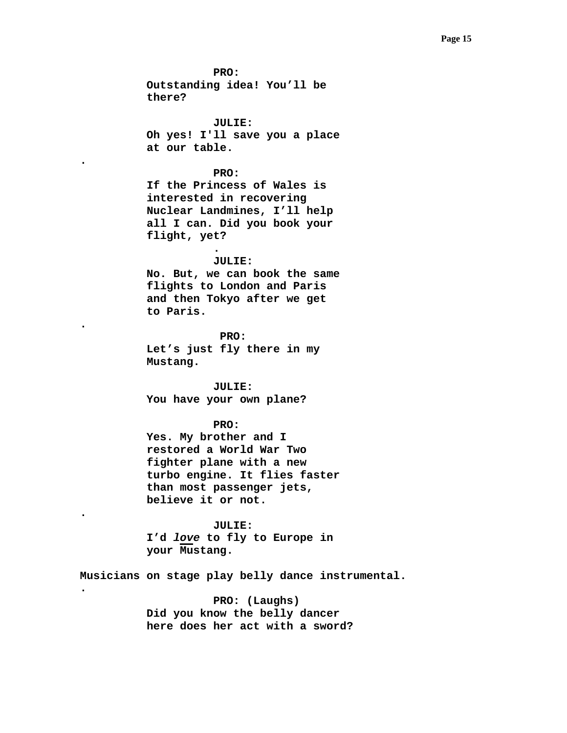**PRO: Outstanding idea! You'll be there? JULIE: Oh yes! I'll save you a place at our table. PRO: If the Princess of Wales is interested in recovering Nuclear Landmines, I'll help all I can. Did you book your flight, yet? . JULIE: No. But, we can book the same flights to London and Paris and then Tokyo after we get to Paris. PRO: Let's just fly there in my Mustang. JULIE: You have your own plane? PRO: Yes. My brother and I restored a World War Two fighter plane with a new turbo engine. It flies faster than most passenger jets, believe it or not. JULIE: I'd** *love* **to fly to Europe in your Mustang. Musicians on stage play belly dance instrumental.** 

**.** 

**.** 

**.** 

**.** 

 **PRO: (Laughs) Did you know the belly dancer here does her act with a sword?**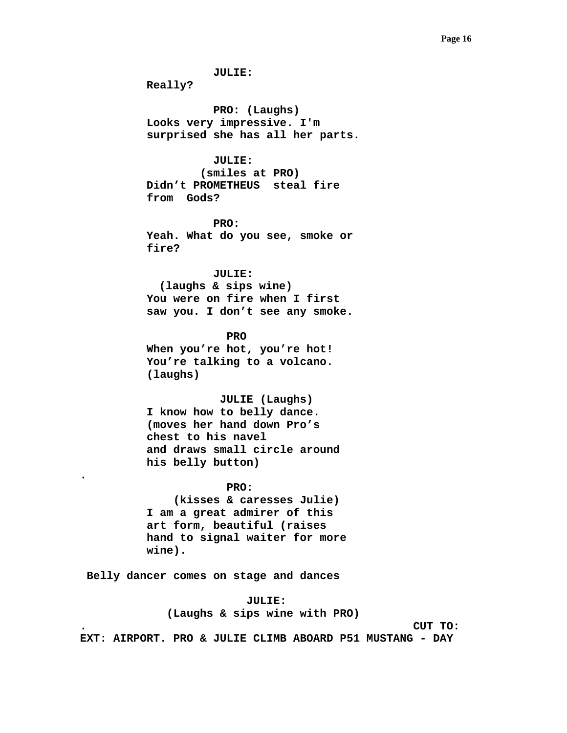**JULIE: Really? PRO: (Laughs) Looks very impressive. I'm surprised she has all her parts. JULIE: (smiles at PRO) Didn't PROMETHEUS steal fire from Gods? PRO: Yeah. What do you see, smoke or fire? JULIE: (laughs & sips wine) You were on fire when I first saw you. I don't see any smoke. PRO When you're hot, you're hot! You're talking to a volcano. (laughs) JULIE (Laughs) I know how to belly dance. (moves her hand down Pro's chest to his navel and draws small circle around his belly button) PRO: (kisses & caresses Julie) I am a great admirer of this art form, beautiful (raises hand to signal waiter for more wine). Belly dancer comes on stage and dances JULIE: (Laughs & sips wine with PRO)** 

**.** 

**. CUT TO:** 

**EXT: AIRPORT. PRO & JULIE CLIMB ABOARD P51 MUSTANG - DAY**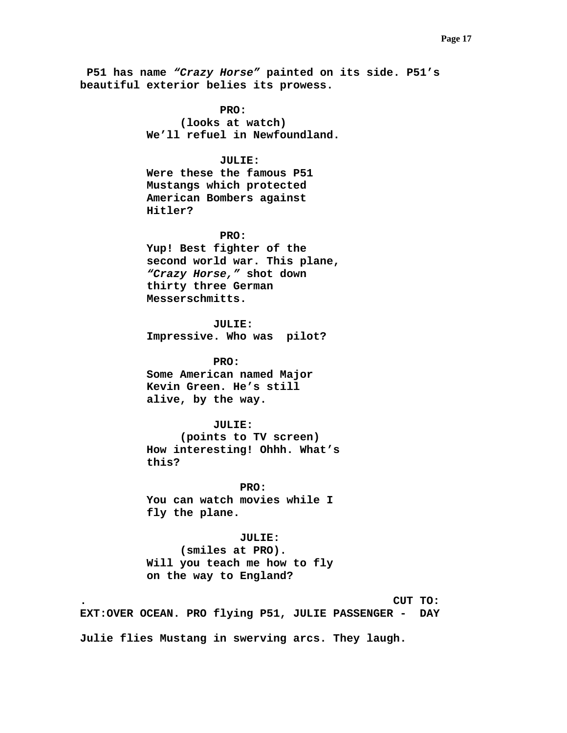**P51 has name** *"Crazy Horse"* **painted on its side. P51's beautiful exterior belies its prowess.** 

> **PRO: (looks at watch) We'll refuel in Newfoundland.**

# **JULIE:**

 **Were these the famous P51 Mustangs which protected American Bombers against Hitler?** 

 **PRO:** 

 **Yup! Best fighter of the second world war. This plane,**  *"Crazy Horse,"* **shot down thirty three German Messerschmitts.** 

 **JULIE: Impressive. Who was pilot?** 

 **PRO: Some American named Major Kevin Green. He's still alive, by the way.** 

#### **JULIE:**

 **(points to TV screen) How interesting! Ohhh. What's this?** 

 **PRO: You can watch movies while I fly the plane.** 

# **JULIE:**

 **(smiles at PRO). Will you teach me how to fly on the way to England?** 

**. CUT TO: EXT:OVER OCEAN. PRO flying P51, JULIE PASSENGER - DAY Julie flies Mustang in swerving arcs. They laugh.**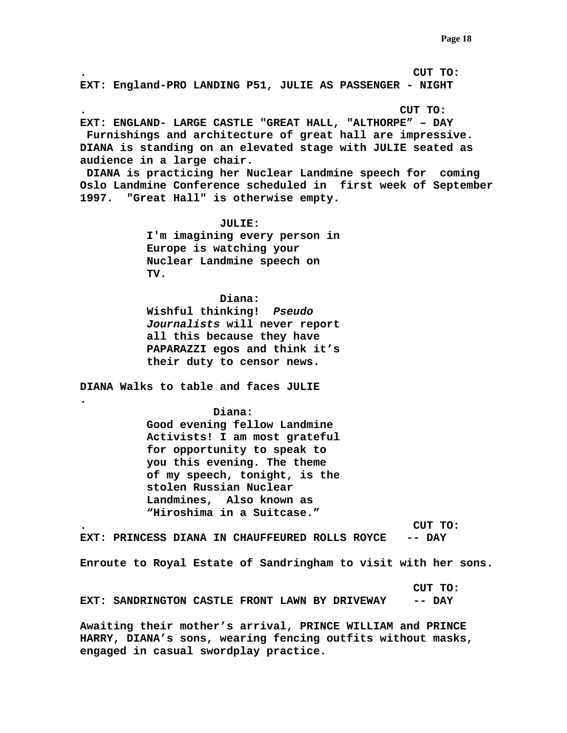**. CUT TO: EXT: England-PRO LANDING P51, JULIE AS PASSENGER - NIGHT** 

**. CUT TO: EXT: ENGLAND- LARGE CASTLE "GREAT HALL, "ALTHORPE" – DAY Furnishings and architecture of great hall are impressive. DIANA is standing on an elevated stage with JULIE seated as audience in a large chair.** 

 **DIANA is practicing her Nuclear Landmine speech for coming Oslo Landmine Conference scheduled in first week of September 1997. "Great Hall" is otherwise empty.** 

> **JULIE: I'm imagining every person in Europe is watching your Nuclear Landmine speech on TV.**

> **Diana: Wishful thinking!** *Pseudo Journalists* **will never report all this because they have PAPARAZZI egos and think it's their duty to censor news.**

**DIANA Walks to table and faces JULIE** 

**.** 

 **Diana: Good evening fellow Landmine Activists! I am most grateful for opportunity to speak to you this evening. The theme of my speech, tonight, is the stolen Russian Nuclear Landmines, Also known as "Hiroshima in a Suitcase."** 

**. CUT TO: EXT: PRINCESS DIANA IN CHAUFFEURED ROLLS ROYCE -- DAY** 

**Enroute to Royal Estate of Sandringham to visit with her sons.** 

 **CUT TO: EXT: SANDRINGTON CASTLE FRONT LAWN BY DRIVEWAY -- DAY** 

**Awaiting their mother's arrival, PRINCE WILLIAM and PRINCE HARRY, DIANA's sons, wearing fencing outfits without masks, engaged in casual swordplay practice.**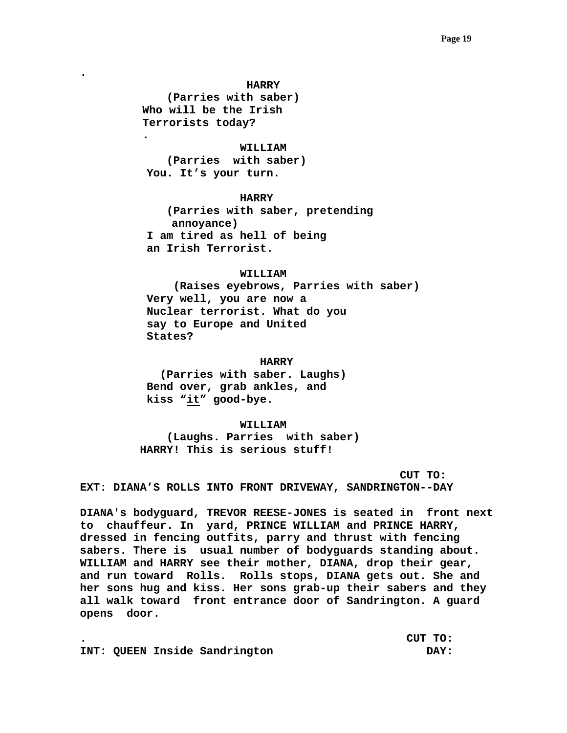**HARRY** 

 **(Parries with saber) Who will be the Irish Terrorists today?** 

**.** 

**.** 

 **WILLIAM** 

 **(Parries with saber) You. It's your turn.** 

# **HARRY**

 **(Parries with saber, pretending annoyance) I am tired as hell of being an Irish Terrorist.** 

## **WILLIAM**

 **(Raises eyebrows, Parries with saber) Very well, you are now a Nuclear terrorist. What do you say to Europe and United States?** 

## **HARRY**

 **(Parries with saber. Laughs) Bend over, grab ankles, and kiss "it" good-bye.** 

#### **WILLIAM**

 **(Laughs. Parries with saber) HARRY! This is serious stuff!** 

 **CUT TO: EXT: DIANA'S ROLLS INTO FRONT DRIVEWAY, SANDRINGTON--DAY** 

**DIANA's bodyguard, TREVOR REESE-JONES is seated in front next to chauffeur. In yard, PRINCE WILLIAM and PRINCE HARRY, dressed in fencing outfits, parry and thrust with fencing sabers. There is usual number of bodyguards standing about. WILLIAM and HARRY see their mother, DIANA, drop their gear, and run toward Rolls. Rolls stops, DIANA gets out. She and her sons hug and kiss. Her sons grab-up their sabers and they all walk toward front entrance door of Sandrington. A guard opens door.** 

|  |                               | CUT TO: |  |
|--|-------------------------------|---------|--|
|  | INT: QUEEN Inside Sandrington | DAY:    |  |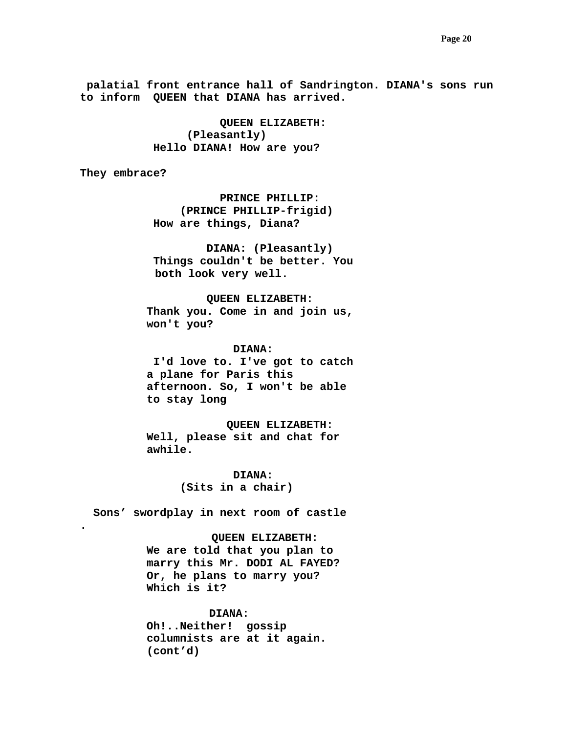**palatial front entrance hall of Sandrington. DIANA's sons run to inform QUEEN that DIANA has arrived.** 

> **QUEEN ELIZABETH: (Pleasantly) Hello DIANA! How are you?**

**They embrace?** 

**.** 

 **PRINCE PHILLIP: (PRINCE PHILLIP-frigid) How are things, Diana?** 

 **DIANA: (Pleasantly) Things couldn't be better. You both look very well.** 

 **QUEEN ELIZABETH: Thank you. Come in and join us, won't you?** 

 **DIANA:** 

 **I'd love to. I've got to catch a plane for Paris this afternoon. So, I won't be able to stay long** 

 **QUEEN ELIZABETH: Well, please sit and chat for awhile.** 

> **DIANA: (Sits in a chair)**

 **Sons' swordplay in next room of castle** 

 **QUEEN ELIZABETH: We are told that you plan to marry this Mr. DODI AL FAYED? Or, he plans to marry you? Which is it?** 

**DIANA: Oh!..Neither! gossip columnists are at it again. (cont'd)**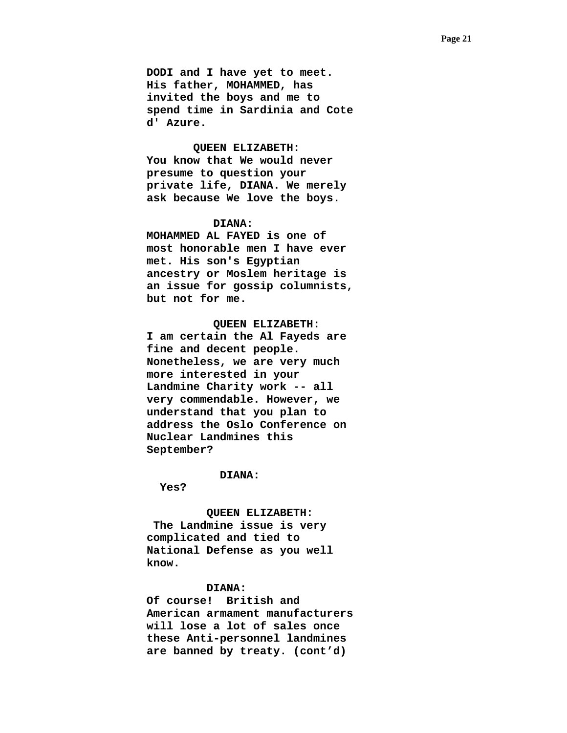**DODI and I have yet to meet. His father, MOHAMMED, has invited the boys and me to spend time in Sardinia and Cote d' Azure.** 

 **QUEEN ELIZABETH: You know that We would never presume to question your private life, DIANA. We merely ask because We love the boys.** 

# **DIANA:**

 **MOHAMMED AL FAYED is one of most honorable men I have ever met. His son's Egyptian ancestry or Moslem heritage is an issue for gossip columnists, but not for me.** 

 **QUEEN ELIZABETH: I am certain the Al Fayeds are fine and decent people. Nonetheless, we are very much more interested in your Landmine Charity work -- all very commendable. However, we understand that you plan to address the Oslo Conference on Nuclear Landmines this September?** 

## **DIANA:**

 **Yes?** 

 **QUEEN ELIZABETH:** 

 **The Landmine issue is very complicated and tied to National Defense as you well know.** 

# **DIANA:**

 **Of course! British and American armament manufacturers will lose a lot of sales once these Anti-personnel landmines are banned by treaty. (cont'd)**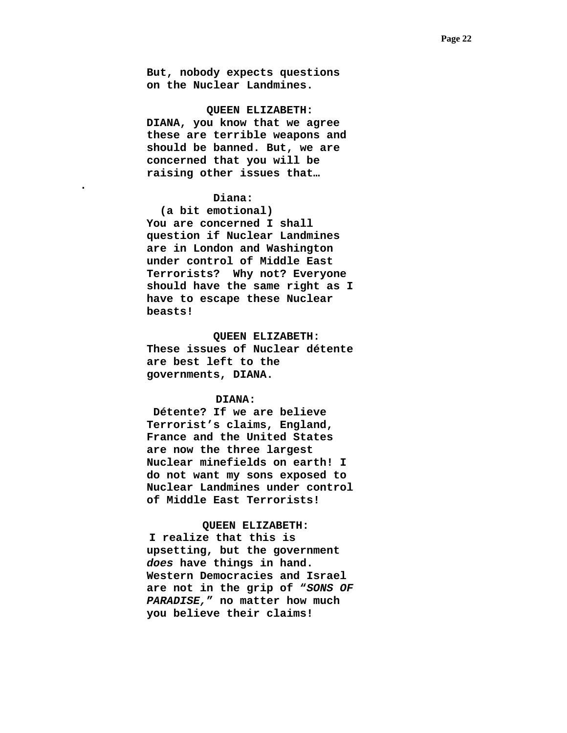**But, nobody expects questions on the Nuclear Landmines.** 

 **QUEEN ELIZABETH: DIANA, you know that we agree these are terrible weapons and should be banned. But, we are concerned that you will be raising other issues that…** 

#### **Diana:**

**.** 

 **(a bit emotional) You are concerned I shall question if Nuclear Landmines are in London and Washington under control of Middle East Terrorists? Why not? Everyone should have the same right as I have to escape these Nuclear beasts!** 

 **QUEEN ELIZABETH: These issues of Nuclear détente are best left to the governments, DIANA.** 

# **DIANA:**

 **Détente? If we are believe Terrorist's claims, England, France and the United States are now the three largest Nuclear minefields on earth! I do not want my sons exposed to Nuclear Landmines under control of Middle East Terrorists!** 

#### **QUEEN ELIZABETH:**

 **I realize that this is upsetting, but the government**  *does* **have things in hand. Western Democracies and Israel are not in the grip of "***SONS OF PARADISE,***" no matter how much you believe their claims!**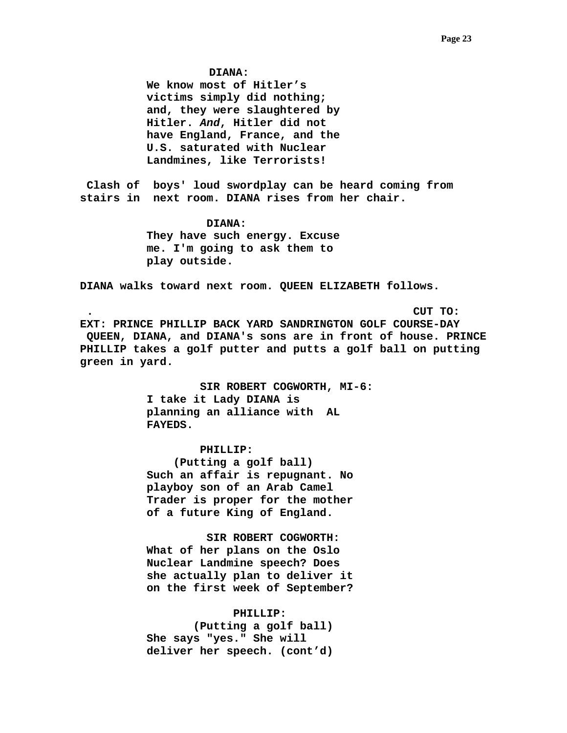**DIANA:** 

**We know most of Hitler's victims simply did nothing; and, they were slaughtered by Hitler.** *And***, Hitler did not have England, France, and the U.S. saturated with Nuclear Landmines, like Terrorists!** 

 **Clash of boys' loud swordplay can be heard coming from stairs in next room. DIANA rises from her chair.** 

> **DIANA: They have such energy. Excuse me. I'm going to ask them to play outside.**

**DIANA walks toward next room. QUEEN ELIZABETH follows.** 

 **. CUT TO: EXT: PRINCE PHILLIP BACK YARD SANDRINGTON GOLF COURSE-DAY QUEEN, DIANA, and DIANA's sons are in front of house. PRINCE PHILLIP takes a golf putter and putts a golf ball on putting green in yard.** 

> **SIR ROBERT COGWORTH, MI-6: I take it Lady DIANA is planning an alliance with AL FAYEDS.**

 **PHILLIP: (Putting a golf ball) Such an affair is repugnant. No playboy son of an Arab Camel Trader is proper for the mother of a future King of England.** 

 **SIR ROBERT COGWORTH: What of her plans on the Oslo Nuclear Landmine speech? Does she actually plan to deliver it on the first week of September?** 

 **PHILLIP: (Putting a golf ball) She says "yes." She will deliver her speech. (cont'd)**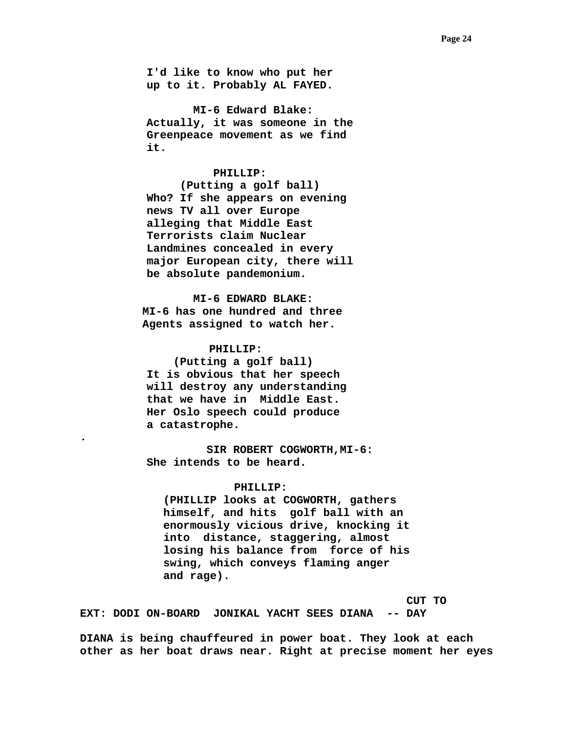**I'd like to know who put her up to it. Probably AL FAYED.** 

 **MI-6 Edward Blake: Actually, it was someone in the Greenpeace movement as we find it.** 

## **PHILLIP:**

 **(Putting a golf ball) Who? If she appears on evening news TV all over Europe alleging that Middle East Terrorists claim Nuclear Landmines concealed in every major European city, there will be absolute pandemonium.** 

 **MI-6 EDWARD BLAKE: MI-6 has one hundred and three Agents assigned to watch her.** 

## **PHILLIP:**

**.** 

 **(Putting a golf ball) It is obvious that her speech will destroy any understanding that we have in Middle East. Her Oslo speech could produce a catastrophe.** 

 **SIR ROBERT COGWORTH,MI-6: She intends to be heard.** 

# **PHILLIP:**

**(PHILLIP looks at COGWORTH, gathers himself, and hits golf ball with an enormously vicious drive, knocking it into distance, staggering, almost losing his balance from force of his swing, which conveys flaming anger and rage).** 

 **CUT TO** 

**EXT: DODI ON-BOARD JONIKAL YACHT SEES DIANA -- DAY** 

**DIANA is being chauffeured in power boat. They look at each other as her boat draws near. Right at precise moment her eyes**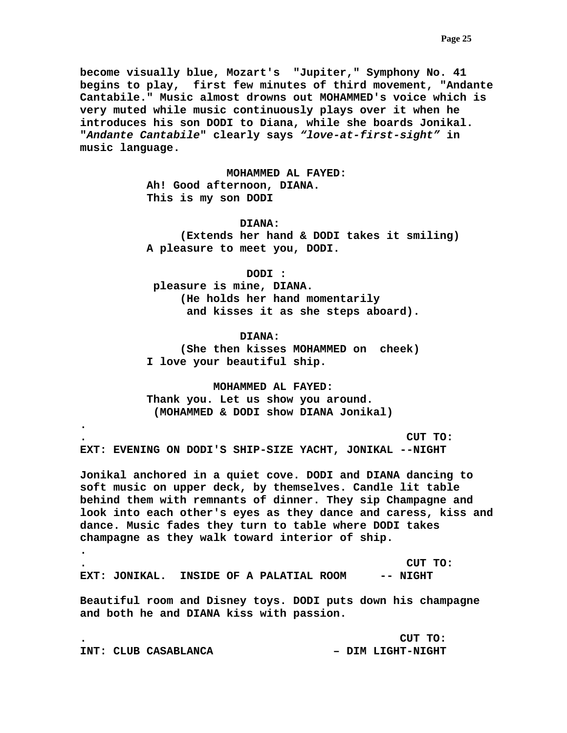**become visually blue, Mozart's "Jupiter," Symphony No. 41 begins to play, first few minutes of third movement, "Andante Cantabile." Music almost drowns out MOHAMMED's voice which is very muted while music continuously plays over it when he introduces his son DODI to Diana, while she boards Jonikal. "***Andante Cantabile***" clearly says** *"love-at-first-sight"* **in music language.** 

> **MOHAMMED AL FAYED: Ah! Good afternoon, DIANA. This is my son DODI**

> > **DIANA:**

 **(Extends her hand & DODI takes it smiling) A pleasure to meet you, DODI.** 

 **DODI :** 

 **pleasure is mine, DIANA. (He holds her hand momentarily and kisses it as she steps aboard).** 

 **DIANA: (She then kisses MOHAMMED on cheek) I love your beautiful ship.** 

 **MOHAMMED AL FAYED: Thank you. Let us show you around. (MOHAMMED & DODI show DIANA Jonikal)** 

**. CUT TO: EXT: EVENING ON DODI'S SHIP-SIZE YACHT, JONIKAL --NIGHT** 

**.** 

**Jonikal anchored in a quiet cove. DODI and DIANA dancing to soft music on upper deck, by themselves. Candle lit table behind them with remnants of dinner. They sip Champagne and look into each other's eyes as they dance and caress, kiss and dance. Music fades they turn to table where DODI takes champagne as they walk toward interior of ship.** 

**. . CUT TO: EXT: JONIKAL. INSIDE OF A PALATIAL ROOM -- NIGHT** 

**Beautiful room and Disney toys. DODI puts down his champagne and both he and DIANA kiss with passion.** 

**. CUT TO: INT: CLUB CASABLANCA – DIM LIGHT-NIGHT**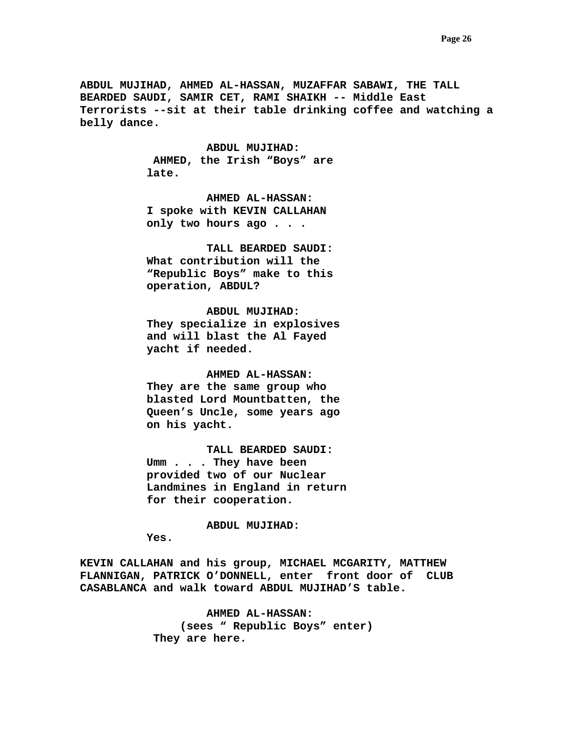**ABDUL MUJIHAD, AHMED AL-HASSAN, MUZAFFAR SABAWI, THE TALL BEARDED SAUDI, SAMIR CET, RAMI SHAIKH -- Middle East Terrorists --sit at their table drinking coffee and watching a belly dance.** 

> **ABDUL MUJIHAD: AHMED, the Irish "Boys" are late.**

 **AHMED AL-HASSAN: I spoke with KEVIN CALLAHAN only two hours ago . . .** 

 **TALL BEARDED SAUDI: What contribution will the "Republic Boys" make to this operation, ABDUL?** 

 **ABDUL MUJIHAD: They specialize in explosives and will blast the Al Fayed yacht if needed.** 

 **AHMED AL-HASSAN: They are the same group who blasted Lord Mountbatten, the Queen's Uncle, some years ago on his yacht.** 

 **TALL BEARDED SAUDI: Umm . . . They have been provided two of our Nuclear Landmines in England in return for their cooperation.** 

 **ABDUL MUJIHAD:** 

 **Yes.** 

**KEVIN CALLAHAN and his group, MICHAEL MCGARITY, MATTHEW FLANNIGAN, PATRICK O'DONNELL, enter front door of CLUB CASABLANCA and walk toward ABDUL MUJIHAD'S table.** 

> **AHMED AL-HASSAN: (sees " Republic Boys" enter) They are here.**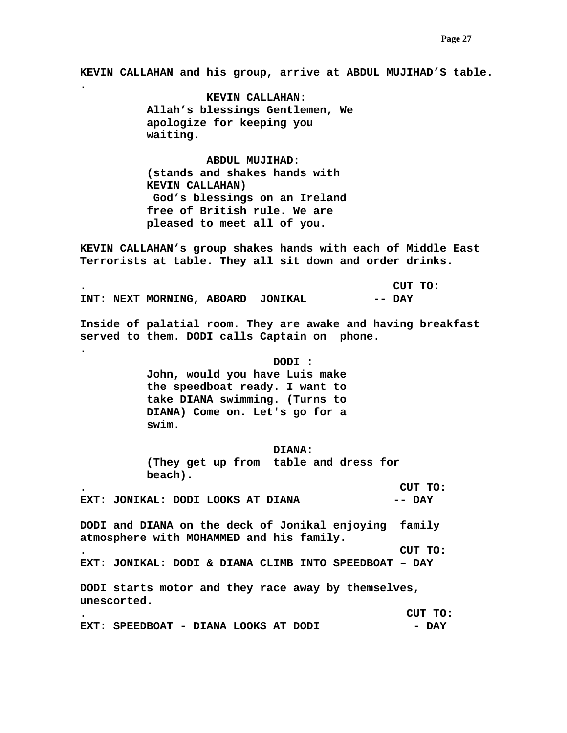**KEVIN CALLAHAN and his group, arrive at ABDUL MUJIHAD'S table.** 

 **KEVIN CALLAHAN: Allah's blessings Gentlemen, We apologize for keeping you waiting.** 

**.** 

**.** 

 **ABDUL MUJIHAD: (stands and shakes hands with KEVIN CALLAHAN) God's blessings on an Ireland free of British rule. We are pleased to meet all of you.** 

**KEVIN CALLAHAN's group shakes hands with each of Middle East Terrorists at table. They all sit down and order drinks.** 

**. CUT TO: INT: NEXT MORNING, ABOARD JONIKAL -- DAY** 

**Inside of palatial room. They are awake and having breakfast served to them. DODI calls Captain on phone.** 

 **DODI :** 

 **John, would you have Luis make the speedboat ready. I want to take DIANA swimming. (Turns to DIANA) Come on. Let's go for a swim.** 

 **DIANA:** 

 **(They get up from table and dress for beach).** 

**. CUT TO: EXT: JONIKAL: DODI LOOKS AT DIANA -- DAY** 

**DODI and DIANA on the deck of Jonikal enjoying family atmosphere with MOHAMMED and his family.** 

**. CUT TO: EXT: JONIKAL: DODI & DIANA CLIMB INTO SPEEDBOAT – DAY** 

**DODI starts motor and they race away by themselves, unescorted.** 

**. CUT TO:**  EXT: SPEEDBOAT - DIANA LOOKS AT DODI - DAY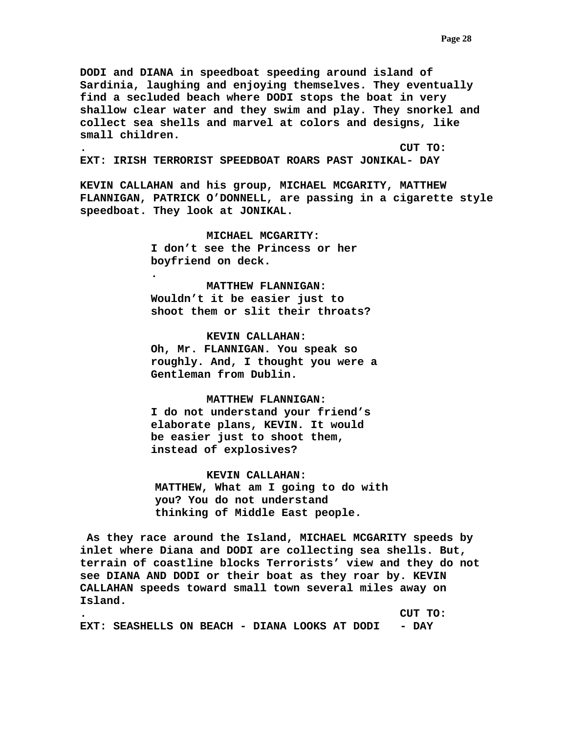**DODI and DIANA in speedboat speeding around island of Sardinia, laughing and enjoying themselves. They eventually find a secluded beach where DODI stops the boat in very shallow clear water and they swim and play. They snorkel and collect sea shells and marvel at colors and designs, like small children.** 

**. CUT TO:** 

**EXT: IRISH TERRORIST SPEEDBOAT ROARS PAST JONIKAL- DAY** 

**KEVIN CALLAHAN and his group, MICHAEL MCGARITY, MATTHEW FLANNIGAN, PATRICK O'DONNELL, are passing in a cigarette style speedboat. They look at JONIKAL.** 

> **MICHAEL MCGARITY: I don't see the Princess or her boyfriend on deck.**

**.** 

 **MATTHEW FLANNIGAN: Wouldn't it be easier just to shoot them or slit their throats?** 

## **KEVIN CALLAHAN:**

**Oh, Mr. FLANNIGAN. You speak so roughly. And, I thought you were a Gentleman from Dublin.** 

# **MATTHEW FLANNIGAN:**

**I do not understand your friend's elaborate plans, KEVIN. It would be easier just to shoot them, instead of explosives?** 

## **KEVIN CALLAHAN:**

**MATTHEW, What am I going to do with you? You do not understand thinking of Middle East people.** 

 **As they race around the Island, MICHAEL MCGARITY speeds by inlet where Diana and DODI are collecting sea shells. But, terrain of coastline blocks Terrorists' view and they do not see DIANA AND DODI or their boat as they roar by. KEVIN CALLAHAN speeds toward small town several miles away on Island.** 

**. CUT TO: EXT: SEASHELLS ON BEACH - DIANA LOOKS AT DODI - DAY**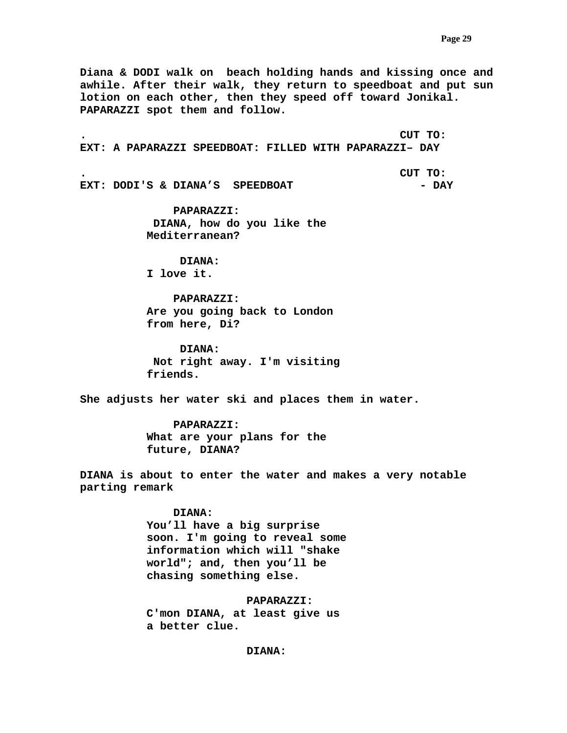**Diana & DODI walk on beach holding hands and kissing once and awhile. After their walk, they return to speedboat and put sun lotion on each other, then they speed off toward Jonikal. PAPARAZZI spot them and follow.** 

**. CUT TO: EXT: A PAPARAZZI SPEEDBOAT: FILLED WITH PAPARAZZI– DAY** 

**. CUT TO: EXT: DODI'S & DIANA'S SPEEDBOAT**  - DAY

> **PAPARAZZI: DIANA, how do you like the Mediterranean?**

 **DIANA: I love it.** 

 **PAPARAZZI: Are you going back to London from here, Di?** 

 **DIANA: Not right away. I'm visiting friends.** 

**She adjusts her water ski and places them in water.** 

 **PAPARAZZI: What are your plans for the future, DIANA?** 

**DIANA is about to enter the water and makes a very notable parting remark** 

 **DIANA:** 

**You'll have a big surprise soon. I'm going to reveal some information which will "shake world"; and, then you'll be chasing something else.** 

 **PAPARAZZI:** 

 **C'mon DIANA, at least give us a better clue.** 

 **DIANA:**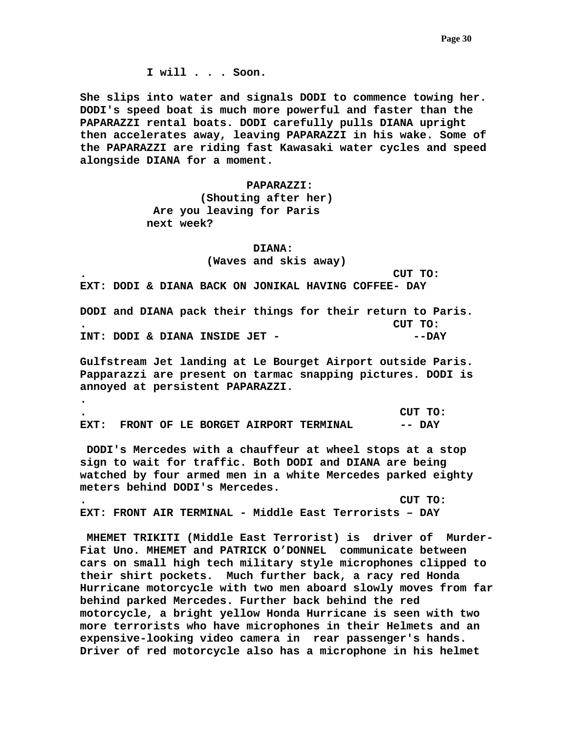**I will . . . Soon.** 

**She slips into water and signals DODI to commence towing her. DODI's speed boat is much more powerful and faster than the PAPARAZZI rental boats. DODI carefully pulls DIANA upright then accelerates away, leaving PAPARAZZI in his wake. Some of the PAPARAZZI are riding fast Kawasaki water cycles and speed alongside DIANA for a moment.** 

#### **PAPARAZZI:**

 **(Shouting after her) Are you leaving for Paris next week?** 

#### **DIANA:**

 **(Waves and skis away)** 

**. CUT TO:** 

**EXT: DODI & DIANA BACK ON JONIKAL HAVING COFFEE- DAY** 

**DODI and DIANA pack their things for their return to Paris. . CUT TO: INT: DODI & DIANA INSIDE JET - --DAY** 

**Gulfstream Jet landing at Le Bourget Airport outside Paris. Papparazzi are present on tarmac snapping pictures. DODI is annoyed at persistent PAPARAZZI.** 

| $\bullet$ |  |  |                                          | CUT TO: |
|-----------|--|--|------------------------------------------|---------|
|           |  |  | EXT: FRONT OF LE BORGET AIRPORT TERMINAL | -- DAY  |

**.** 

 **DODI's Mercedes with a chauffeur at wheel stops at a stop sign to wait for traffic. Both DODI and DIANA are being watched by four armed men in a white Mercedes parked eighty meters behind DODI's Mercedes.** 

**. CUT TO: EXT: FRONT AIR TERMINAL - Middle East Terrorists – DAY** 

 **MHEMET TRIKITI (Middle East Terrorist) is driver of Murder-Fiat Uno. MHEMET and PATRICK O'DONNEL communicate between cars on small high tech military style microphones clipped to their shirt pockets. Much further back, a racy red Honda Hurricane motorcycle with two men aboard slowly moves from far behind parked Mercedes. Further back behind the red motorcycle, a bright yellow Honda Hurricane is seen with two more terrorists who have microphones in their Helmets and an expensive-looking video camera in rear passenger's hands. Driver of red motorcycle also has a microphone in his helmet**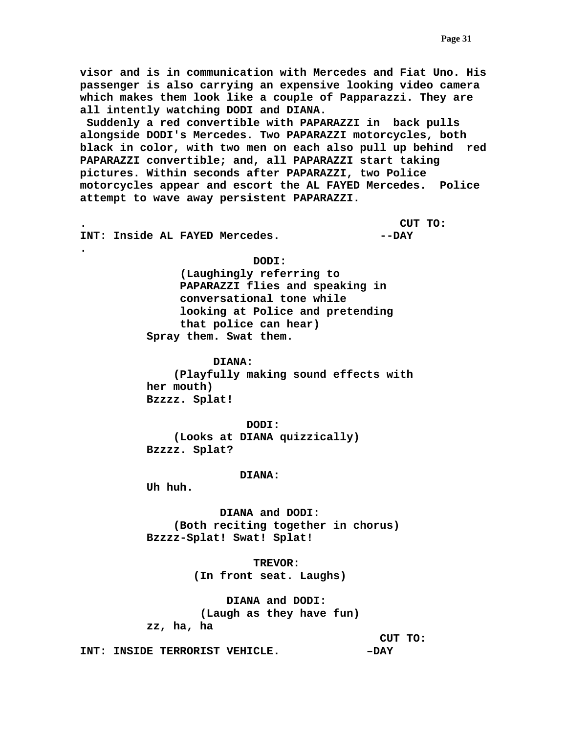**visor and is in communication with Mercedes and Fiat Uno. His passenger is also carrying an expensive looking video camera which makes them look like a couple of Papparazzi. They are all intently watching DODI and DIANA.** 

 **Suddenly a red convertible with PAPARAZZI in back pulls alongside DODI's Mercedes. Two PAPARAZZI motorcycles, both black in color, with two men on each also pull up behind red PAPARAZZI convertible; and, all PAPARAZZI start taking pictures. Within seconds after PAPARAZZI, two Police motorcycles appear and escort the AL FAYED Mercedes. Police attempt to wave away persistent PAPARAZZI.** 

**. CUT TO:** 

**INT: Inside AL FAYED Mercedes. The Set of AVEY** 

**.** 

 **DODI:** 

 **(Laughingly referring to PAPARAZZI flies and speaking in conversational tone while looking at Police and pretending that police can hear) Spray them. Swat them.** 

 **DIANA:** 

 **(Playfully making sound effects with her mouth) Bzzzz. Splat!** 

 **DODI: (Looks at DIANA quizzically) Bzzzz. Splat?** 

## **DIANA:**

 **Uh huh.** 

 **DIANA and DODI: (Both reciting together in chorus) Bzzzz-Splat! Swat! Splat!** 

> **TREVOR: (In front seat. Laughs)**

 **DIANA and DODI: (Laugh as they have fun) zz, ha, ha** 

 **CUT TO:** 

**INT: INSIDE TERRORIST VEHICLE.** -  $-DAY$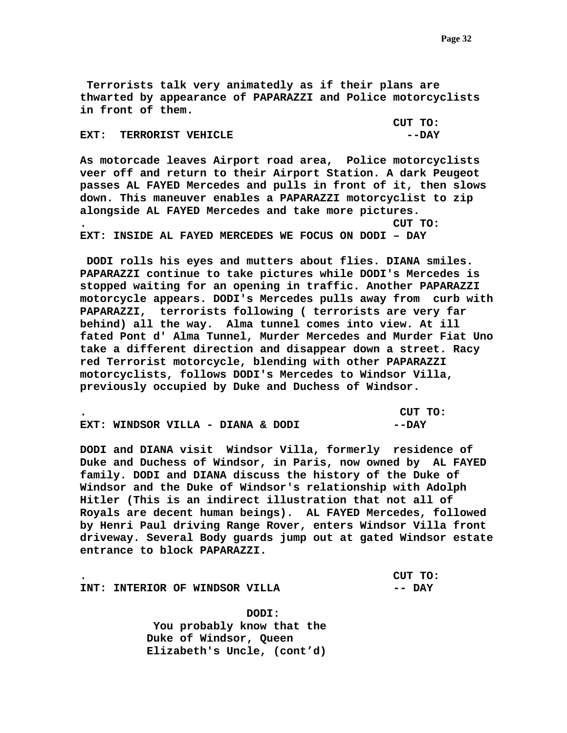**Terrorists talk very animatedly as if their plans are thwarted by appearance of PAPARAZZI and Police motorcyclists in front of them.** 

|                        | CUT TO: |
|------------------------|---------|
| EXT: TERRORIST VEHICLE | --DAY   |

**As motorcade leaves Airport road area, Police motorcyclists veer off and return to their Airport Station. A dark Peugeot passes AL FAYED Mercedes and pulls in front of it, then slows down. This maneuver enables a PAPARAZZI motorcyclist to zip alongside AL FAYED Mercedes and take more pictures. . CUT TO: EXT: INSIDE AL FAYED MERCEDES WE FOCUS ON DODI – DAY** 

 **DODI rolls his eyes and mutters about flies. DIANA smiles. PAPARAZZI continue to take pictures while DODI's Mercedes is stopped waiting for an opening in traffic. Another PAPARAZZI motorcycle appears. DODI's Mercedes pulls away from curb with PAPARAZZI, terrorists following ( terrorists are very far behind) all the way. Alma tunnel comes into view. At ill fated Pont d' Alma Tunnel, Murder Mercedes and Murder Fiat Uno take a different direction and disappear down a street. Racy red Terrorist motorcycle, blending with other PAPARAZZI motorcyclists, follows DODI's Mercedes to Windsor Villa, previously occupied by Duke and Duchess of Windsor.** 

|                                   |  |  | CUT TO: |  |
|-----------------------------------|--|--|---------|--|
| EXT: WINDSOR VILLA - DIANA & DODI |  |  | --DAY   |  |

**DODI and DIANA visit Windsor Villa, formerly residence of Duke and Duchess of Windsor, in Paris, now owned by AL FAYED family. DODI and DIANA discuss the history of the Duke of Windsor and the Duke of Windsor's relationship with Adolph Hitler (This is an indirect illustration that not all of Royals are decent human beings). AL FAYED Mercedes, followed by Henri Paul driving Range Rover, enters Windsor Villa front driveway. Several Body guards jump out at gated Windsor estate entrance to block PAPARAZZI.** 

**. CUT TO:** 

**INT: INTERIOR OF WINDSOR VILLA FOR ALL POST OF A PAY** 

 **DODI: You probably know that the Duke of Windsor, Queen Elizabeth's Uncle, (cont'd)**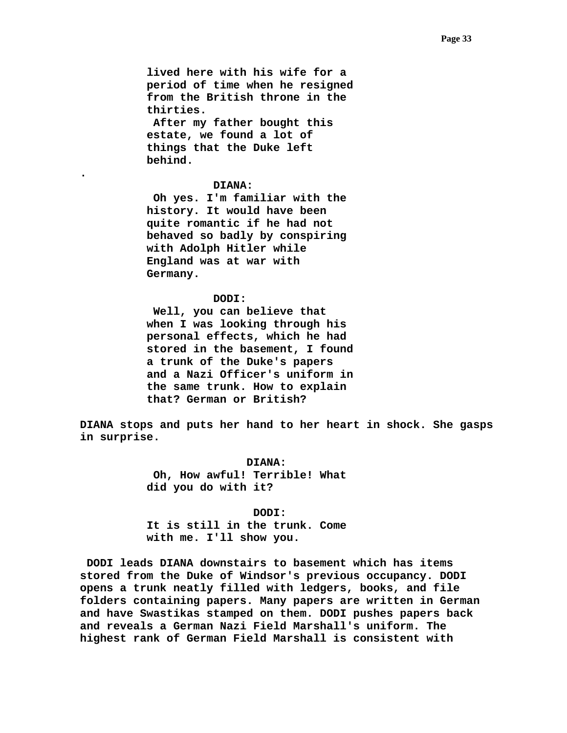**lived here with his wife for a period of time when he resigned from the British throne in the thirties.** 

 **After my father bought this estate, we found a lot of things that the Duke left behind.** 

### **DIANA:**

**.** 

 **Oh yes. I'm familiar with the history. It would have been quite romantic if he had not behaved so badly by conspiring with Adolph Hitler while England was at war with Germany.** 

## **DODI:**

 **Well, you can believe that when I was looking through his personal effects, which he had stored in the basement, I found a trunk of the Duke's papers and a Nazi Officer's uniform in the same trunk. How to explain that? German or British?** 

**DIANA stops and puts her hand to her heart in shock. She gasps in surprise.** 

> **DIANA: Oh, How awful! Terrible! What did you do with it?**

#### **DODI:**

**It is still in the trunk. Come with me. I'll show you.** 

 **DODI leads DIANA downstairs to basement which has items stored from the Duke of Windsor's previous occupancy. DODI opens a trunk neatly filled with ledgers, books, and file folders containing papers. Many papers are written in German and have Swastikas stamped on them. DODI pushes papers back and reveals a German Nazi Field Marshall's uniform. The highest rank of German Field Marshall is consistent with**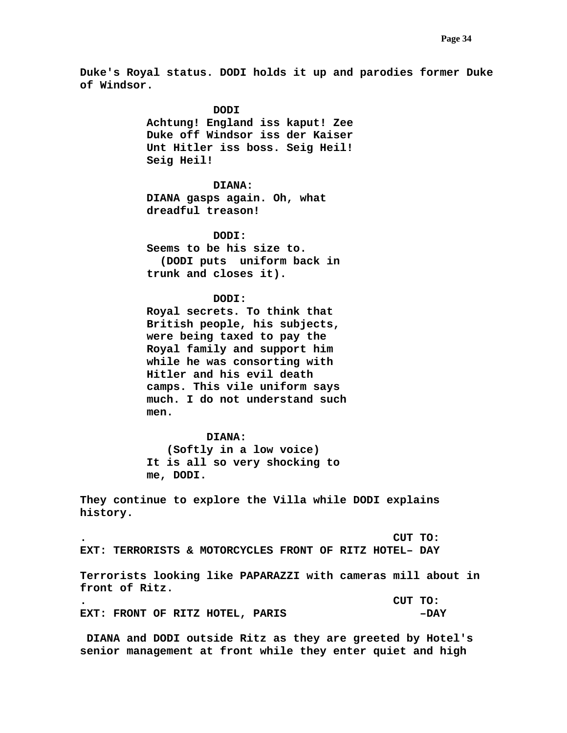**Duke's Royal status. DODI holds it up and parodies former Duke of Windsor.** 

> **DODI Achtung! England iss kaput! Zee Duke off Windsor iss der Kaiser Unt Hitler iss boss. Seig Heil! Seig Heil! DIANA: DIANA gasps again. Oh, what dreadful treason! DODI: Seems to be his size to. (DODI puts uniform back in trunk and closes it). DODI: Royal secrets. To think that British people, his subjects, were being taxed to pay the Royal family and support him while he was consorting with**

**Hitler and his evil death camps. This vile uniform says much. I do not understand such men.** 

## **DIANA:**

 **(Softly in a low voice) It is all so very shocking to me, DODI.** 

**They continue to explore the Villa while DODI explains history.** 

**. CUT TO: EXT: TERRORISTS & MOTORCYCLES FRONT OF RITZ HOTEL– DAY** 

**Terrorists looking like PAPARAZZI with cameras mill about in front of Ritz.** 

|  |  |                                 | CUT TO: |        |
|--|--|---------------------------------|---------|--------|
|  |  | EXT: FRONT OF RITZ HOTEL, PARIS |         | $-DAY$ |

 **DIANA and DODI outside Ritz as they are greeted by Hotel's senior management at front while they enter quiet and high**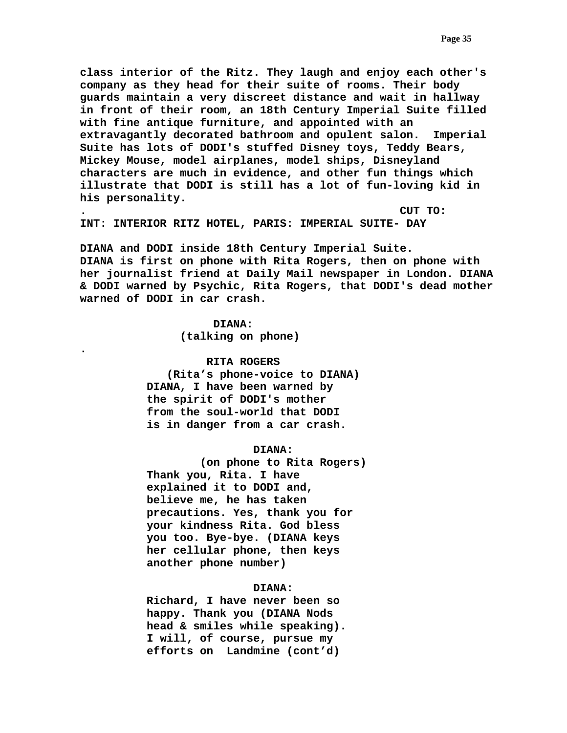**class interior of the Ritz. They laugh and enjoy each other's company as they head for their suite of rooms. Their body guards maintain a very discreet distance and wait in hallway in front of their room, an 18th Century Imperial Suite filled with fine antique furniture, and appointed with an extravagantly decorated bathroom and opulent salon. Imperial Suite has lots of DODI's stuffed Disney toys, Teddy Bears, Mickey Mouse, model airplanes, model ships, Disneyland characters are much in evidence, and other fun things which illustrate that DODI is still has a lot of fun-loving kid in his personality.** 

**. CUT TO:** 

**INT: INTERIOR RITZ HOTEL, PARIS: IMPERIAL SUITE- DAY** 

**DIANA and DODI inside 18th Century Imperial Suite. DIANA is first on phone with Rita Rogers, then on phone with her journalist friend at Daily Mail newspaper in London. DIANA & DODI warned by Psychic, Rita Rogers, that DODI's dead mother warned of DODI in car crash.** 

> **DIANA: (talking on phone)**

**.** 

## **RITA ROGERS**

 **(Rita's phone-voice to DIANA) DIANA, I have been warned by the spirit of DODI's mother from the soul-world that DODI is in danger from a car crash.** 

## **DIANA:**

 **(on phone to Rita Rogers) Thank you, Rita. I have explained it to DODI and, believe me, he has taken precautions. Yes, thank you for your kindness Rita. God bless you too. Bye-bye. (DIANA keys her cellular phone, then keys another phone number)** 

## **DIANA:**

 **Richard, I have never been so happy. Thank you (DIANA Nods head & smiles while speaking). I will, of course, pursue my efforts on Landmine (cont'd)**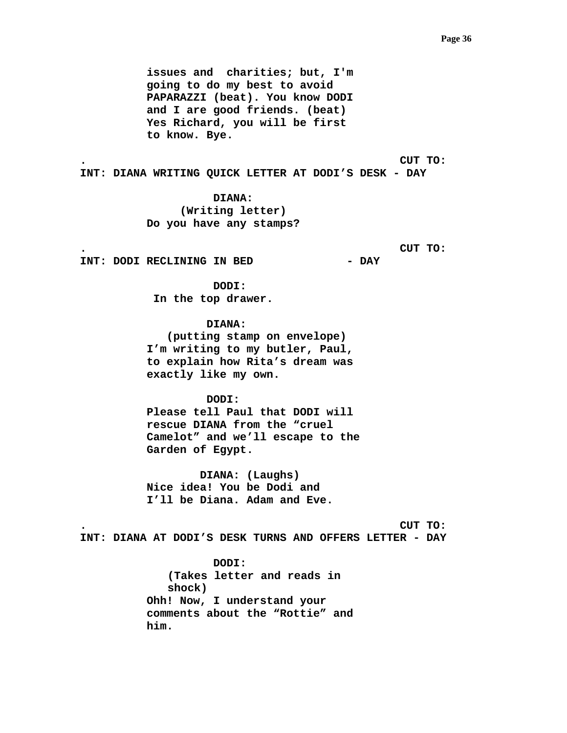**issues and charities; but, I'm going to do my best to avoid PAPARAZZI (beat). You know DODI and I are good friends. (beat) Yes Richard, you will be first to know. Bye.** 

**. CUT TO: INT: DIANA WRITING QUICK LETTER AT DODI'S DESK - DAY** 

> **DIANA: (Writing letter) Do you have any stamps?**

> > **. CUT TO:**

**INT: DODI RECLINING IN BED - DAY** 

 **DODI: In the top drawer.** 

 **DIANA: (putting stamp on envelope) I'm writing to my butler, Paul, to explain how Rita's dream was exactly like my own.** 

 **DODI: Please tell Paul that DODI will rescue DIANA from the "cruel Camelot" and we'll escape to the Garden of Egypt.** 

 **DIANA: (Laughs) Nice idea! You be Dodi and I'll be Diana. Adam and Eve.** 

**. CUT TO:** 

**INT: DIANA AT DODI'S DESK TURNS AND OFFERS LETTER - DAY** 

 **DODI: (Takes letter and reads in shock) Ohh! Now, I understand your comments about the "Rottie" and him.**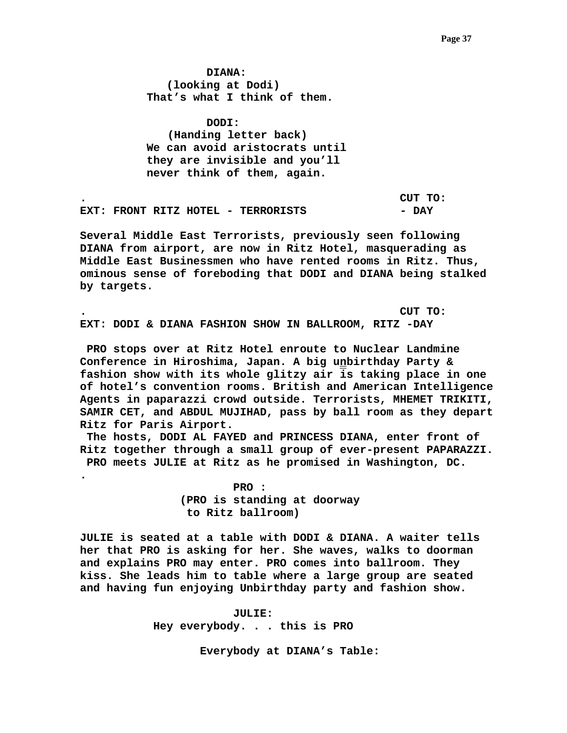**DIANA: (looking at Dodi) That's what I think of them.** 

 **DODI: (Handing letter back) We can avoid aristocrats until they are invisible and you'll never think of them, again.** 

**. CUT TO: EXT: FRONT RITZ HOTEL - TERRORISTS DAY** 

**Several Middle East Terrorists, previously seen following DIANA from airport, are now in Ritz Hotel, masquerading as Middle East Businessmen who have rented rooms in Ritz. Thus, ominous sense of foreboding that DODI and DIANA being stalked by targets.** 

**. CUT TO: EXT: DODI & DIANA FASHION SHOW IN BALLROOM, RITZ -DAY** 

 **PRO stops over at Ritz Hotel enroute to Nuclear Landmine Conference in Hiroshima, Japan. A big unbirthday Party & fashion show with its whole glitzy air is taking place in one of hotel's convention rooms. British and American Intelligence Agents in paparazzi crowd outside. Terrorists, MHEMET TRIKITI, SAMIR CET, and ABDUL MUJIHAD, pass by ball room as they depart Ritz for Paris Airport.** 

 **The hosts, DODI AL FAYED and PRINCESS DIANA, enter front of Ritz together through a small group of ever-present PAPARAZZI. PRO meets JULIE at Ritz as he promised in Washington, DC.** 

> **PRO : (PRO is standing at doorway to Ritz ballroom)**

**.** 

**JULIE is seated at a table with DODI & DIANA. A waiter tells her that PRO is asking for her. She waves, walks to doorman and explains PRO may enter. PRO comes into ballroom. They kiss. She leads him to table where a large group are seated and having fun enjoying Unbirthday party and fashion show.** 

> **JULIE: Hey everybody. . . this is PRO**

> > **Everybody at DIANA's Table:**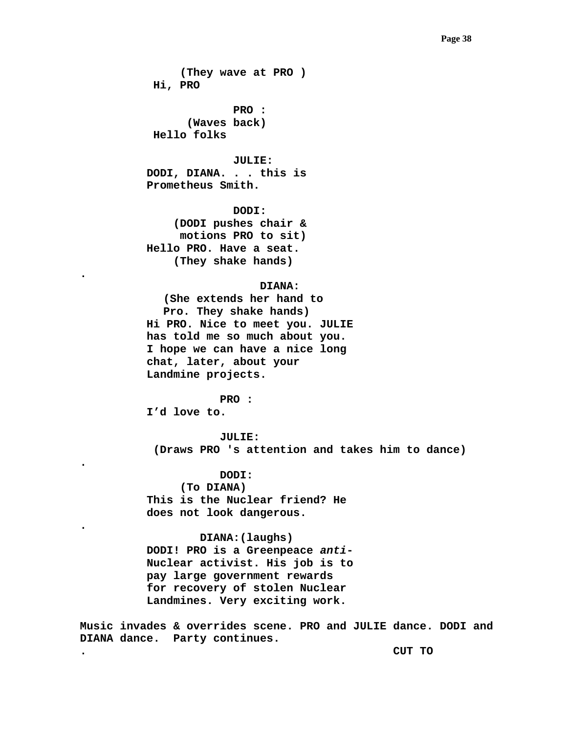### **Page 38 Page 38**

 **(They wave at PRO ) Hi, PRO** 

 **PRO : (Waves back) Hello folks** 

 **JULIE: DODI, DIANA. . . this is Prometheus Smith.** 

 **DODI: (DODI pushes chair & motions PRO to sit) Hello PRO. Have a seat. (They shake hands)** 

# **DIANA:**

**(She extends her hand to Pro. They shake hands) Hi PRO. Nice to meet you. JULIE has told me so much about you. I hope we can have a nice long chat, later, about your Landmine projects.** 

 **PRO : I'd love to.** 

**.** 

**.** 

**.** 

 **JULIE: (Draws PRO 's attention and takes him to dance)** 

 **DODI: (To DIANA) This is the Nuclear friend? He does not look dangerous.** 

 **DIANA:(laughs) DODI! PRO is a Greenpeace** *anti***-Nuclear activist. His job is to pay large government rewards for recovery of stolen Nuclear Landmines. Very exciting work.** 

**Music invades & overrides scene. PRO and JULIE dance. DODI and DIANA dance. Party continues.** 

**. CUT TO**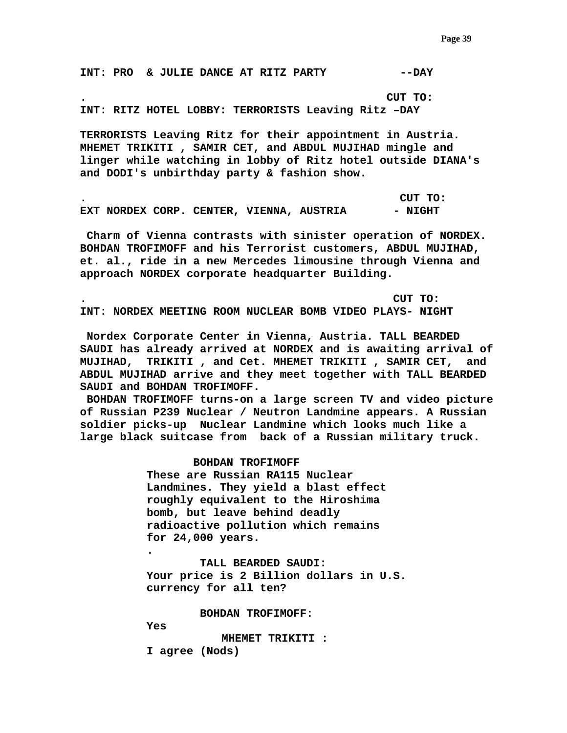**INT: PRO & JULIE DANCE AT RITZ PARTY --DAY** 

**. CUT TO:** 

**INT: RITZ HOTEL LOBBY: TERRORISTS Leaving Ritz –DAY** 

**TERRORISTS Leaving Ritz for their appointment in Austria. MHEMET TRIKITI , SAMIR CET, and ABDUL MUJIHAD mingle and linger while watching in lobby of Ritz hotel outside DIANA's and DODI's unbirthday party & fashion show.** 

**. CUT TO: EXT NORDEX CORP. CENTER, VIENNA, AUSTRIA**  $-$  **NIGHT** 

 **Charm of Vienna contrasts with sinister operation of NORDEX. BOHDAN TROFIMOFF and his Terrorist customers, ABDUL MUJIHAD, et. al., ride in a new Mercedes limousine through Vienna and approach NORDEX corporate headquarter Building.** 

**. CUT TO: INT: NORDEX MEETING ROOM NUCLEAR BOMB VIDEO PLAYS- NIGHT** 

 **Nordex Corporate Center in Vienna, Austria. TALL BEARDED SAUDI has already arrived at NORDEX and is awaiting arrival of MUJIHAD, TRIKITI , and Cet. MHEMET TRIKITI , SAMIR CET, and ABDUL MUJIHAD arrive and they meet together with TALL BEARDED SAUDI and BOHDAN TROFIMOFF.** 

 **BOHDAN TROFIMOFF turns-on a large screen TV and video picture of Russian P239 Nuclear / Neutron Landmine appears. A Russian soldier picks-up Nuclear Landmine which looks much like a large black suitcase from back of a Russian military truck.** 

> **BOHDAN TROFIMOFF These are Russian RA115 Nuclear Landmines. They yield a blast effect roughly equivalent to the Hiroshima bomb, but leave behind deadly radioactive pollution which remains for 24,000 years.**

 **TALL BEARDED SAUDI: Your price is 2 Billion dollars in U.S. currency for all ten?** 

 **BOHDAN TROFIMOFF:** 

 **Yes** 

**.** 

**MHEMET TRIKITI :** 

 **I agree (Nods)**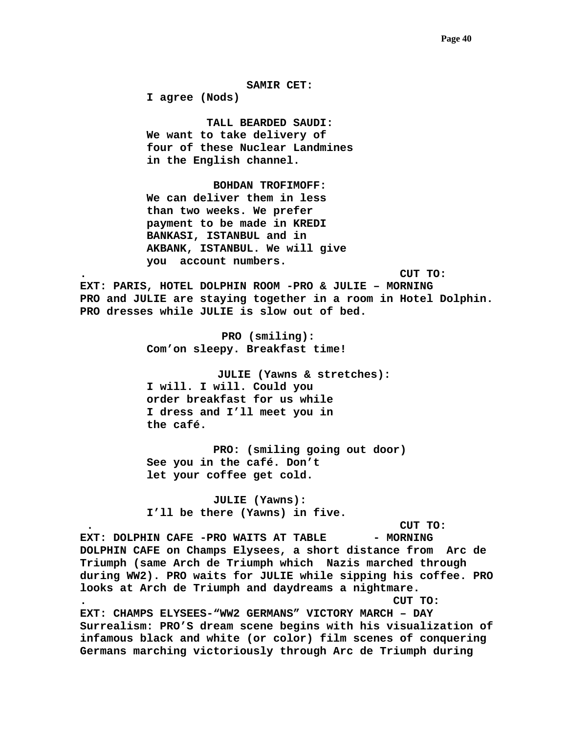## **SAMIR CET:**

 **I agree (Nods)** 

 **TALL BEARDED SAUDI: We want to take delivery of four of these Nuclear Landmines in the English channel.** 

 **BOHDAN TROFIMOFF: We can deliver them in less than two weeks. We prefer payment to be made in KREDI BANKASI, ISTANBUL and in AKBANK, ISTANBUL. We will give you account numbers.** 

**. CUT TO:** 

**EXT: PARIS, HOTEL DOLPHIN ROOM -PRO & JULIE – MORNING PRO and JULIE are staying together in a room in Hotel Dolphin. PRO dresses while JULIE is slow out of bed.** 

> **PRO (smiling): Com'on sleepy. Breakfast time!**

**JULIE (Yawns & stretches): I will. I will. Could you order breakfast for us while I dress and I'll meet you in the café.** 

**PRO: (smiling going out door) See you in the café. Don't let your coffee get cold.** 

**JULIE (Yawns): I'll be there (Yawns) in five.** 

 **. CUT TO:** 

EXT: DOLPHIN CAFE -PRO WAITS AT TABLE - MORNING **DOLPHIN CAFE on Champs Elysees, a short distance from Arc de Triumph (same Arch de Triumph which Nazis marched through during WW2). PRO waits for JULIE while sipping his coffee. PRO looks at Arch de Triumph and daydreams a nightmare. . CUT TO:** 

**EXT: CHAMPS ELYSEES-"WW2 GERMANS" VICTORY MARCH – DAY Surrealism: PRO'S dream scene begins with his visualization of infamous black and white (or color) film scenes of conquering Germans marching victoriously through Arc de Triumph during**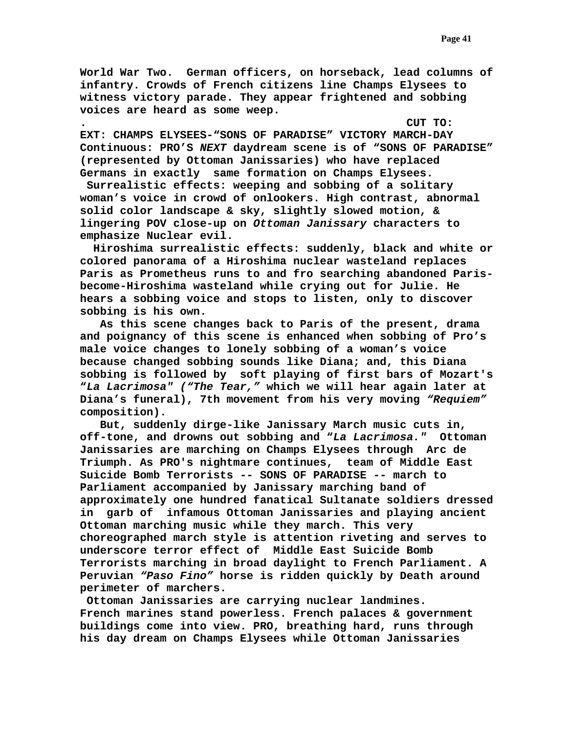**World War Two. German officers, on horseback, lead columns of infantry. Crowds of French citizens line Champs Elysees to witness victory parade. They appear frightened and sobbing voices are heard as some weep.** 

**. CUT TO: EXT: CHAMPS ELYSEES-"SONS OF PARADISE" VICTORY MARCH-DAY Continuous: PRO'S** *NEXT* **daydream scene is of "SONS OF PARADISE" (represented by Ottoman Janissaries) who have replaced Germans in exactly same formation on Champs Elysees.** 

 **Surrealistic effects: weeping and sobbing of a solitary woman's voice in crowd of onlookers. High contrast, abnormal solid color landscape & sky, slightly slowed motion, & lingering POV close-up on** *Ottoman Janissary* **characters to emphasize Nuclear evil.** 

 **Hiroshima surrealistic effects: suddenly, black and white or colored panorama of a Hiroshima nuclear wasteland replaces Paris as Prometheus runs to and fro searching abandoned Parisbecome-Hiroshima wasteland while crying out for Julie. He hears a sobbing voice and stops to listen, only to discover sobbing is his own.** 

 **As this scene changes back to Paris of the present, drama and poignancy of this scene is enhanced when sobbing of Pro's male voice changes to lonely sobbing of a woman's voice because changed sobbing sounds like Diana; and, this Diana sobbing is followed by soft playing of first bars of Mozart's "***La Lacrimosa" ("The Tear,"* **which we will hear again later at Diana's funeral), 7th movement from his very moving** *"Requiem"* **composition).** 

 **But, suddenly dirge-like Janissary March music cuts in, off-tone, and drowns out sobbing and "***La Lacrimosa."* **Ottoman Janissaries are marching on Champs Elysees through Arc de Triumph. As PRO's nightmare continues, team of Middle East Suicide Bomb Terrorists -- SONS OF PARADISE -- march to Parliament accompanied by Janissary marching band of approximately one hundred fanatical Sultanate soldiers dressed in garb of infamous Ottoman Janissaries and playing ancient Ottoman marching music while they march. This very choreographed march style is attention riveting and serves to underscore terror effect of Middle East Suicide Bomb Terrorists marching in broad daylight to French Parliament. A Peruvian** *"Paso Fino"* **horse is ridden quickly by Death around perimeter of marchers.** 

 **Ottoman Janissaries are carrying nuclear landmines. French marines stand powerless. French palaces & government buildings come into view. PRO, breathing hard, runs through his day dream on Champs Elysees while Ottoman Janissaries**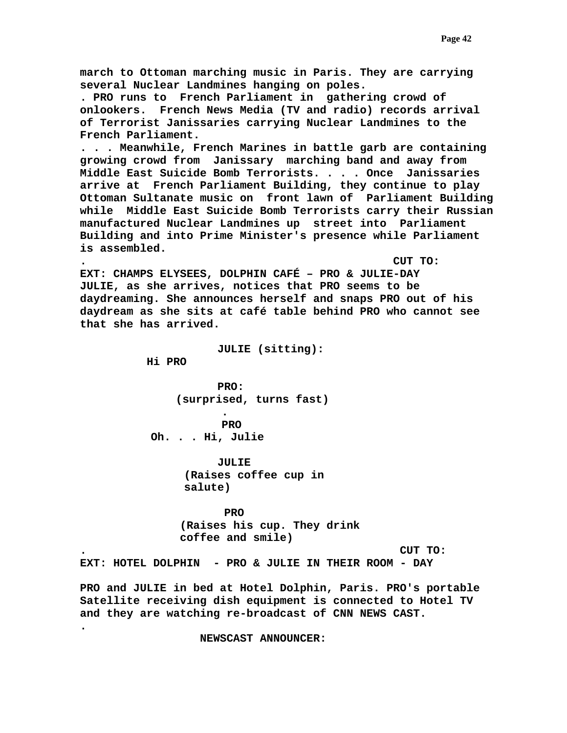**march to Ottoman marching music in Paris. They are carrying several Nuclear Landmines hanging on poles. . PRO runs to French Parliament in gathering crowd of onlookers. French News Media (TV and radio) records arrival of Terrorist Janissaries carrying Nuclear Landmines to the French Parliament. . . . Meanwhile, French Marines in battle garb are containing growing crowd from Janissary marching band and away from Middle East Suicide Bomb Terrorists. . . . Once Janissaries arrive at French Parliament Building, they continue to play Ottoman Sultanate music on front lawn of Parliament Building while Middle East Suicide Bomb Terrorists carry their Russian manufactured Nuclear Landmines up street into Parliament Building and into Prime Minister's presence while Parliament is assembled. . CUT TO: EXT: CHAMPS ELYSEES, DOLPHIN CAFÉ – PRO & JULIE-DAY JULIE, as she arrives, notices that PRO seems to be daydreaming. She announces herself and snaps PRO out of his daydream as she sits at café table behind PRO who cannot see that she has arrived. JULIE (sitting): Hi PRO PRO: (surprised, turns fast) . PRO Oh. . . Hi, Julie JULIE (Raises coffee cup in salute)** 

> **PRO (Raises his cup. They drink coffee and smile)**

**. CUT TO:** 

**EXT: HOTEL DOLPHIN - PRO & JULIE IN THEIR ROOM - DAY** 

**PRO and JULIE in bed at Hotel Dolphin, Paris. PRO's portable Satellite receiving dish equipment is connected to Hotel TV and they are watching re-broadcast of CNN NEWS CAST.** 

 **NEWSCAST ANNOUNCER:** 

 **.**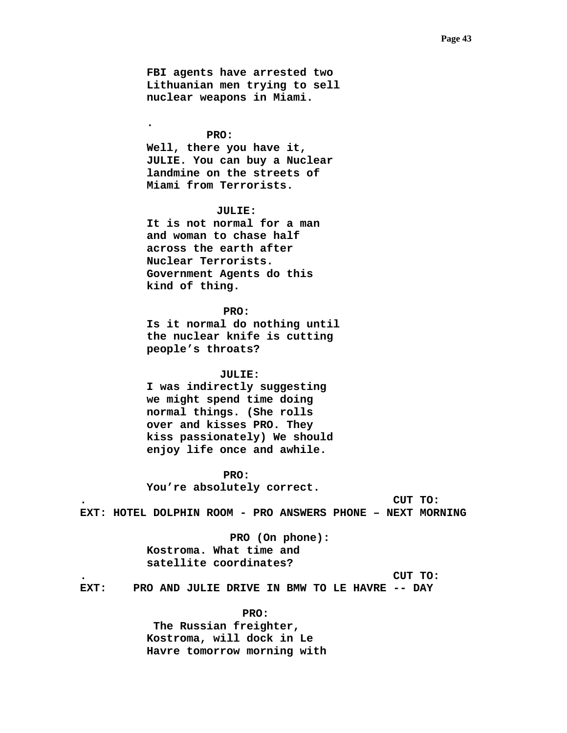**FBI agents have arrested two Lithuanian men trying to sell nuclear weapons in Miami.** 

 **PRO: Well, there you have it, JULIE. You can buy a Nuclear landmine on the streets of Miami from Terrorists.** 

**.** 

# **JULIE:**

**It is not normal for a man and woman to chase half across the earth after Nuclear Terrorists. Government Agents do this kind of thing.** 

## **PRO:**

 **Is it normal do nothing until the nuclear knife is cutting people's throats?** 

### **JULIE:**

 **I was indirectly suggesting we might spend time doing normal things. (She rolls over and kisses PRO. They kiss passionately) We should enjoy life once and awhile.** 

# **PRO:**

 **You're absolutely correct.** 

**. CUT TO:** 

**EXT: HOTEL DOLPHIN ROOM - PRO ANSWERS PHONE – NEXT MORNING** 

 **PRO (On phone): Kostroma. What time and satellite coordinates?** 

**. CUT TO:** 

**EXT: PRO AND JULIE DRIVE IN BMW TO LE HAVRE -- DAY** 

#### **PRO:**

 **The Russian freighter, Kostroma, will dock in Le Havre tomorrow morning with**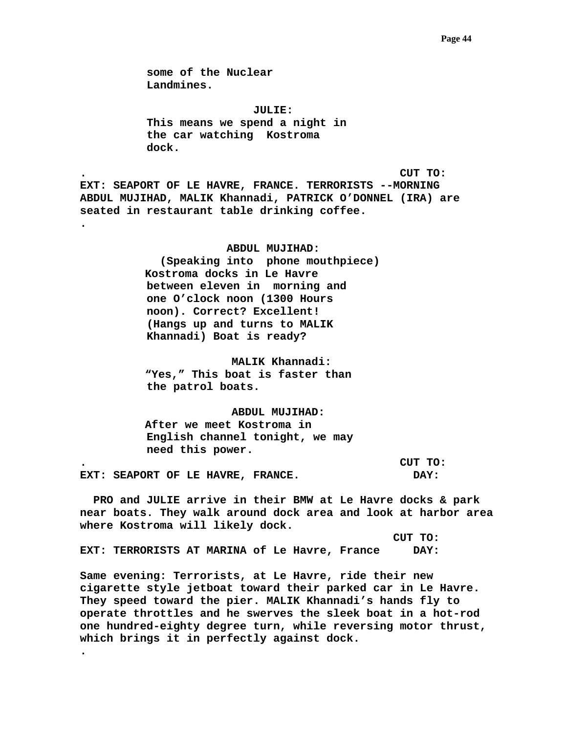**some of the Nuclear Landmines.** 

 **JULIE: This means we spend a night in the car watching Kostroma dock.** 

**. CUT TO: EXT: SEAPORT OF LE HAVRE, FRANCE. TERRORISTS --MORNING ABDUL MUJIHAD, MALIK Khannadi, PATRICK O'DONNEL (IRA) are seated in restaurant table drinking coffee. .** 

> **ABDUL MUJIHAD: (Speaking into phone mouthpiece) Kostroma docks in Le Havre between eleven in morning and one O'clock noon (1300 Hours noon). Correct? Excellent! (Hangs up and turns to MALIK Khannadi) Boat is ready?**

 **MALIK Khannadi: "Yes," This boat is faster than the patrol boats.** 

 **ABDUL MUJIHAD: After we meet Kostroma in English channel tonight, we may need this power.** 

**. CUT TO: EXT: SEAPORT OF LE HAVRE, FRANCE. DAY:** 

 **PRO and JULIE arrive in their BMW at Le Havre docks & park near boats. They walk around dock area and look at harbor area where Kostroma will likely dock.** 

 **CUT TO: EXT: TERRORISTS AT MARINA of Le Havre, France DAY:** 

**.** 

**Same evening: Terrorists, at Le Havre, ride their new cigarette style jetboat toward their parked car in Le Havre. They speed toward the pier. MALIK Khannadi's hands fly to operate throttles and he swerves the sleek boat in a hot-rod one hundred-eighty degree turn, while reversing motor thrust, which brings it in perfectly against dock.**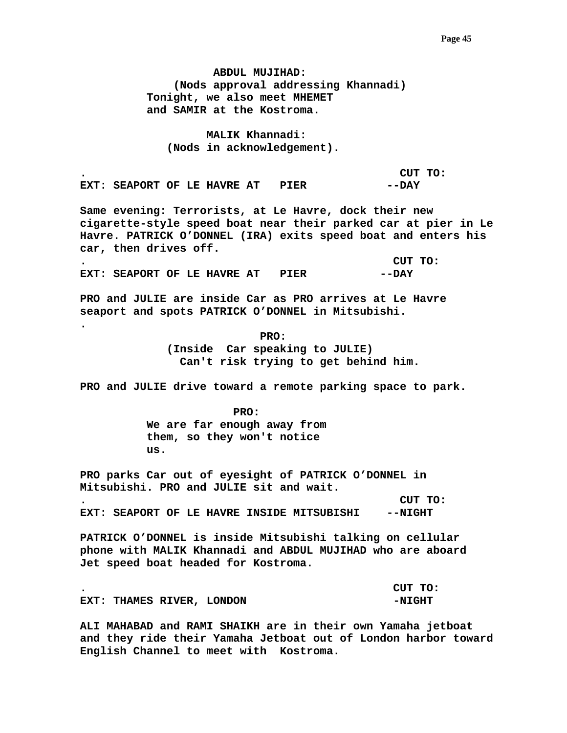**ABDUL MUJIHAD: (Nods approval addressing Khannadi) Tonight, we also meet MHEMET and SAMIR at the Kostroma.** 

 **MALIK Khannadi: (Nods in acknowledgement).** 

**. CUT TO: EXT: SEAPORT OF LE HAVRE AT PIER**  $---$  **DAY** 

**Same evening: Terrorists, at Le Havre, dock their new cigarette-style speed boat near their parked car at pier in Le Havre. PATRICK O'DONNEL (IRA) exits speed boat and enters his car, then drives off.** 

**. CUT TO: EXT: SEAPORT OF LE HAVRE AT PIER**  $---$  **DAY** 

**PRO and JULIE are inside Car as PRO arrives at Le Havre seaport and spots PATRICK O'DONNEL in Mitsubishi.** 

 **PRO: (Inside Car speaking to JULIE) Can't risk trying to get behind him.** 

**PRO and JULIE drive toward a remote parking space to park.** 

 **PRO: We are far enough away from them, so they won't notice us.** 

**.** 

**PRO parks Car out of eyesight of PATRICK O'DONNEL in Mitsubishi. PRO and JULIE sit and wait.** 

**. CUT TO: EXT: SEAPORT OF LE HAVRE INSIDE MITSUBISHI --NIGHT** 

**PATRICK O'DONNEL is inside Mitsubishi talking on cellular phone with MALIK Khannadi and ABDUL MUJIHAD who are aboard Jet speed boat headed for Kostroma.** 

**. CUT TO: EXT: THAMES RIVER, LONDON FOR A PAIGHT** 

**ALI MAHABAD and RAMI SHAIKH are in their own Yamaha jetboat and they ride their Yamaha Jetboat out of London harbor toward English Channel to meet with Kostroma.**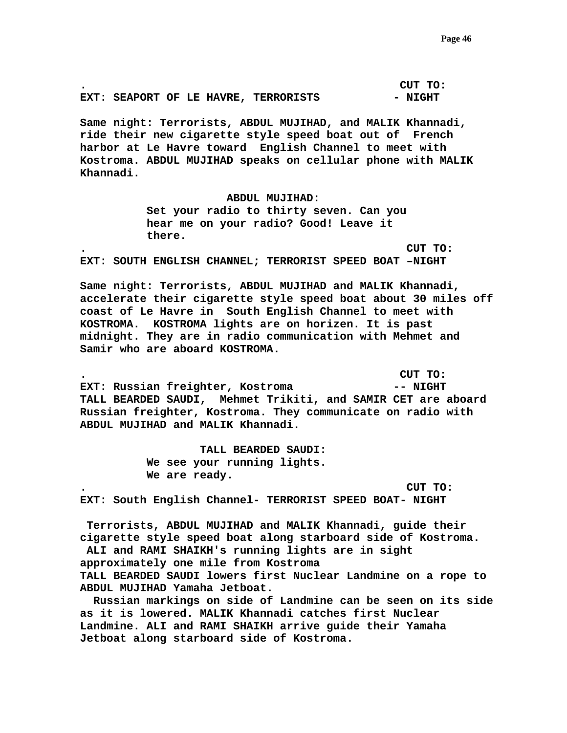**. CUT TO: EXT: SEAPORT OF LE HAVRE, TERRORISTS - NIGHT** 

**Same night: Terrorists, ABDUL MUJIHAD, and MALIK Khannadi, ride their new cigarette style speed boat out of French harbor at Le Havre toward English Channel to meet with Kostroma. ABDUL MUJIHAD speaks on cellular phone with MALIK Khannadi.** 

> **ABDUL MUJIHAD: Set your radio to thirty seven. Can you hear me on your radio? Good! Leave it there.**

**. CUT TO: EXT: SOUTH ENGLISH CHANNEL; TERRORIST SPEED BOAT –NIGHT** 

**Same night: Terrorists, ABDUL MUJIHAD and MALIK Khannadi, accelerate their cigarette style speed boat about 30 miles off coast of Le Havre in South English Channel to meet with KOSTROMA. KOSTROMA lights are on horizen. It is past midnight. They are in radio communication with Mehmet and Samir who are aboard KOSTROMA.** 

**. CUT TO: EXT:** Russian freighter, Kostroma  $---$  NIGHT **TALL BEARDED SAUDI, Mehmet Trikiti, and SAMIR CET are aboard Russian freighter, Kostroma. They communicate on radio with ABDUL MUJIHAD and MALIK Khannadi.** 

> **TALL BEARDED SAUDI: We see your running lights. We are ready.**

**. CUT TO: EXT: South English Channel- TERRORIST SPEED BOAT- NIGHT** 

 **Terrorists, ABDUL MUJIHAD and MALIK Khannadi, guide their cigarette style speed boat along starboard side of Kostroma. ALI and RAMI SHAIKH's running lights are in sight approximately one mile from Kostroma TALL BEARDED SAUDI lowers first Nuclear Landmine on a rope to ABDUL MUJIHAD Yamaha Jetboat.** 

 **Russian markings on side of Landmine can be seen on its side as it is lowered. MALIK Khannadi catches first Nuclear Landmine. ALI and RAMI SHAIKH arrive guide their Yamaha Jetboat along starboard side of Kostroma.**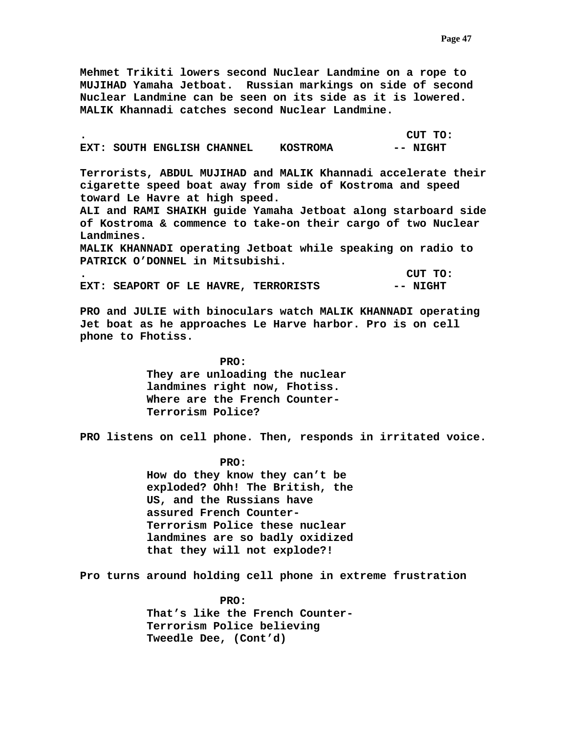**Mehmet Trikiti lowers second Nuclear Landmine on a rope to MUJIHAD Yamaha Jetboat. Russian markings on side of second Nuclear Landmine can be seen on its side as it is lowered. MALIK Khannadi catches second Nuclear Landmine.** 

|  |                            |                 | CUT TO:  |
|--|----------------------------|-----------------|----------|
|  | EXT: SOUTH ENGLISH CHANNEL | <b>KOSTROMA</b> | -- NIGHT |

**Terrorists, ABDUL MUJIHAD and MALIK Khannadi accelerate their cigarette speed boat away from side of Kostroma and speed toward Le Havre at high speed.** 

**ALI and RAMI SHAIKH guide Yamaha Jetboat along starboard side of Kostroma & commence to take-on their cargo of two Nuclear Landmines.** 

**MALIK KHANNADI operating Jetboat while speaking on radio to PATRICK O'DONNEL in Mitsubishi.** 

**. CUT TO:**  EXT: SEAPORT OF LE HAVRE, TERRORISTS -- NIGHT

**PRO and JULIE with binoculars watch MALIK KHANNADI operating Jet boat as he approaches Le Harve harbor. Pro is on cell phone to Fhotiss.** 

> **PRO: They are unloading the nuclear landmines right now, Fhotiss. Where are the French Counter-Terrorism Police?**

**PRO listens on cell phone. Then, responds in irritated voice.** 

 **PRO: How do they know they can't be exploded? Ohh! The British, the US, and the Russians have assured French Counter-Terrorism Police these nuclear landmines are so badly oxidized that they will not explode?!** 

**Pro turns around holding cell phone in extreme frustration** 

 **PRO: That's like the French Counter-Terrorism Police believing Tweedle Dee, (Cont'd)**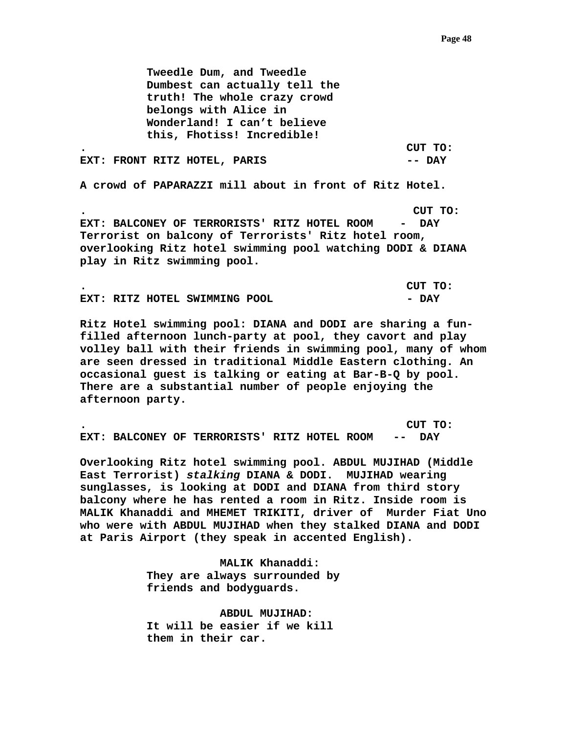**Tweedle Dum, and Tweedle Dumbest can actually tell the truth! The whole crazy crowd belongs with Alice in Wonderland! I can't believe this, Fhotiss! Incredible! . CUT TO: EXT: FRONT RITZ HOTEL, PARIS -- DAY** 

**A crowd of PAPARAZZI mill about in front of Ritz Hotel.** 

**. CUT TO: EXT: BALCONEY OF TERRORISTS' RITZ HOTEL ROOM - DAY Terrorist on balcony of Terrorists' Ritz hotel room, overlooking Ritz hotel swimming pool watching DODI & DIANA play in Ritz swimming pool.** 

|  |                               |  | CUT TO: |
|--|-------------------------------|--|---------|
|  | EXT: RITZ HOTEL SWIMMING POOL |  | - DAY   |

**Ritz Hotel swimming pool: DIANA and DODI are sharing a funfilled afternoon lunch-party at pool, they cavort and play volley ball with their friends in swimming pool, many of whom are seen dressed in traditional Middle Eastern clothing. An occasional guest is talking or eating at Bar-B-Q by pool. There are a substantial number of people enjoying the afternoon party.** 

**. CUT TO: EXT: BALCONEY OF TERRORISTS' RITZ HOTEL ROOM -- DAY** 

**Overlooking Ritz hotel swimming pool. ABDUL MUJIHAD (Middle East Terrorist)** *stalking* **DIANA & DODI. MUJIHAD wearing sunglasses, is looking at DODI and DIANA from third story balcony where he has rented a room in Ritz. Inside room is MALIK Khanaddi and MHEMET TRIKITI, driver of Murder Fiat Uno who were with ABDUL MUJIHAD when they stalked DIANA and DODI at Paris Airport (they speak in accented English).** 

> **MALIK Khanaddi: They are always surrounded by friends and bodyguards.**

 **ABDUL MUJIHAD: It will be easier if we kill them in their car.**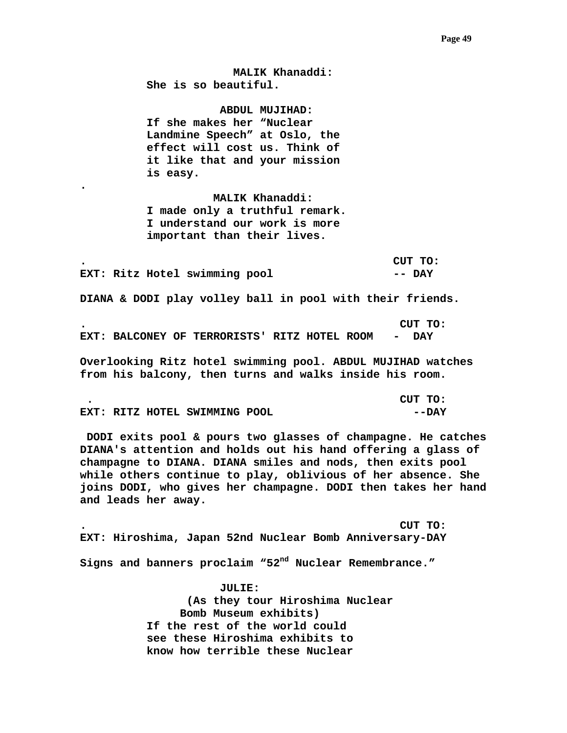**MALIK Khanaddi: She is so beautiful.** 

 **ABDUL MUJIHAD: If she makes her "Nuclear Landmine Speech" at Oslo, the effect will cost us. Think of it like that and your mission is easy.** 

 **MALIK Khanaddi: I made only a truthful remark. I understand our work is more important than their lives.** 

**.** 

**. CUT TO:**  EXT: Ritz Hotel swimming pool **-- DAY** 

**DIANA & DODI play volley ball in pool with their friends.** 

**. CUT TO: EXT: BALCONEY OF TERRORISTS' RITZ HOTEL ROOM - DAY** 

**Overlooking Ritz hotel swimming pool. ABDUL MUJIHAD watches from his balcony, then turns and walks inside his room.** 

|  |                               | CUT TO: |
|--|-------------------------------|---------|
|  | EXT: RITZ HOTEL SWIMMING POOL | --DAY   |

 **DODI exits pool & pours two glasses of champagne. He catches DIANA's attention and holds out his hand offering a glass of champagne to DIANA. DIANA smiles and nods, then exits pool while others continue to play, oblivious of her absence. She joins DODI, who gives her champagne. DODI then takes her hand and leads her away.** 

**. CUT TO: EXT: Hiroshima, Japan 52nd Nuclear Bomb Anniversary-DAY** 

**Signs and banners proclaim "52nd Nuclear Remembrance."** 

 **JULIE: (As they tour Hiroshima Nuclear Bomb Museum exhibits) If the rest of the world could see these Hiroshima exhibits to know how terrible these Nuclear**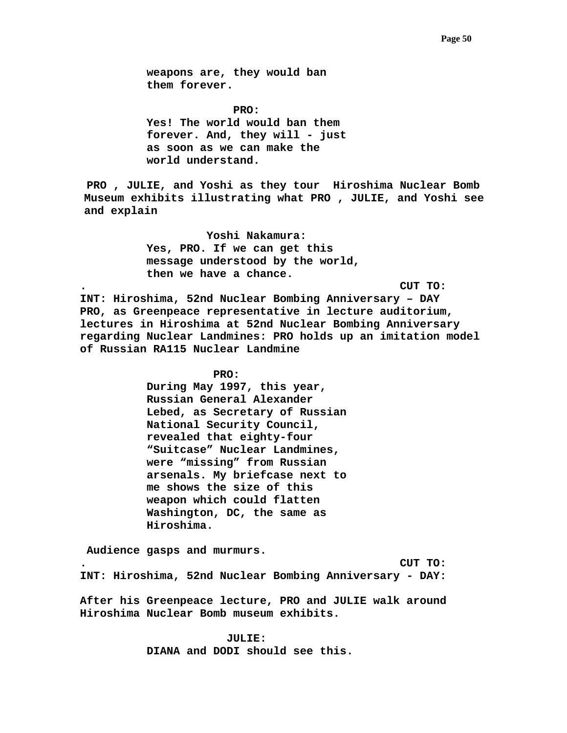**weapons are, they would ban them forever.** 

**PRO:**  $\blacksquare$  **Yes! The world would ban them forever. And, they will - just as soon as we can make the world understand.** 

 **PRO , JULIE, and Yoshi as they tour Hiroshima Nuclear Bomb Museum exhibits illustrating what PRO , JULIE, and Yoshi see and explain** 

> **Yoshi Nakamura: Yes, PRO. If we can get this message understood by the world, then we have a chance.**

**. CUT TO:** 

**INT: Hiroshima, 52nd Nuclear Bombing Anniversary – DAY PRO, as Greenpeace representative in lecture auditorium, lectures in Hiroshima at 52nd Nuclear Bombing Anniversary regarding Nuclear Landmines: PRO holds up an imitation model of Russian RA115 Nuclear Landmine** 

 **PRO:** 

**During May 1997, this year, Russian General Alexander Lebed, as Secretary of Russian National Security Council, revealed that eighty-four "Suitcase" Nuclear Landmines, were "missing" from Russian arsenals. My briefcase next to me shows the size of this weapon which could flatten Washington, DC, the same as Hiroshima.** 

 **Audience gasps and murmurs. . CUT TO: INT: Hiroshima, 52nd Nuclear Bombing Anniversary - DAY:** 

**After his Greenpeace lecture, PRO and JULIE walk around Hiroshima Nuclear Bomb museum exhibits.** 

> **JULIE: DIANA and DODI should see this.**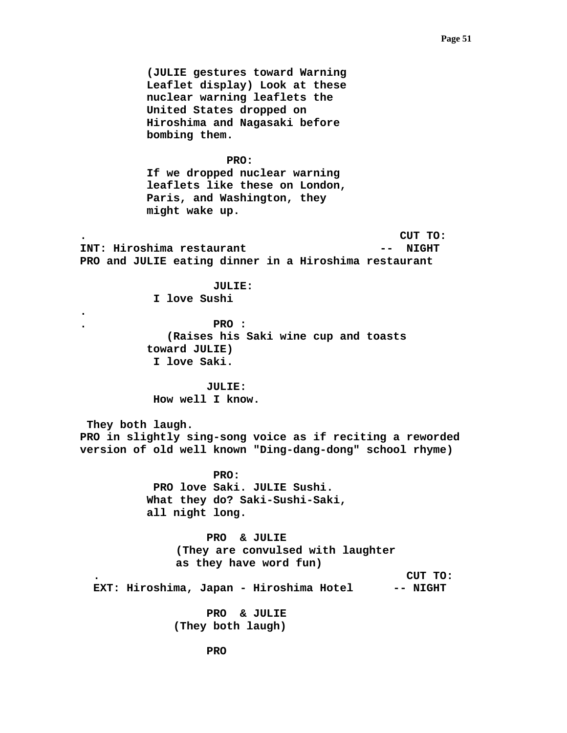**(JULIE gestures toward Warning Leaflet display) Look at these nuclear warning leaflets the United States dropped on Hiroshima and Nagasaki before bombing them.** 

## **PRO:**

**If we dropped nuclear warning leaflets like these on London, Paris, and Washington, they might wake up.** 

**. CUT TO: INT: Hiroshima restaurant 1988 -- NIGHT PRO and JULIE eating dinner in a Hiroshima restaurant** 

> **JULIE: I love Sushi**

**.** 

**. PRO : (Raises his Saki wine cup and toasts toward JULIE) I love Saki.** 

 **JULIE: How well I know.** 

 **They both laugh. PRO in slightly sing-song voice as if reciting a reworded version of old well known "Ding-dang-dong" school rhyme)** 

> **PRO: PRO love Saki. JULIE Sushi. What they do? Saki-Sushi-Saki, all night long.**

 **PRO & JULIE (They are convulsed with laughter as they have word fun) . CUT TO:** 

 **EXT: Hiroshima, Japan - Hiroshima Hotel -- NIGHT** 

 **PRO & JULIE (They both laugh)**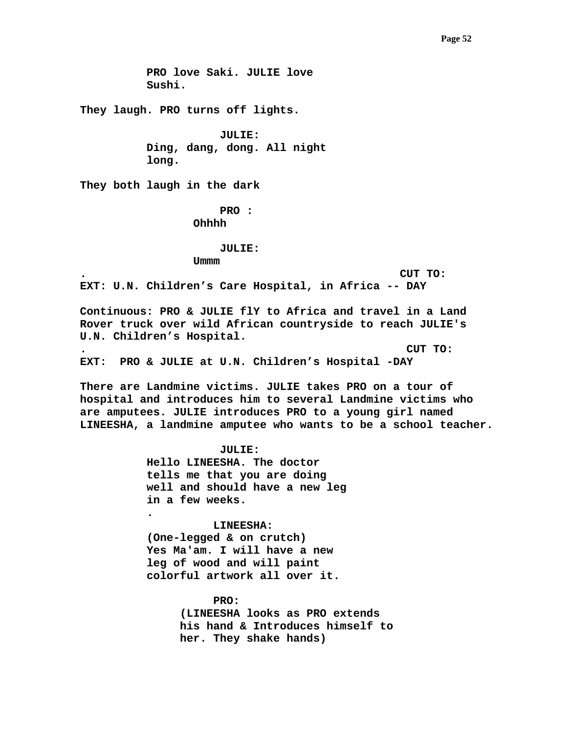## **Page 52**

 **PRO love Saki. JULIE love Sushi.** 

**They laugh. PRO turns off lights.** 

 **JULIE: Ding, dang, dong. All night long.** 

**They both laugh in the dark** 

 **PRO : Ohhhh** 

 **JULIE:** 

 **Ummm** 

**. CUT TO:** 

**EXT: U.N. Children's Care Hospital, in Africa -- DAY** 

**Continuous: PRO & JULIE flY to Africa and travel in a Land Rover truck over wild African countryside to reach JULIE's U.N. Children's Hospital.** 

**. CUT TO:** 

**EXT: PRO & JULIE at U.N. Children's Hospital -DAY** 

**There are Landmine victims. JULIE takes PRO on a tour of hospital and introduces him to several Landmine victims who are amputees. JULIE introduces PRO to a young girl named LINEESHA, a landmine amputee who wants to be a school teacher.** 

> **JULIE: Hello LINEESHA. The doctor tells me that you are doing well and should have a new leg in a few weeks. .**

 **LINEESHA: (One-legged & on crutch) Yes Ma'am. I will have a new leg of wood and will paint colorful artwork all over it.** 

> **PRO: (LINEESHA looks as PRO extends his hand & Introduces himself to her. They shake hands)**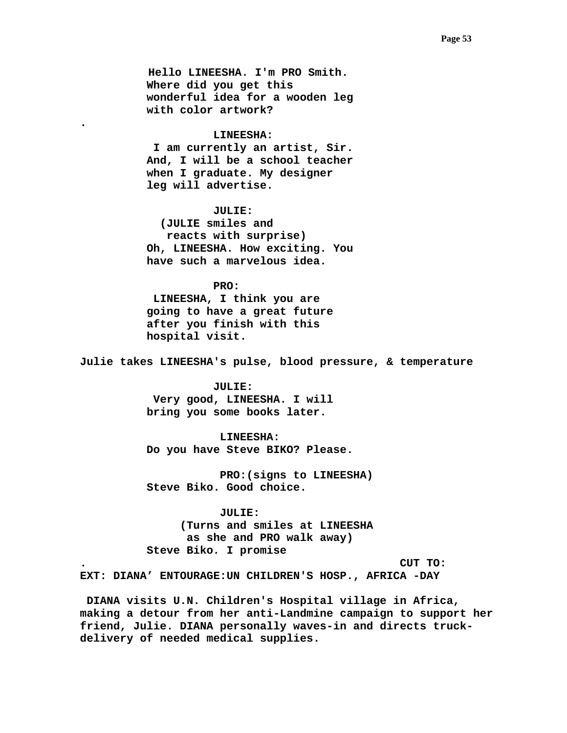**Hello LINEESHA. I'm PRO Smith. Where did you get this wonderful idea for a wooden leg with color artwork?** 

### **LINEESHA:**

**.** 

 **I am currently an artist, Sir. And, I will be a school teacher when I graduate. My designer leg will advertise.** 

## **JULIE:**

 **(JULIE smiles and reacts with surprise) Oh, LINEESHA. How exciting. You have such a marvelous idea.** 

# **PRO:**

 **LINEESHA, I think you are going to have a great future after you finish with this hospital visit.** 

**Julie takes LINEESHA's pulse, blood pressure, & temperature** 

# **JULIE:**

 **Very good, LINEESHA. I will bring you some books later.** 

## **LINEESHA:**

 **Do you have Steve BIKO? Please.** 

 **PRO:(signs to LINEESHA) Steve Biko. Good choice.** 

# **JULIE:**

 **(Turns and smiles at LINEESHA as she and PRO walk away) Steve Biko***.* **I promise** 

**. CUT TO:** 

**EXT: DIANA' ENTOURAGE:UN CHILDREN'S HOSP., AFRICA -DAY** 

 **DIANA visits U.N. Children's Hospital village in Africa, making a detour from her anti-Landmine campaign to support her friend, Julie. DIANA personally waves-in and directs truckdelivery of needed medical supplies.**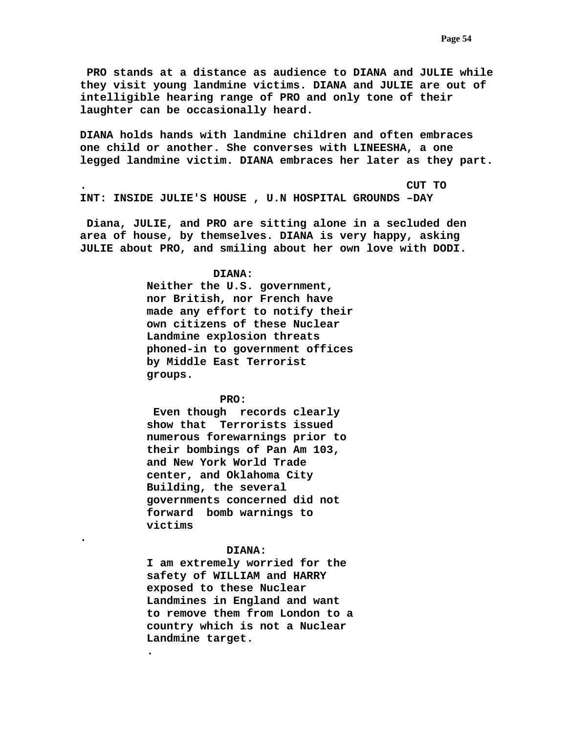**PRO stands at a distance as audience to DIANA and JULIE while they visit young landmine victims. DIANA and JULIE are out of intelligible hearing range of PRO and only tone of their laughter can be occasionally heard.** 

**DIANA holds hands with landmine children and often embraces one child or another. She converses with LINEESHA, a one legged landmine victim. DIANA embraces her later as they part.** 

**. CUT TO INT: INSIDE JULIE'S HOUSE , U.N HOSPITAL GROUNDS –DAY** 

 **Diana, JULIE, and PRO are sitting alone in a secluded den area of house, by themselves. DIANA is very happy, asking JULIE about PRO, and smiling about her own love with DODI.** 

# **DIANA:**

**Neither the U.S. government, nor British, nor French have made any effort to notify their own citizens of these Nuclear Landmine explosion threats phoned-in to government offices by Middle East Terrorist groups.** 

# **PRO:**

 **Even though records clearly show that Terrorists issued numerous forewarnings prior to their bombings of Pan Am 103, and New York World Trade center, and Oklahoma City Building, the several governments concerned did not forward bomb warnings to victims** 

# **DIANA:**

**.** 

**.** 

**I am extremely worried for the safety of WILLIAM and HARRY exposed to these Nuclear Landmines in England and want to remove them from London to a country which is not a Nuclear Landmine target.**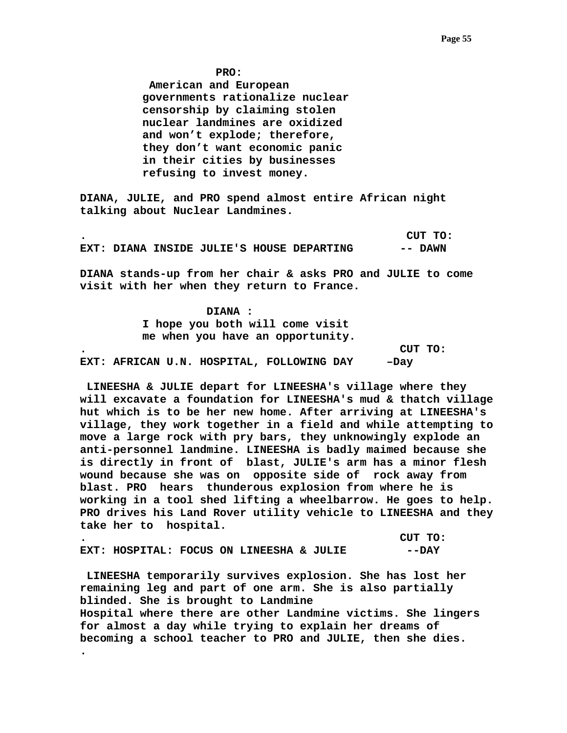**PRO:** 

 **American and European governments rationalize nuclear censorship by claiming stolen nuclear landmines are oxidized and won't explode; therefore, they don't want economic panic in their cities by businesses refusing to invest money.** 

**DIANA, JULIE, and PRO spend almost entire African night talking about Nuclear Landmines.** 

**. CUT TO: EXT: DIANA INSIDE JULIE'S HOUSE DEPARTING -- DAWN** 

**DIANA stands-up from her chair & asks PRO and JULIE to come visit with her when they return to France.** 

 **DIANA : I hope you both will come visit me when you have an opportunity. . CUT TO: EXT: AFRICAN U.N. HOSPITAL, FOLLOWING DAY –Day** 

 **LINEESHA & JULIE depart for LINEESHA's village where they will excavate a foundation for LINEESHA's mud & thatch village hut which is to be her new home. After arriving at LINEESHA's village, they work together in a field and while attempting to move a large rock with pry bars, they unknowingly explode an anti-personnel landmine. LINEESHA is badly maimed because she is directly in front of blast, JULIE's arm has a minor flesh wound because she was on opposite side of rock away from blast. PRO hears thunderous explosion from where he is working in a tool shed lifting a wheelbarrow. He goes to help. PRO drives his Land Rover utility vehicle to LINEESHA and they take her to hospital.** 

**. CUT TO: EXT: HOSPITAL: FOCUS ON LINEESHA & JULIE --DAY** 

 **LINEESHA temporarily survives explosion. She has lost her remaining leg and part of one arm. She is also partially blinded. She is brought to Landmine Hospital where there are other Landmine victims. She lingers for almost a day while trying to explain her dreams of becoming a school teacher to PRO and JULIE, then she dies. .**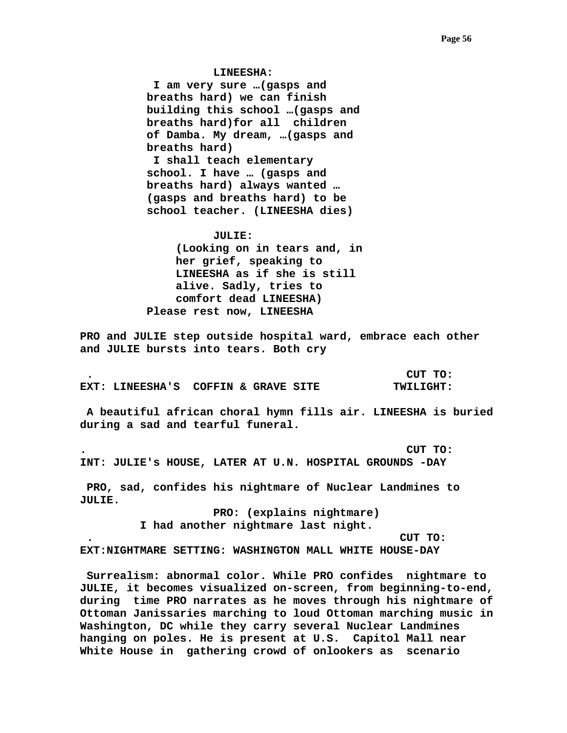**LINEESHA:** 

 **I am very sure …(gasps and breaths hard) we can finish building this school …(gasps and breaths hard)for all children of Damba. My dream, …(gasps and breaths hard) I shall teach elementary school. I have … (gasps and breaths hard) always wanted … (gasps and breaths hard) to be school teacher. (LINEESHA dies)** 

### **JULIE:**

**(Looking on in tears and, in her grief, speaking to LINEESHA as if she is still alive. Sadly, tries to comfort dead LINEESHA) Please rest now, LINEESHA** 

**PRO and JULIE step outside hospital ward, embrace each other and JULIE bursts into tears. Both cry** 

 **. CUT TO: EXT: LINEESHA'S COFFIN & GRAVE SITE TWILIGHT:** 

 **A beautiful african choral hymn fills air. LINEESHA is buried during a sad and tearful funeral.** 

**. CUT TO: INT: JULIE's HOUSE, LATER AT U.N. HOSPITAL GROUNDS -DAY** 

 **PRO, sad, confides his nightmare of Nuclear Landmines to JULIE.** 

> **PRO: (explains nightmare) I had another nightmare last night.**

 **. CUT TO:** 

**EXT:NIGHTMARE SETTING: WASHINGTON MALL WHITE HOUSE-DAY** 

 **Surrealism: abnormal color. While PRO confides nightmare to JULIE, it becomes visualized on-screen, from beginning-to-end, during time PRO narrates as he moves through his nightmare of Ottoman Janissaries marching to loud Ottoman marching music in Washington, DC while they carry several Nuclear Landmines hanging on poles. He is present at U.S. Capitol Mall near White House in gathering crowd of onlookers as scenario**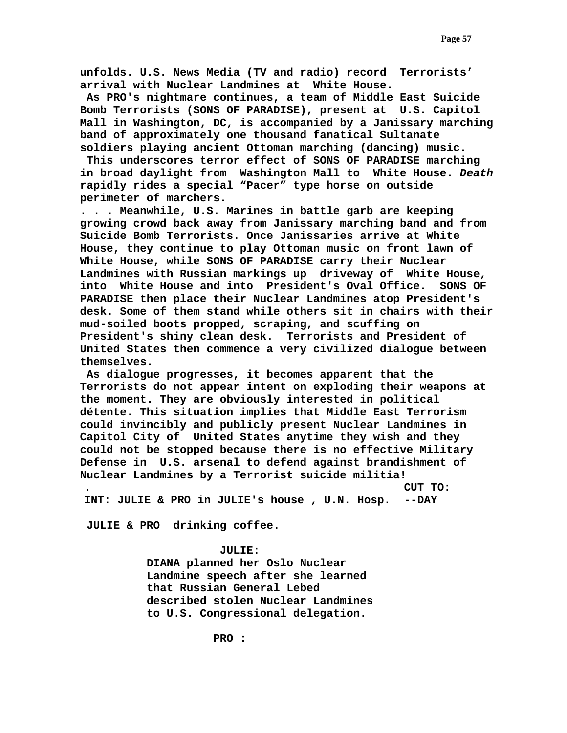**unfolds. U.S. News Media (TV and radio) record Terrorists' arrival with Nuclear Landmines at White House.** 

 **As PRO's nightmare continues, a team of Middle East Suicide Bomb Terrorists (SONS OF PARADISE), present at U.S. Capitol Mall in Washington, DC, is accompanied by a Janissary marching band of approximately one thousand fanatical Sultanate soldiers playing ancient Ottoman marching (dancing) music.** 

 **This underscores terror effect of SONS OF PARADISE marching in broad daylight from Washington Mall to White House.** *Death*  **rapidly rides a special "Pacer" type horse on outside perimeter of marchers.** 

**. . . Meanwhile, U.S. Marines in battle garb are keeping growing crowd back away from Janissary marching band and from Suicide Bomb Terrorists. Once Janissaries arrive at White House, they continue to play Ottoman music on front lawn of White House, while SONS OF PARADISE carry their Nuclear Landmines with Russian markings up driveway of White House, into White House and into President's Oval Office. SONS OF PARADISE then place their Nuclear Landmines atop President's desk. Some of them stand while others sit in chairs with their mud-soiled boots propped, scraping, and scuffing on President's shiny clean desk. Terrorists and President of United States then commence a very civilized dialogue between themselves.** 

 **As dialogue progresses, it becomes apparent that the Terrorists do not appear intent on exploding their weapons at the moment. They are obviously interested in political détente. This situation implies that Middle East Terrorism could invincibly and publicly present Nuclear Landmines in Capitol City of United States anytime they wish and they could not be stopped because there is no effective Military Defense in U.S. arsenal to defend against brandishment of Nuclear Landmines by a Terrorist suicide militia!** 

**INT: JULIE & PRO in JULIE's house , U.N. Hosp. --DAY** 

**. CUT TO:** 

 **JULIE & PRO drinking coffee.** 

## **JULIE:**

**DIANA planned her Oslo Nuclear Landmine speech after she learned that Russian General Lebed described stolen Nuclear Landmines to U.S. Congressional delegation.**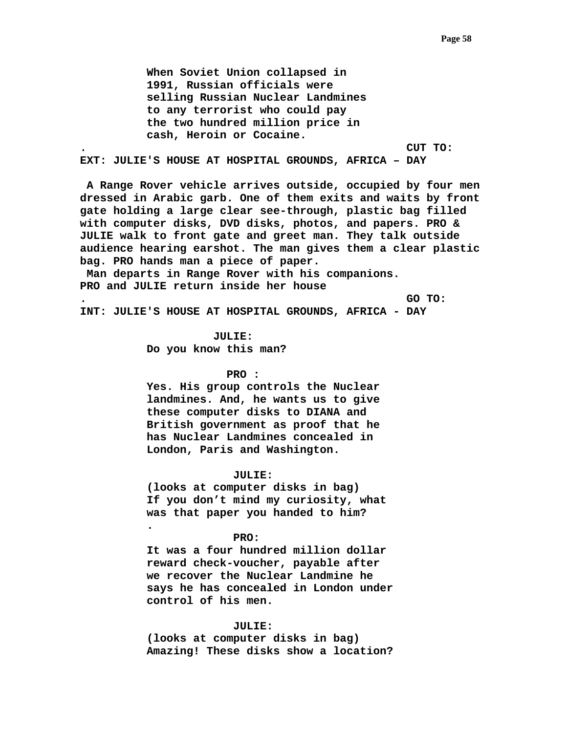**When Soviet Union collapsed in 1991, Russian officials were selling Russian Nuclear Landmines to any terrorist who could pay the two hundred million price in cash, Heroin or Cocaine.** 

**. CUT TO:** 

**EXT: JULIE'S HOUSE AT HOSPITAL GROUNDS, AFRICA – DAY** 

 **A Range Rover vehicle arrives outside, occupied by four men dressed in Arabic garb. One of them exits and waits by front gate holding a large clear see-through, plastic bag filled with computer disks, DVD disks, photos, and papers. PRO & JULIE walk to front gate and greet man. They talk outside audience hearing earshot. The man gives them a clear plastic bag. PRO hands man a piece of paper.** 

 **Man departs in Range Rover with his companions. PRO and JULIE return inside her house** 

**. GO TO:** 

**INT: JULIE'S HOUSE AT HOSPITAL GROUNDS, AFRICA - DAY** 

 **JULIE: Do you know this man?** 

# **PRO :**

**Yes. His group controls the Nuclear landmines. And, he wants us to give these computer disks to DIANA and British government as proof that he has Nuclear Landmines concealed in London, Paris and Washington.** 

### **JULIE:**

**(looks at computer disks in bag) If you don't mind my curiosity, what was that paper you handed to him? .** 

#### **PRO:**

**It was a four hundred million dollar reward check-voucher, payable after we recover the Nuclear Landmine he says he has concealed in London under control of his men.** 

#### **JULIE:**

**(looks at computer disks in bag) Amazing! These disks show a location?**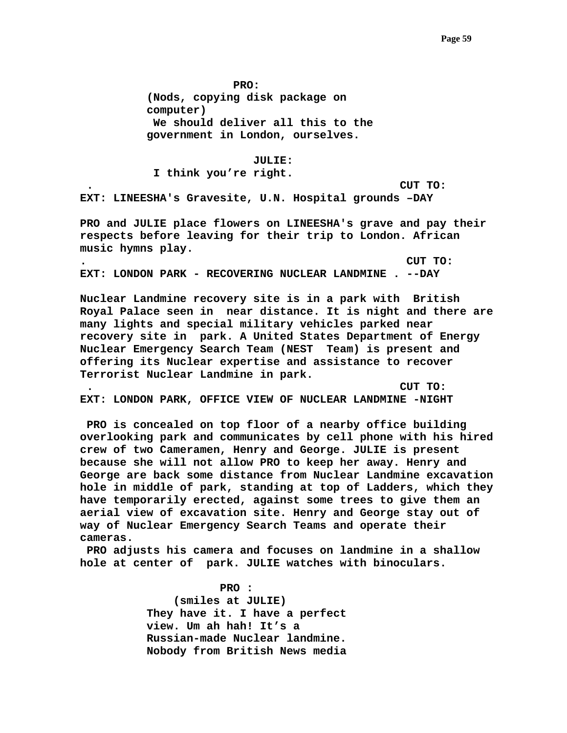**PRO:** 

**(Nods, copying disk package on computer) We should deliver all this to the government in London, ourselves.** 

 **JULIE:** 

 **I think you're right.** 

 **. CUT TO: EXT: LINEESHA's Gravesite, U.N. Hospital grounds –DAY** 

**PRO and JULIE place flowers on LINEESHA's grave and pay their respects before leaving for their trip to London. African music hymns play.** 

**. CUT TO: EXT: LONDON PARK - RECOVERING NUCLEAR LANDMINE . --DAY** 

**Nuclear Landmine recovery site is in a park with British Royal Palace seen in near distance. It is night and there are many lights and special military vehicles parked near recovery site in park. A United States Department of Energy Nuclear Emergency Search Team (NEST Team) is present and offering its Nuclear expertise and assistance to recover Terrorist Nuclear Landmine in park.** 

 **. CUT TO: EXT: LONDON PARK, OFFICE VIEW OF NUCLEAR LANDMINE -NIGHT** 

 **PRO is concealed on top floor of a nearby office building overlooking park and communicates by cell phone with his hired crew of two Cameramen, Henry and George. JULIE is present because she will not allow PRO to keep her away. Henry and George are back some distance from Nuclear Landmine excavation hole in middle of park, standing at top of Ladders, which they have temporarily erected, against some trees to give them an aerial view of excavation site. Henry and George stay out of way of Nuclear Emergency Search Teams and operate their cameras.** 

 **PRO adjusts his camera and focuses on landmine in a shallow hole at center of park. JULIE watches with binoculars.** 

> **PRO : (smiles at JULIE) They have it. I have a perfect view. Um ah hah! It's a Russian-made Nuclear landmine. Nobody from British News media**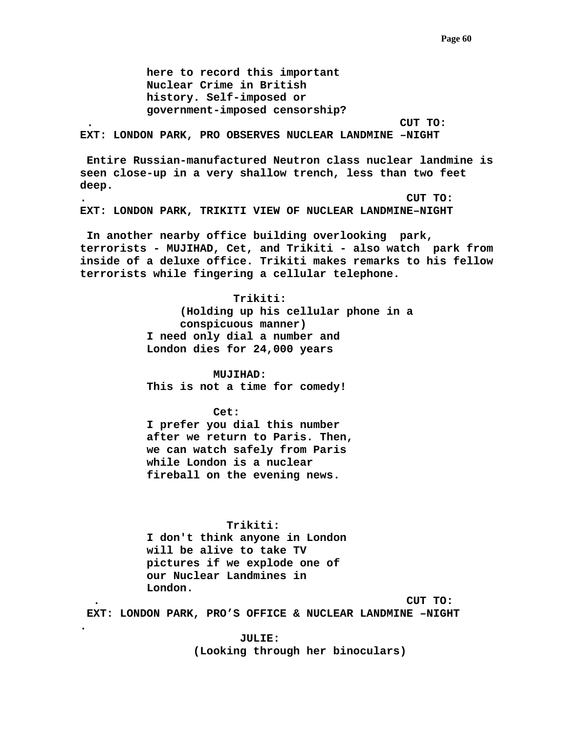**here to record this important Nuclear Crime in British history. Self-imposed or government-imposed censorship?** 

 **. CUT TO:** 

**EXT: LONDON PARK, PRO OBSERVES NUCLEAR LANDMINE –NIGHT** 

 **Entire Russian-manufactured Neutron class nuclear landmine is seen close-up in a very shallow trench, less than two feet deep.** 

**. CUT TO: EXT: LONDON PARK, TRIKITI VIEW OF NUCLEAR LANDMINE–NIGHT** 

 **In another nearby office building overlooking park, terrorists - MUJIHAD, Cet, and Trikiti - also watch park from inside of a deluxe office. Trikiti makes remarks to his fellow terrorists while fingering a cellular telephone.** 

> **Trikiti: (Holding up his cellular phone in a conspicuous manner) I need only dial a number and London dies for 24,000 years**

# **MUJIHAD:**

**This is not a time for comedy!** 

#### **Cet:**

**I prefer you dial this number after we return to Paris. Then, we can watch safely from Paris while London is a nuclear fireball on the evening news.** 

### **Trikiti:**

**I don't think anyone in London will be alive to take TV pictures if we explode one of our Nuclear Landmines in London.** 

**.** 

 **. CUT TO:** 

 **EXT: LONDON PARK, PRO'S OFFICE & NUCLEAR LANDMINE –NIGHT** 

 **JULIE: (Looking through her binoculars)**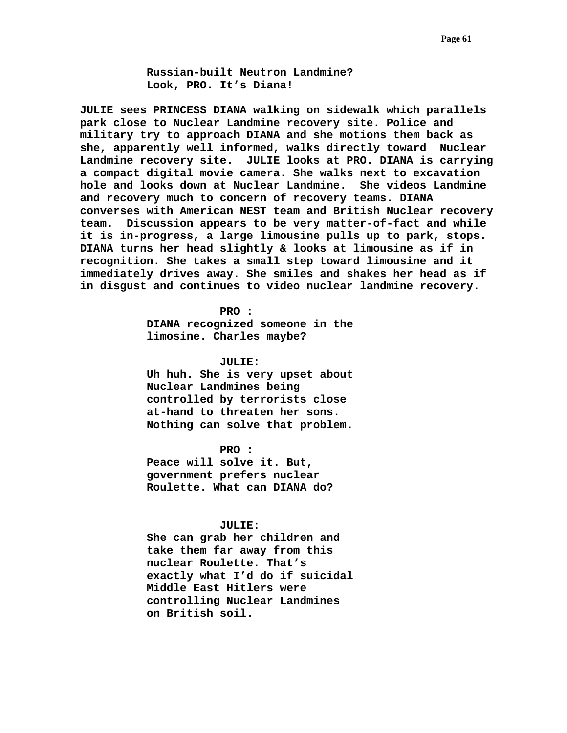**Russian-built Neutron Landmine? Look, PRO. It's Diana!** 

**JULIE sees PRINCESS DIANA walking on sidewalk which parallels park close to Nuclear Landmine recovery site. Police and military try to approach DIANA and she motions them back as she, apparently well informed, walks directly toward Nuclear Landmine recovery site. JULIE looks at PRO. DIANA is carrying a compact digital movie camera. She walks next to excavation hole and looks down at Nuclear Landmine. She videos Landmine and recovery much to concern of recovery teams. DIANA converses with American NEST team and British Nuclear recovery team. Discussion appears to be very matter-of-fact and while it is in-progress, a large limousine pulls up to park, stops. DIANA turns her head slightly & looks at limousine as if in recognition. She takes a small step toward limousine and it immediately drives away. She smiles and shakes her head as if in disgust and continues to video nuclear landmine recovery.** 

> **PRO : DIANA recognized someone in the limosine. Charles maybe?**

> **JULIE: Uh huh. She is very upset about Nuclear Landmines being controlled by terrorists close at-hand to threaten her sons. Nothing can solve that problem.**

 **PRO : Peace will solve it. But, government prefers nuclear Roulette. What can DIANA do?** 

# **JULIE:**

**She can grab her children and take them far away from this nuclear Roulette. That's exactly what I'd do if suicidal Middle East Hitlers were controlling Nuclear Landmines on British soil.**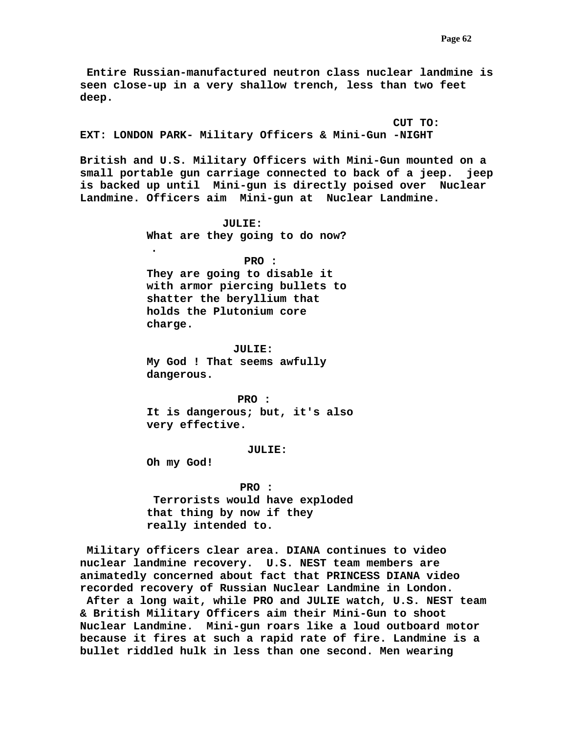**Entire Russian-manufactured neutron class nuclear landmine is seen close-up in a very shallow trench, less than two feet deep.** 

 **CUT TO: EXT: LONDON PARK- Military Officers & Mini-Gun -NIGHT** 

**British and U.S. Military Officers with Mini-Gun mounted on a small portable gun carriage connected to back of a jeep. jeep is backed up until Mini-gun is directly poised over Nuclear Landmine. Officers aim Mini-gun at Nuclear Landmine.** 

> **JULIE: What are they going to do now?**

> **PRO : They are going to disable it with armor piercing bullets to shatter the beryllium that holds the Plutonium core charge.**

 **JULIE: My God ! That seems awfully dangerous.** 

 **PRO : It is dangerous; but, it's also very effective.** 

#### **JULIE:**

**Oh my God!** 

**.** 

 **PRO : Terrorists would have exploded that thing by now if they really intended to.** 

 **Military officers clear area. DIANA continues to video nuclear landmine recovery. U.S. NEST team members are animatedly concerned about fact that PRINCESS DIANA video recorded recovery of Russian Nuclear Landmine in London.** 

 **After a long wait, while PRO and JULIE watch, U.S. NEST team & British Military Officers aim their Mini-Gun to shoot Nuclear Landmine. Mini-gun roars like a loud outboard motor because it fires at such a rapid rate of fire. Landmine is a bullet riddled hulk in less than one second. Men wearing**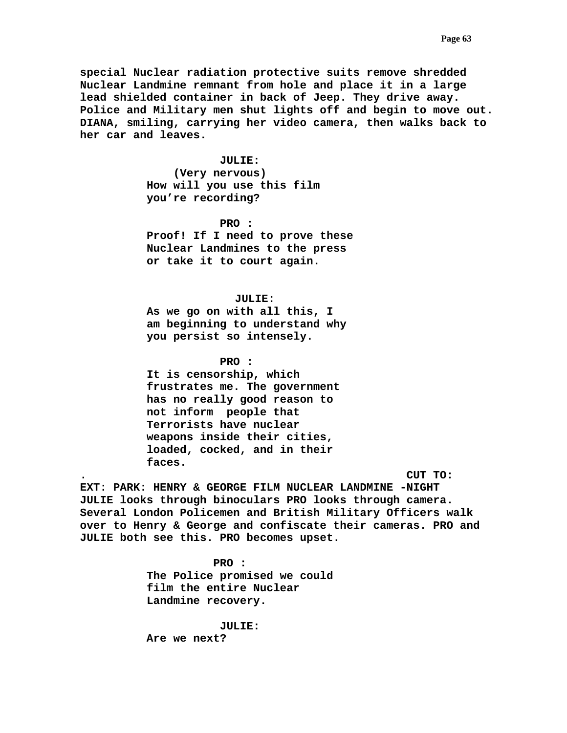**special Nuclear radiation protective suits remove shredded Nuclear Landmine remnant from hole and place it in a large lead shielded container in back of Jeep. They drive away. Police and Military men shut lights off and begin to move out. DIANA, smiling, carrying her video camera, then walks back to her car and leaves.** 

# **JULIE:**

 **(Very nervous) How will you use this film you're recording?** 

 **PRO : Proof! If I need to prove these Nuclear Landmines to the press or take it to court again.** 

# **JULIE:**

**As we go on with all this, I am beginning to understand why you persist so intensely.** 

 **PRO :** 

**It is censorship, which frustrates me. The government has no really good reason to not inform people that Terrorists have nuclear weapons inside their cities, loaded, cocked, and in their faces.** 

**. CUT TO:** 

**EXT: PARK: HENRY & GEORGE FILM NUCLEAR LANDMINE -NIGHT JULIE looks through binoculars PRO looks through camera. Several London Policemen and British Military Officers walk over to Henry & George and confiscate their cameras. PRO and JULIE both see this. PRO becomes upset.** 

> **PRO : The Police promised we could film the entire Nuclear Landmine recovery.**

 **JULIE: Are we next?**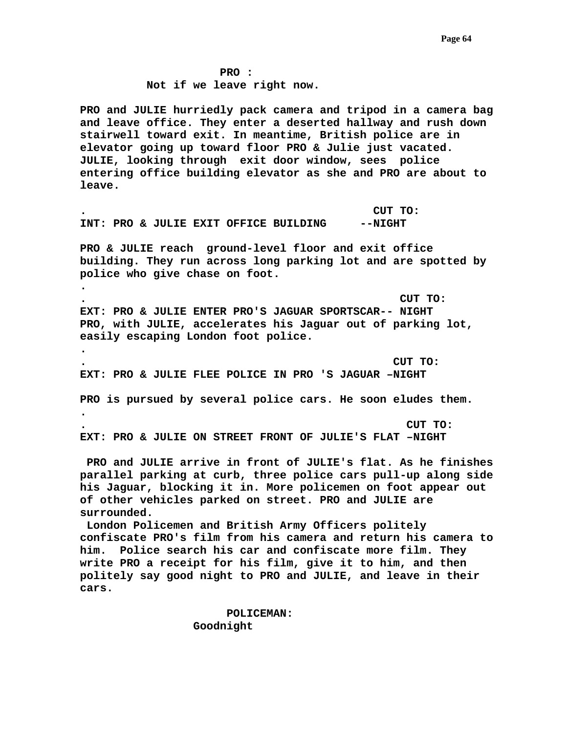**PRO : Not if we leave right now.** 

**PRO and JULIE hurriedly pack camera and tripod in a camera bag and leave office. They enter a deserted hallway and rush down stairwell toward exit. In meantime, British police are in elevator going up toward floor PRO & Julie just vacated. JULIE, looking through exit door window, sees police entering office building elevator as she and PRO are about to leave.** 

**. CUT TO: INT: PRO & JULIE EXIT OFFICE BUILDING --NIGHT** 

**.** 

**.** 

**.** 

**PRO & JULIE reach ground-level floor and exit office building. They run across long parking lot and are spotted by police who give chase on foot.** 

**. CUT TO: EXT: PRO & JULIE ENTER PRO'S JAGUAR SPORTSCAR-- NIGHT PRO, with JULIE, accelerates his Jaguar out of parking lot, easily escaping London foot police.** 

**. CUT TO: EXT: PRO & JULIE FLEE POLICE IN PRO 'S JAGUAR –NIGHT** 

**PRO is pursued by several police cars. He soon eludes them.** 

**. CUT TO: EXT: PRO & JULIE ON STREET FRONT OF JULIE'S FLAT –NIGHT** 

 **PRO and JULIE arrive in front of JULIE's flat. As he finishes parallel parking at curb, three police cars pull-up along side his Jaguar, blocking it in. More policemen on foot appear out of other vehicles parked on street. PRO and JULIE are surrounded.** 

 **London Policemen and British Army Officers politely confiscate PRO's film from his camera and return his camera to him. Police search his car and confiscate more film. They write PRO a receipt for his film, give it to him, and then politely say good night to PRO and JULIE, and leave in their cars.** 

> **POLICEMAN: Goodnight**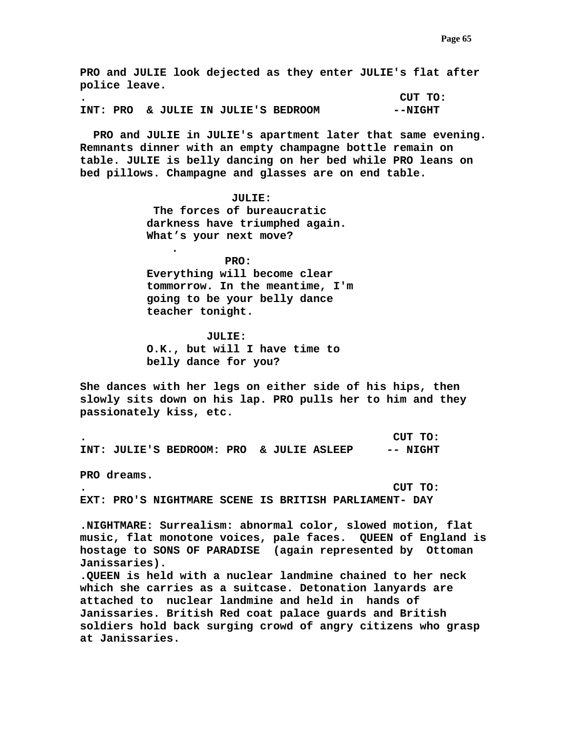**PRO and JULIE look dejected as they enter JULIE's flat after police leave. . CUT TO:**  INT: PRO & JULIE IN JULIE'S BEDROOM **--NIGHT** 

 **PRO and JULIE in JULIE's apartment later that same evening. Remnants dinner with an empty champagne bottle remain on table. JULIE is belly dancing on her bed while PRO leans on bed pillows. Champagne and glasses are on end table.** 

# **JULIE:**

 **The forces of bureaucratic darkness have triumphed again. What's your next move?** 

**.** 

 **PRO: Everything will become clear tommorrow. In the meantime, I'm going to be your belly dance teacher tonight.** 

 **JULIE: O.K., but will I have time to belly dance for you?** 

**She dances with her legs on either side of his hips, then slowly sits down on his lap. PRO pulls her to him and they passionately kiss, etc.** 

**. CUT TO: INT: JULIE'S BEDROOM: PRO & JULIE ASLEEP -- NIGHT** 

**PRO dreams.** 

**. CUT TO:** 

**EXT: PRO'S NIGHTMARE SCENE IS BRITISH PARLIAMENT- DAY** 

**.NIGHTMARE: Surrealism: abnormal color, slowed motion, flat music, flat monotone voices, pale faces. QUEEN of England is hostage to SONS OF PARADISE (again represented by Ottoman Janissaries).** 

**.QUEEN is held with a nuclear landmine chained to her neck which she carries as a suitcase. Detonation lanyards are attached to nuclear landmine and held in hands of Janissaries. British Red coat palace guards and British soldiers hold back surging crowd of angry citizens who grasp at Janissaries.**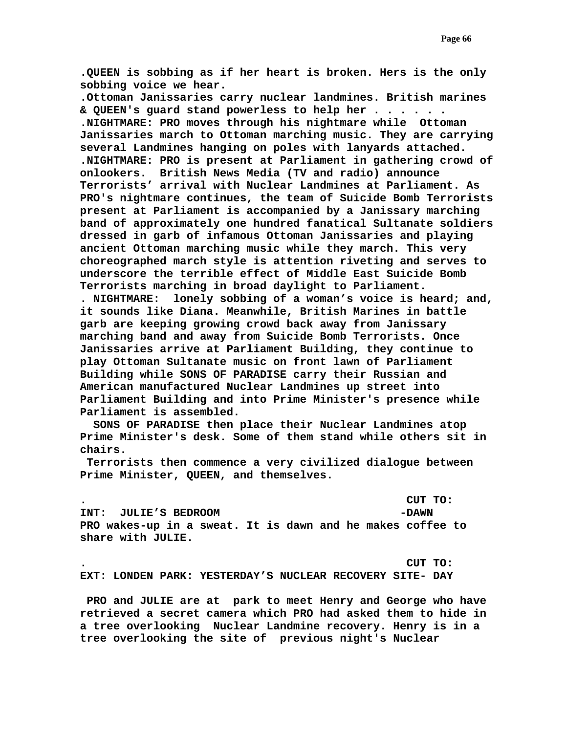**.QUEEN is sobbing as if her heart is broken. Hers is the only sobbing voice we hear.** 

**.Ottoman Janissaries carry nuclear landmines. British marines & QUEEN's guard stand powerless to help her . . . . . . .NIGHTMARE: PRO moves through his nightmare while Ottoman Janissaries march to Ottoman marching music. They are carrying several Landmines hanging on poles with lanyards attached. .NIGHTMARE: PRO is present at Parliament in gathering crowd of onlookers. British News Media (TV and radio) announce Terrorists' arrival with Nuclear Landmines at Parliament. As PRO's nightmare continues, the team of Suicide Bomb Terrorists present at Parliament is accompanied by a Janissary marching band of approximately one hundred fanatical Sultanate soldiers dressed in garb of infamous Ottoman Janissaries and playing ancient Ottoman marching music while they march. This very choreographed march style is attention riveting and serves to underscore the terrible effect of Middle East Suicide Bomb Terrorists marching in broad daylight to Parliament.** 

**. NIGHTMARE: lonely sobbing of a woman's voice is heard; and, it sounds like Diana. Meanwhile, British Marines in battle garb are keeping growing crowd back away from Janissary marching band and away from Suicide Bomb Terrorists. Once Janissaries arrive at Parliament Building, they continue to play Ottoman Sultanate music on front lawn of Parliament Building while SONS OF PARADISE carry their Russian and American manufactured Nuclear Landmines up street into Parliament Building and into Prime Minister's presence while Parliament is assembled.** 

 **SONS OF PARADISE then place their Nuclear Landmines atop Prime Minister's desk. Some of them stand while others sit in chairs.** 

 **Terrorists then commence a very civilized dialogue between Prime Minister, QUEEN, and themselves.** 

**. CUT TO:** 

**INT: JULIE'S BEDROOM -DAWN -DAWN PRO wakes-up in a sweat. It is dawn and he makes coffee to share with JULIE.** 

**. CUT TO: EXT: LONDEN PARK: YESTERDAY'S NUCLEAR RECOVERY SITE- DAY** 

 **PRO and JULIE are at park to meet Henry and George who have retrieved a secret camera which PRO had asked them to hide in a tree overlooking Nuclear Landmine recovery. Henry is in a tree overlooking the site of previous night's Nuclear**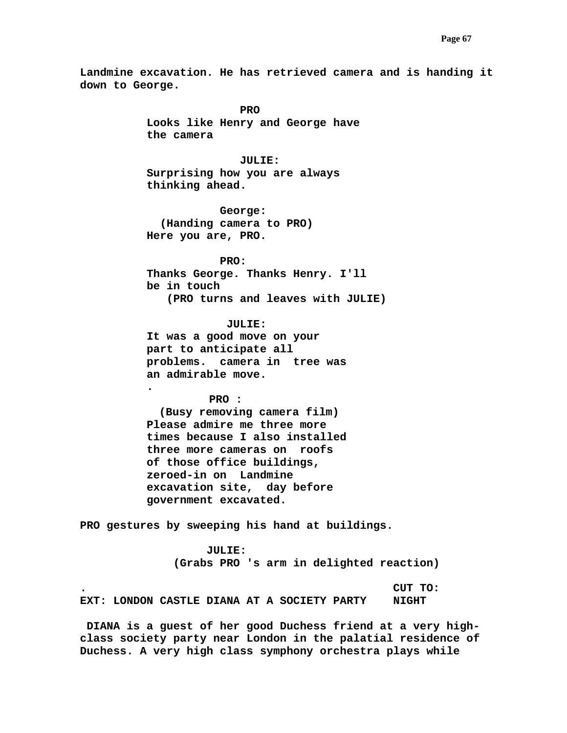**Landmine excavation. He has retrieved camera and is handing it down to George.** 

*PRO* PRO **Looks like Henry and George have the camera** 

# **JULIE:**

**Surprising how you are always thinking ahead.** 

 **George: (Handing camera to PRO) Here you are, PRO.** 

 **PRO: Thanks George. Thanks Henry. I'll be in touch (PRO turns and leaves with JULIE)** 

 **JULIE: It was a good move on your part to anticipate all problems. camera in tree was an admirable move.** 

 **PRO :** 

**.** 

**(Busy removing camera film) Please admire me three more times because I also installed three more cameras on roofs of those office buildings, zeroed-in on Landmine excavation site, day before government excavated.** 

**PRO gestures by sweeping his hand at buildings.** 

 **JULIE: (Grabs PRO 's arm in delighted reaction)** 

**. CUT TO: EXT: LONDON CASTLE DIANA AT A SOCIETY PARTY NIGHT** 

 **DIANA is a guest of her good Duchess friend at a very highclass society party near London in the palatial residence of Duchess. A very high class symphony orchestra plays while**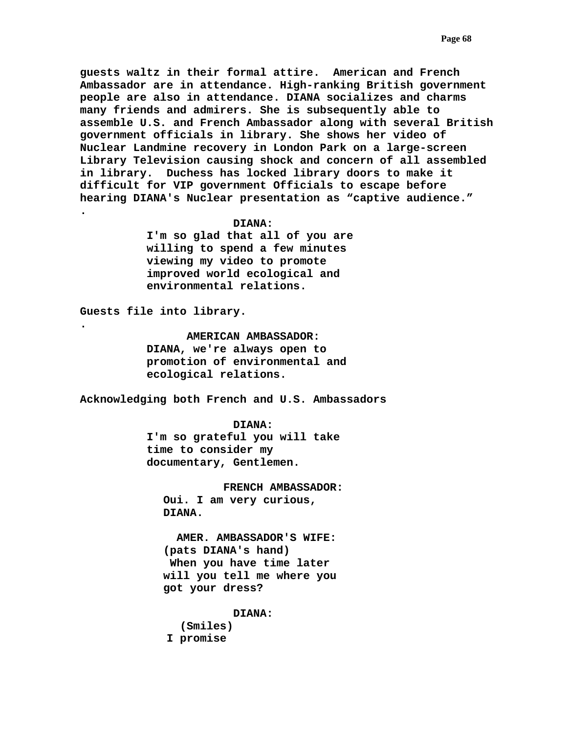**guests waltz in their formal attire. American and French Ambassador are in attendance. High-ranking British government people are also in attendance. DIANA socializes and charms many friends and admirers. She is subsequently able to assemble U.S. and French Ambassador along with several British government officials in library. She shows her video of Nuclear Landmine recovery in London Park on a large-screen Library Television causing shock and concern of all assembled in library. Duchess has locked library doors to make it difficult for VIP government Officials to escape before hearing DIANA's Nuclear presentation as "captive audience." .** 

# **DIANA:**

**I'm so glad that all of you are willing to spend a few minutes viewing my video to promote improved world ecological and environmental relations.** 

**Guests file into library.** 

**.** 

 **AMERICAN AMBASSADOR: DIANA, we're always open to promotion of environmental and ecological relations.** 

**Acknowledging both French and U.S. Ambassadors** 

 **DIANA: I'm so grateful you will take time to consider my documentary, Gentlemen.** 

 **FRENCH AMBASSADOR: Oui. I am very curious, DIANA.** 

 **AMER. AMBASSADOR'S WIFE: (pats DIANA's hand) When you have time later will you tell me where you got your dress?** 

 **DIANA:** 

 **(Smiles) I promise**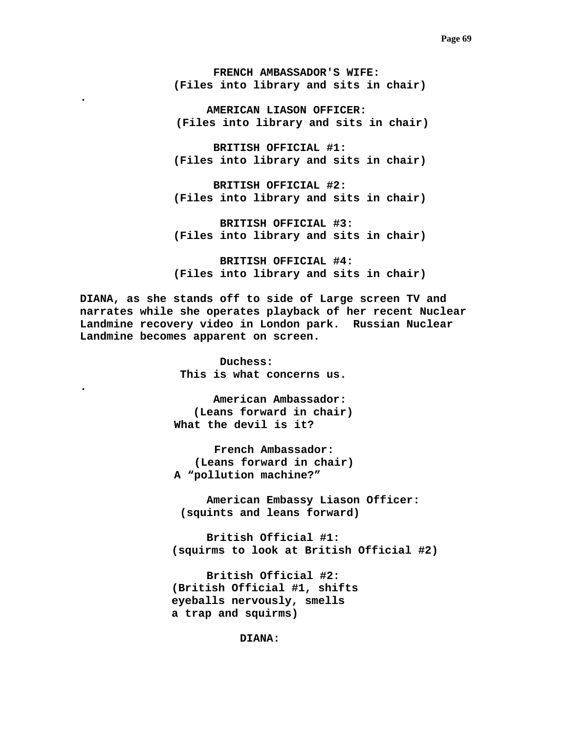**FRENCH AMBASSADOR'S WIFE: (Files into library and sits in chair)** 

**.** 

**.** 

 **AMERICAN LIASON OFFICER: (Files into library and sits in chair)** 

 **BRITISH OFFICIAL #1: (Files into library and sits in chair)** 

 **BRITISH OFFICIAL #2: (Files into library and sits in chair)** 

 **BRITISH OFFICIAL #3: (Files into library and sits in chair)** 

 **BRITISH OFFICIAL #4: (Files into library and sits in chair)** 

**DIANA, as she stands off to side of Large screen TV and narrates while she operates playback of her recent Nuclear Landmine recovery video in London park. Russian Nuclear Landmine becomes apparent on screen.** 

> **Duchess: This is what concerns us.**

 **American Ambassador: (Leans forward in chair) What the devil is it?** 

 **French Ambassador: (Leans forward in chair) A "pollution machine?"** 

 **American Embassy Liason Officer: (squints and leans forward)** 

 **British Official #1: (squirms to look at British Official #2)** 

 **British Official #2: (British Official #1, shifts eyeballs nervously, smells a trap and squirms)** 

 **DIANA:**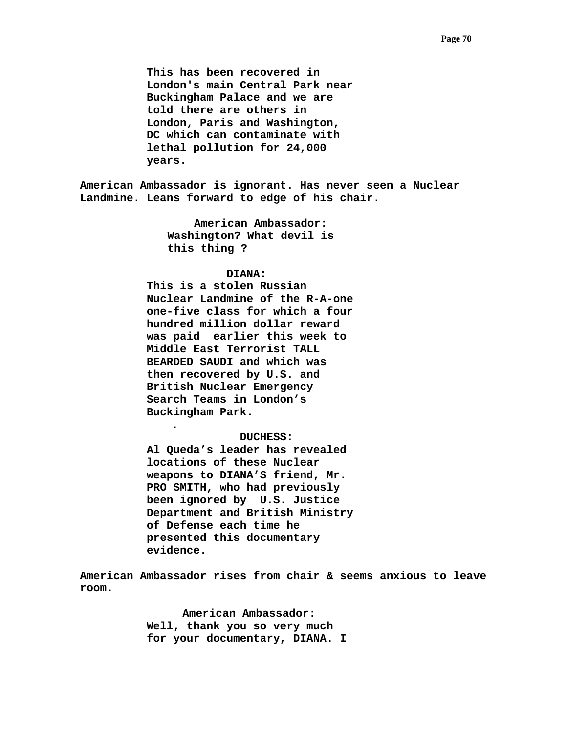**This has been recovered in London's main Central Park near Buckingham Palace and we are told there are others in London, Paris and Washington, DC which can contaminate with lethal pollution for 24,000 years.** 

**American Ambassador is ignorant. Has never seen a Nuclear Landmine. Leans forward to edge of his chair.** 

> **American Ambassador: Washington? What devil is this thing ?**

## **DIANA:**

**This is a stolen Russian Nuclear Landmine of the R-A-one one-five class for which a four hundred million dollar reward was paid earlier this week to Middle East Terrorist TALL BEARDED SAUDI and which was then recovered by U.S. and British Nuclear Emergency Search Teams in London's Buckingham Park.** 

**.** 

## **DUCHESS:**

**Al Queda's leader has revealed locations of these Nuclear weapons to DIANA'S friend, Mr. PRO SMITH, who had previously been ignored by U.S. Justice Department and British Ministry of Defense each time he presented this documentary evidence.** 

**American Ambassador rises from chair & seems anxious to leave room.** 

> **American Ambassador: Well, thank you so very much for your documentary, DIANA. I**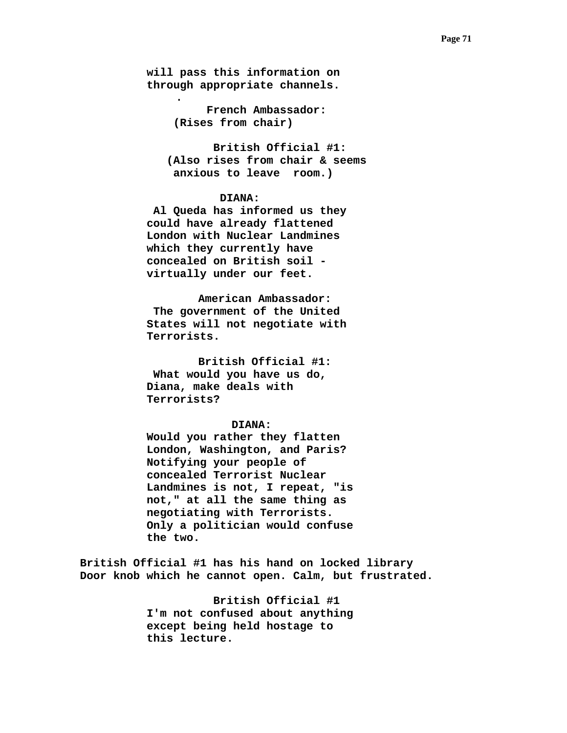**will pass this information on through appropriate channels.** 

**.** 

 **French Ambassador: (Rises from chair)** 

 **British Official #1: (Also rises from chair & seems anxious to leave room.)** 

# **DIANA:**

 **Al Queda has informed us they could have already flattened London with Nuclear Landmines which they currently have concealed on British soil virtually under our feet.** 

 **American Ambassador: The government of the United States will not negotiate with Terrorists.** 

 **British Official #1: What would you have us do, Diana, make deals with Terrorists?** 

#### **DIANA:**

**Would you rather they flatten London, Washington, and Paris? Notifying your people of concealed Terrorist Nuclear Landmines is not, I repeat, "is not," at all the same thing as negotiating with Terrorists. Only a politician would confuse the two.** 

**British Official #1 has his hand on locked library Door knob which he cannot open. Calm, but frustrated.** 

> **British Official #1 I'm not confused about anything except being held hostage to this lecture.**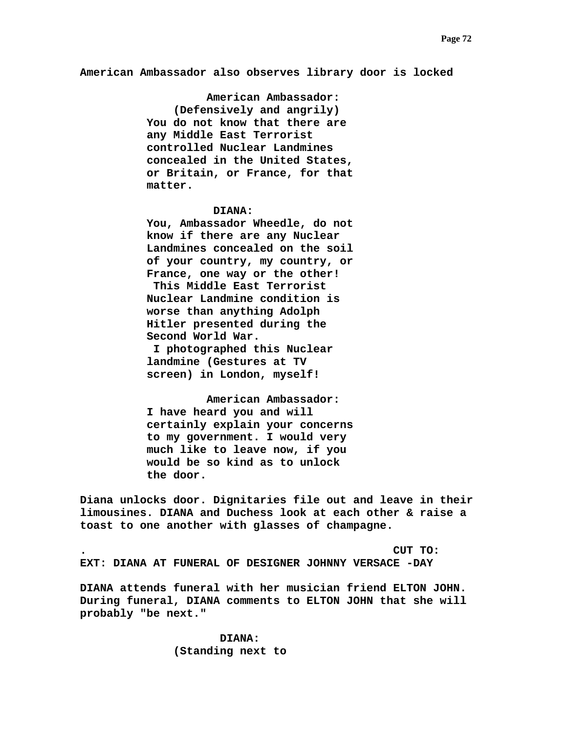**American Ambassador also observes library door is locked** 

 **American Ambassador: (Defensively and angrily) You do not know that there are any Middle East Terrorist controlled Nuclear Landmines concealed in the United States, or Britain, or France, for that matter.** 

#### **DIANA:**

**You, Ambassador Wheedle, do not know if there are any Nuclear Landmines concealed on the soil of your country, my country, or France, one way or the other! This Middle East Terrorist Nuclear Landmine condition is worse than anything Adolph Hitler presented during the Second World War.** 

 **I photographed this Nuclear landmine (Gestures at TV screen) in London, myself!** 

 **American Ambassador: I have heard you and will certainly explain your concerns to my government. I would very much like to leave now, if you would be so kind as to unlock the door.** 

**Diana unlocks door. Dignitaries file out and leave in their limousines. DIANA and Duchess look at each other & raise a toast to one another with glasses of champagne.** 

**. CUT TO: EXT: DIANA AT FUNERAL OF DESIGNER JOHNNY VERSACE -DAY** 

**DIANA attends funeral with her musician friend ELTON JOHN. During funeral, DIANA comments to ELTON JOHN that she will probably "be next."**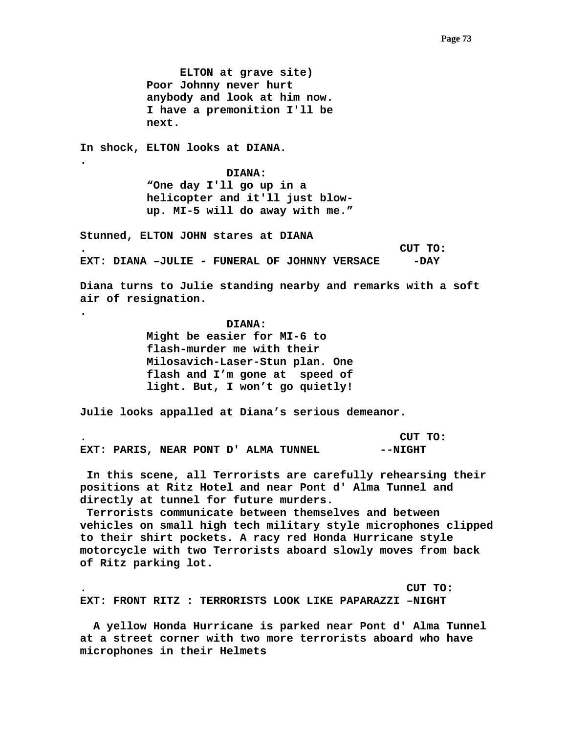**ELTON at grave site) Poor Johnny never hurt anybody and look at him now. I have a premonition I'll be next.** 

**In shock, ELTON looks at DIANA.** 

**.** 

**.** 

 **DIANA: "One day I'll go up in a helicopter and it'll just blowup. MI-5 will do away with me."** 

**Stunned, ELTON JOHN stares at DIANA . CUT TO: EXT: DIANA -JULIE - FUNERAL OF JOHNNY VERSACE - - DAY** 

**Diana turns to Julie standing nearby and remarks with a soft air of resignation.** 

 **DIANA:** 

 **Might be easier for MI-6 to flash-murder me with their Milosavich-Laser-Stun plan. One flash and I'm gone at speed of light. But, I won't go quietly!** 

**Julie looks appalled at Diana's serious demeanor.** 

**. CUT TO:**  EXT: PARIS, NEAR PONT D' ALMA TUNNEL **--NIGHT** 

 **In this scene, all Terrorists are carefully rehearsing their positions at Ritz Hotel and near Pont d' Alma Tunnel and directly at tunnel for future murders.** 

 **Terrorists communicate between themselves and between vehicles on small high tech military style microphones clipped to their shirt pockets. A racy red Honda Hurricane style motorcycle with two Terrorists aboard slowly moves from back of Ritz parking lot.** 

**. CUT TO: EXT: FRONT RITZ : TERRORISTS LOOK LIKE PAPARAZZI –NIGHT** 

 **A yellow Honda Hurricane is parked near Pont d' Alma Tunnel at a street corner with two more terrorists aboard who have microphones in their Helmets**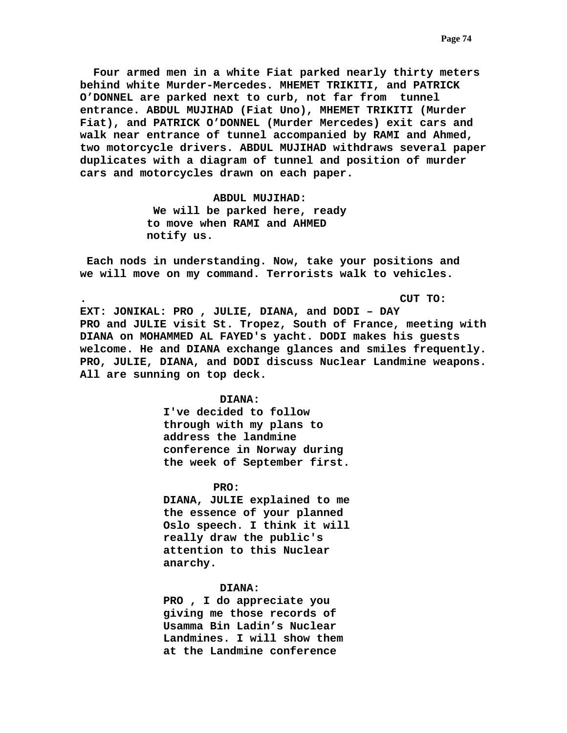**Four armed men in a white Fiat parked nearly thirty meters behind white Murder-Mercedes. MHEMET TRIKITI, and PATRICK O'DONNEL are parked next to curb, not far from tunnel entrance. ABDUL MUJIHAD (Fiat Uno), MHEMET TRIKITI (Murder Fiat), and PATRICK O'DONNEL (Murder Mercedes) exit cars and walk near entrance of tunnel accompanied by RAMI and Ahmed, two motorcycle drivers. ABDUL MUJIHAD withdraws several paper duplicates with a diagram of tunnel and position of murder cars and motorcycles drawn on each paper.** 

> **ABDUL MUJIHAD: We will be parked here, ready to move when RAMI and AHMED notify us.**

 **Each nods in understanding. Now, take your positions and we will move on my command. Terrorists walk to vehicles.** 

**. CUT TO:** 

**EXT: JONIKAL: PRO , JULIE, DIANA, and DODI – DAY PRO and JULIE visit St. Tropez, South of France, meeting with DIANA on MOHAMMED AL FAYED's yacht. DODI makes his guests welcome. He and DIANA exchange glances and smiles frequently. PRO, JULIE, DIANA, and DODI discuss Nuclear Landmine weapons. All are sunning on top deck.** 

### **DIANA:**

**I've decided to follow through with my plans to address the landmine conference in Norway during the week of September first.** 

 **PRO:** 

**DIANA, JULIE explained to me the essence of your planned Oslo speech. I think it will really draw the public's attention to this Nuclear anarchy.** 

#### **DIANA:**

**PRO , I do appreciate you giving me those records of Usamma Bin Ladin's Nuclear Landmines. I will show them at the Landmine conference**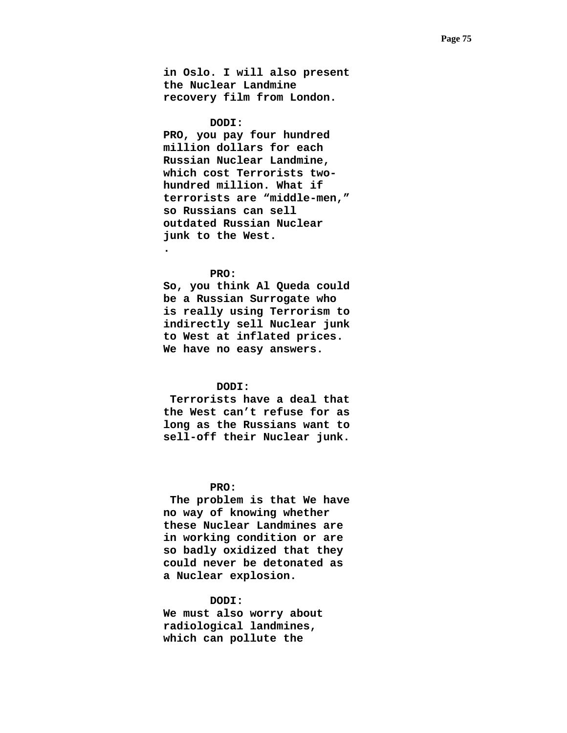**in Oslo. I will also present the Nuclear Landmine recovery film from London.** 

### **DODI:**

**PRO, you pay four hundred million dollars for each Russian Nuclear Landmine, which cost Terrorists twohundred million. What if terrorists are "middle-men," so Russians can sell outdated Russian Nuclear junk to the West.** 

### **PRO:**

**.** 

**So, you think Al Queda could be a Russian Surrogate who is really using Terrorism to indirectly sell Nuclear junk to West at inflated prices. We have no easy answers.** 

# **DODI:**

 **Terrorists have a deal that the West can't refuse for as long as the Russians want to sell-off their Nuclear junk.** 

## **PRO:**

 **The problem is that We have no way of knowing whether these Nuclear Landmines are in working condition or are so badly oxidized that they could never be detonated as a Nuclear explosion.** 

# **DODI:**

**We must also worry about radiological landmines, which can pollute the**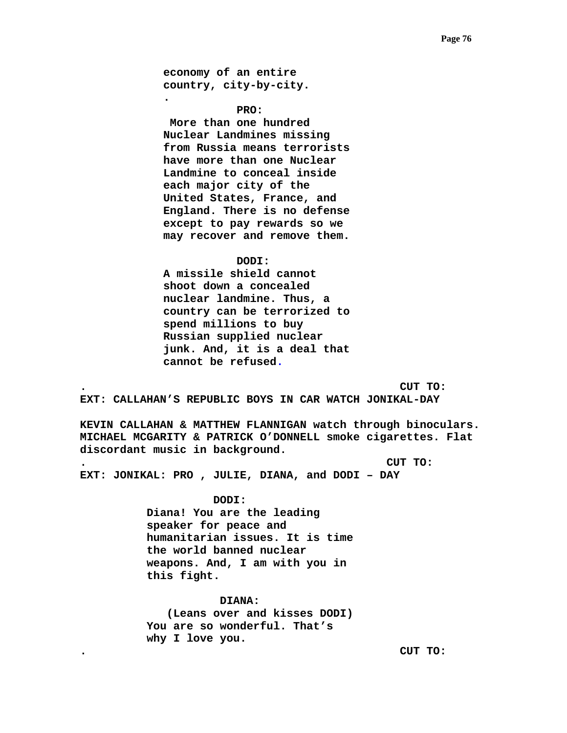**economy of an entire country, city-by-city.** 

**.** 

 **PRO:** 

 **More than one hundred Nuclear Landmines missing from Russia means terrorists have more than one Nuclear Landmine to conceal inside each major city of the United States, France, and England. There is no defense except to pay rewards so we may recover and remove them.** 

#### **DODI:**

**A missile shield cannot shoot down a concealed nuclear landmine. Thus, a country can be terrorized to spend millions to buy Russian supplied nuclear junk. And, it is a deal that cannot be refused.** 

**. CUT TO:** 

**EXT: CALLAHAN'S REPUBLIC BOYS IN CAR WATCH JONIKAL-DAY** 

**KEVIN CALLAHAN & MATTHEW FLANNIGAN watch through binoculars. MICHAEL MCGARITY & PATRICK O'DONNELL smoke cigarettes. Flat discordant music in background.** 

**. CUT TO:** 

**EXT: JONIKAL: PRO , JULIE, DIANA, and DODI – DAY** 

#### **DODI:**

**Diana! You are the leading speaker for peace and humanitarian issues. It is time the world banned nuclear weapons. And, I am with you in this fight.** 

 **DIANA: (Leans over and kisses DODI) You are so wonderful. That's why I love you.** 

**. CUT TO:**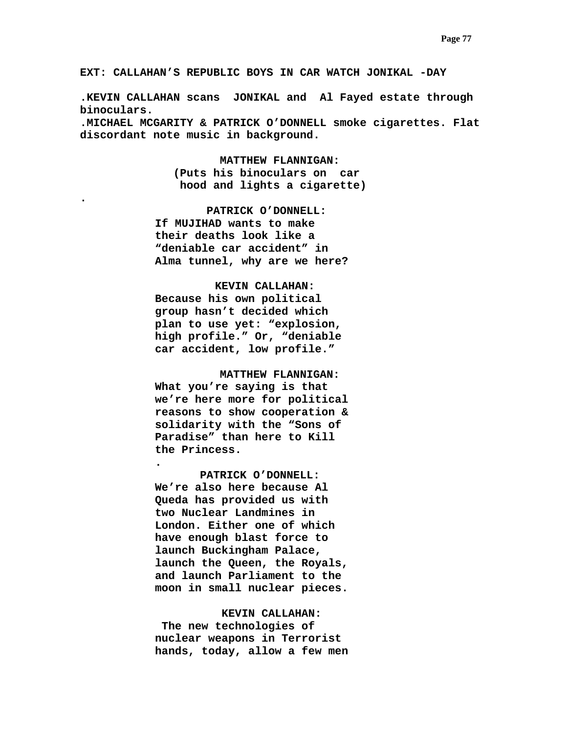**EXT: CALLAHAN'S REPUBLIC BOYS IN CAR WATCH JONIKAL -DAY** 

**.KEVIN CALLAHAN scans JONIKAL and Al Fayed estate through binoculars.** 

**.MICHAEL MCGARITY & PATRICK O'DONNELL smoke cigarettes. Flat discordant note music in background.** 

> **MATTHEW FLANNIGAN: (Puts his binoculars on car hood and lights a cigarette)**

 **PATRICK O'DONNELL: If MUJIHAD wants to make their deaths look like a "deniable car accident" in Alma tunnel, why are we here?** 

**.** 

## **KEVIN CALLAHAN:**

**Because his own political group hasn't decided which plan to use yet: "explosion, high profile." Or, "deniable car accident, low profile."** 

 **MATTHEW FLANNIGAN:** 

**What you're saying is that we're here more for political reasons to show cooperation & solidarity with the "Sons of Paradise" than here to Kill the Princess.** 

**.** 

 **PATRICK O'DONNELL: We're also here because Al Queda has provided us with two Nuclear Landmines in London. Either one of which have enough blast force to launch Buckingham Palace, launch the Queen, the Royals, and launch Parliament to the moon in small nuclear pieces.** 

### **KEVIN CALLAHAN:**

 **The new technologies of nuclear weapons in Terrorist hands, today, allow a few men**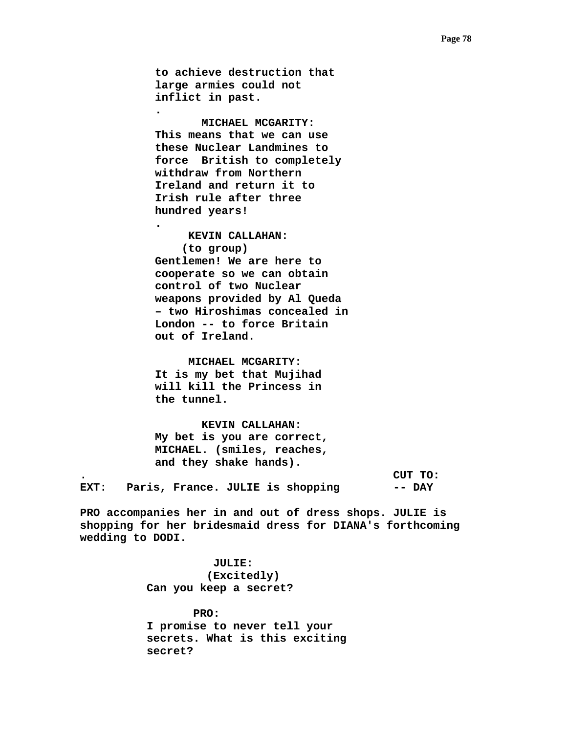**to achieve destruction that large armies could not inflict in past.** 

**.** 

**.** 

 **MICHAEL MCGARITY: This means that we can use these Nuclear Landmines to force British to completely withdraw from Northern Ireland and return it to Irish rule after three hundred years!** 

 **KEVIN CALLAHAN: (to group) Gentlemen! We are here to cooperate so we can obtain control of two Nuclear weapons provided by Al Queda – two Hiroshimas concealed in London -- to force Britain out of Ireland.** 

 **MICHAEL MCGARITY: It is my bet that Mujihad will kill the Princess in the tunnel.** 

 **KEVIN CALLAHAN: My bet is you are correct, MICHAEL. (smiles, reaches, and they shake hands).** 

**. CUT TO: EXT: Paris, France. JULIE is shopping -- DAY** 

**PRO accompanies her in and out of dress shops. JULIE is shopping for her bridesmaid dress for DIANA's forthcoming wedding to DODI.** 

> **JULIE: (Excitedly) Can you keep a secret?**

 **PRO: I promise to never tell your secrets. What is this exciting secret?**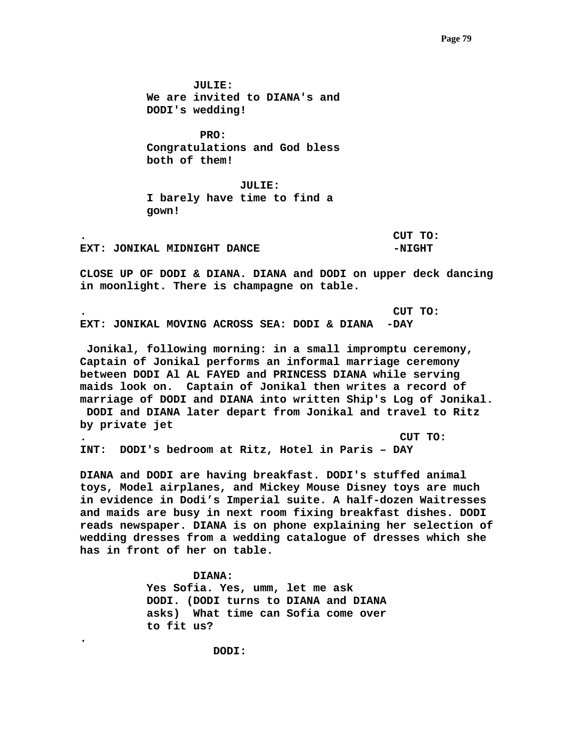**JULIE: We are invited to DIANA's and DODI's wedding!** 

 **PRO: Congratulations and God bless both of them!** 

 **JULIE: I barely have time to find a gown!** 

**EXT: JONIKAL MIDNIGHT DANCE 4 CONSUMING A SET ON A LIGHT** 

**. CUT TO:** 

**CLOSE UP OF DODI & DIANA. DIANA and DODI on upper deck dancing in moonlight. There is champagne on table.** 

**. CUT TO: EXT: JONIKAL MOVING ACROSS SEA: DODI & DIANA -DAY** 

 **Jonikal, following morning: in a small impromptu ceremony, Captain of Jonikal performs an informal marriage ceremony between DODI Al AL FAYED and PRINCESS DIANA while serving maids look on. Captain of Jonikal then writes a record of marriage of DODI and DIANA into written Ship's Log of Jonikal. DODI and DIANA later depart from Jonikal and travel to Ritz by private jet** 

**. CUT TO: INT: DODI's bedroom at Ritz, Hotel in Paris – DAY** 

**DIANA and DODI are having breakfast. DODI's stuffed animal toys, Model airplanes, and Mickey Mouse Disney toys are much in evidence in Dodi's Imperial suite. A half-dozen Waitresses and maids are busy in next room fixing breakfast dishes. DODI reads newspaper. DIANA is on phone explaining her selection of wedding dresses from a wedding catalogue of dresses which she has in front of her on table.** 

> **DIANA: Yes Sofia. Yes, umm, let me ask DODI. (DODI turns to DIANA and DIANA asks) What time can Sofia come over to fit us?**

> > **DODI:**

**.**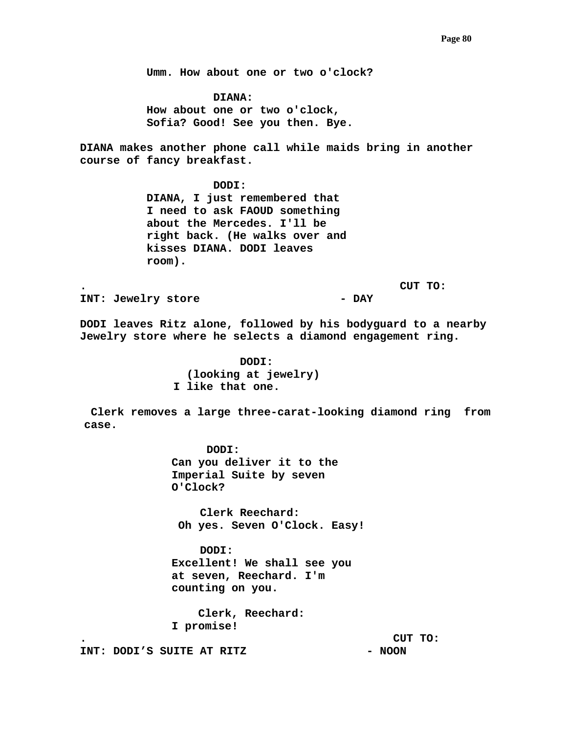**Umm. How about one or two o'clock?** 

 **DIANA: How about one or two o'clock, Sofia? Good! See you then. Bye.** 

**DIANA makes another phone call while maids bring in another course of fancy breakfast.** 

> **DODI: DIANA, I just remembered that I need to ask FAOUD something about the Mercedes. I'll be right back. (He walks over and kisses DIANA. DODI leaves room).**

**. CUT TO:** 

INT: Jewelry store **- DAY** 

**DODI leaves Ritz alone, followed by his bodyguard to a nearby Jewelry store where he selects a diamond engagement ring.** 

> **DODI: (looking at jewelry) I like that one.**

 **Clerk removes a large three-carat-looking diamond ring from case.** 

> **DODI: Can you deliver it to the Imperial Suite by seven O'Clock?**

 **Clerk Reechard: Oh yes. Seven O'Clock. Easy!** 

 **DODI: Excellent! We shall see you at seven, Reechard. I'm counting on you.** 

 **Clerk, Reechard: I promise!** 

**. CUT TO:** 

INT: DODI'S SUITE AT RITZ **- NOON**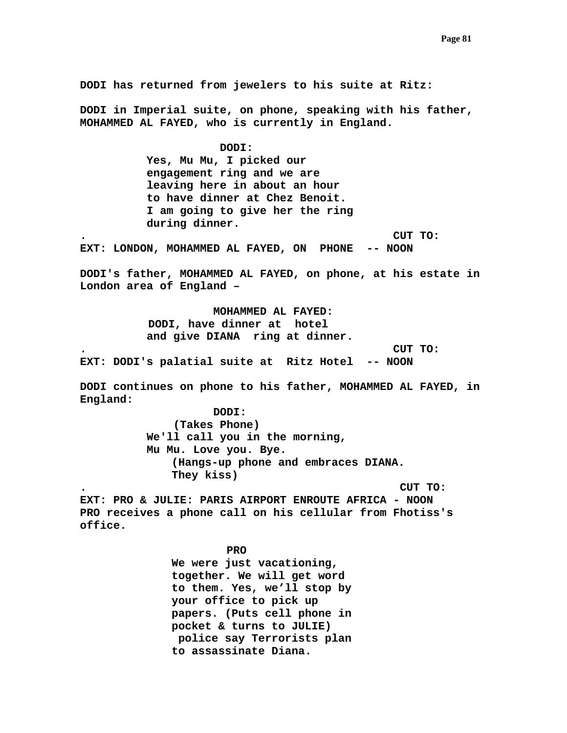**DODI has returned from jewelers to his suite at Ritz: DODI in Imperial suite, on phone, speaking with his father, MOHAMMED AL FAYED, who is currently in England. DODI: Yes, Mu Mu, I picked our engagement ring and we are leaving here in about an hour to have dinner at Chez Benoit. I am going to give her the ring during dinner. . CUT TO: EXT: LONDON, MOHAMMED AL FAYED, ON PHONE -- NOON DODI's father, MOHAMMED AL FAYED, on phone, at his estate in London area of England – MOHAMMED AL FAYED: DODI, have dinner at hotel and give DIANA ring at dinner. . CUT TO: EXT: DODI's palatial suite at Ritz Hotel -- NOON DODI continues on phone to his father, MOHAMMED AL FAYED, in England: DODI: (Takes Phone) We'll call you in the morning, Mu Mu. Love you. Bye. (Hangs-up phone and embraces DIANA. They kiss) . CUT TO: EXT: PRO & JULIE: PARIS AIRPORT ENROUTE AFRICA - NOON PRO receives a phone call on his cellular from Fhotiss's office.**  *PRO* PRO **We were just vacationing, together. We will get word to them. Yes, we'll stop by your office to pick up papers. (Puts cell phone in pocket & turns to JULIE) police say Terrorists plan to assassinate Diana.**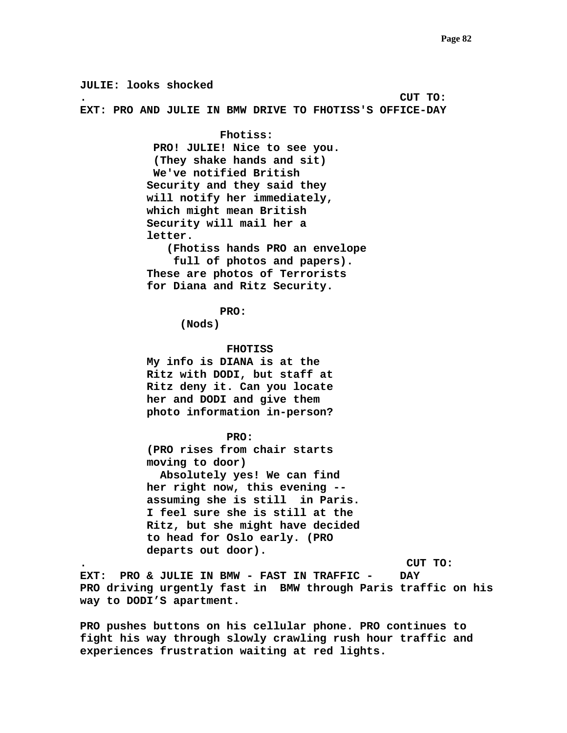**JULIE: looks shocked . CUT TO: EXT: PRO AND JULIE IN BMW DRIVE TO FHOTISS'S OFFICE-DAY Fhotiss: PRO! JULIE! Nice to see you. (They shake hands and sit) We've notified British Security and they said they will notify her immediately, which might mean British Security will mail her a letter. (Fhotiss hands PRO an envelope full of photos and papers). These are photos of Terrorists for Diana and Ritz Security. PRO: (Nods) FHOTISS My info is DIANA is at the Ritz with DODI, but staff at Ritz deny it. Can you locate her and DODI and give them photo information in-person? PRO: (PRO rises from chair starts moving to door) Absolutely yes! We can find her right now, this evening - assuming she is still in Paris. I feel sure she is still at the Ritz, but she might have decided to head for Oslo early. (PRO departs out door). . CUT TO: EXT: PRO & JULIE IN BMW - FAST IN TRAFFIC - DAY PRO driving urgently fast in BMW through Paris traffic on his way to DODI'S apartment. PRO pushes buttons on his cellular phone. PRO continues to** 

**fight his way through slowly crawling rush hour traffic and experiences frustration waiting at red lights.**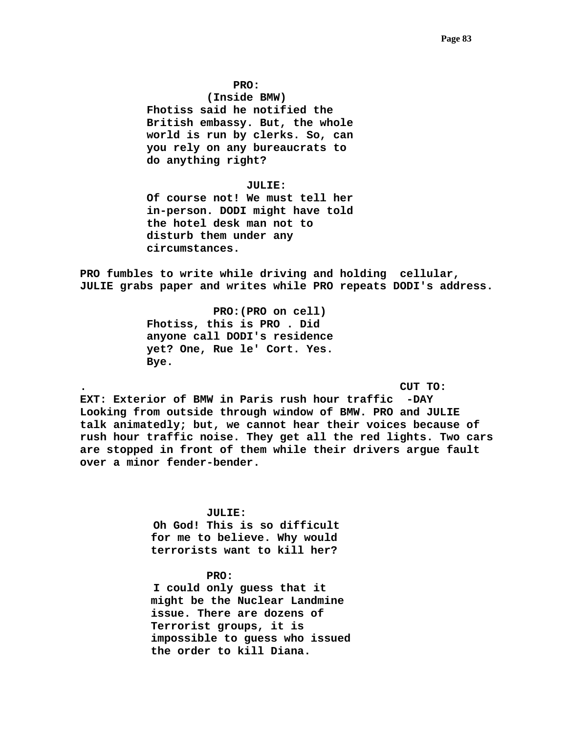#### **PRO:**

 **(Inside BMW) Fhotiss said he notified the British embassy. But, the whole world is run by clerks. So, can you rely on any bureaucrats to do anything right?** 

#### **JULIE:**

**Of course not! We must tell her in-person. DODI might have told the hotel desk man not to disturb them under any circumstances.** 

**PRO fumbles to write while driving and holding cellular, JULIE grabs paper and writes while PRO repeats DODI's address.** 

> **PRO:(PRO on cell) Fhotiss, this is PRO . Did anyone call DODI's residence yet? One, Rue le' Cort. Yes. Bye.**

**. CUT TO:** 

**EXT: Exterior of BMW in Paris rush hour traffic -DAY Looking from outside through window of BMW. PRO and JULIE talk animatedly; but, we cannot hear their voices because of rush hour traffic noise. They get all the red lights. Two cars are stopped in front of them while their drivers argue fault over a minor fender-bender.** 

## **JULIE:**

 **Oh God! This is so difficult for me to believe. Why would terrorists want to kill her?** 

# **PRO:**

 **I could only guess that it might be the Nuclear Landmine issue. There are dozens of Terrorist groups, it is impossible to guess who issued the order to kill Diana.**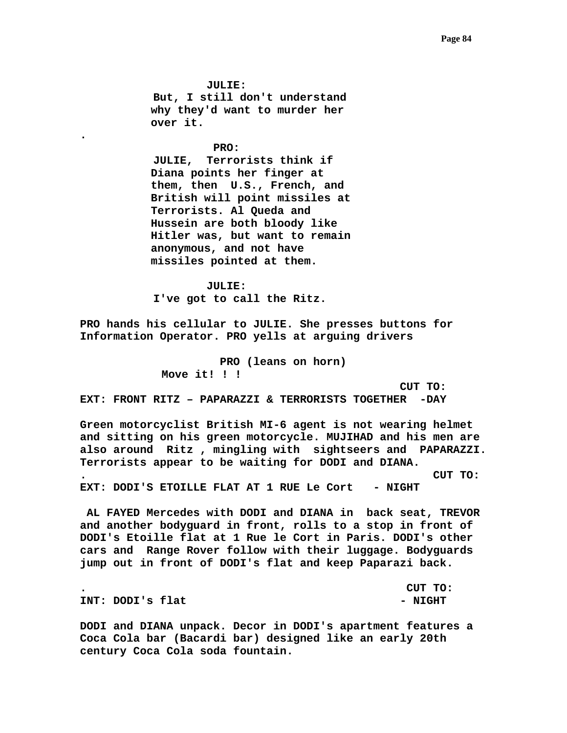**JULIE: But, I still don't understand why they'd want to murder her over it.** 

**.** 

 **PRO: JULIE, Terrorists think if Diana points her finger at them, then U.S., French, and British will point missiles at Terrorists. Al Queda and Hussein are both bloody like Hitler was, but want to remain anonymous, and not have missiles pointed at them.** 

 **JULIE: I've got to call the Ritz.** 

**PRO hands his cellular to JULIE. She presses buttons for Information Operator. PRO yells at arguing drivers** 

> **PRO (leans on horn) Move it! ! !**

 **CUT TO:** 

**EXT: FRONT RITZ – PAPARAZZI & TERRORISTS TOGETHER -DAY** 

**Green motorcyclist British MI-6 agent is not wearing helmet and sitting on his green motorcycle. MUJIHAD and his men are also around Ritz , mingling with sightseers and PAPARAZZI. Terrorists appear to be waiting for DODI and DIANA. . CUT TO: EXT: DODI'S ETOILLE FLAT AT 1 RUE Le Cort - NIGHT** 

 **AL FAYED Mercedes with DODI and DIANA in back seat, TREVOR and another bodyguard in front, rolls to a stop in front of DODI's Etoille flat at 1 Rue le Cort in Paris. DODI's other cars and Range Rover follow with their luggage. Bodyguards jump out in front of DODI's flat and keep Paparazi back.** 

**. CUT TO:**  INT: DODI'S flat  $-$  NIGHT

**DODI and DIANA unpack. Decor in DODI's apartment features a Coca Cola bar (Bacardi bar) designed like an early 20th century Coca Cola soda fountain.**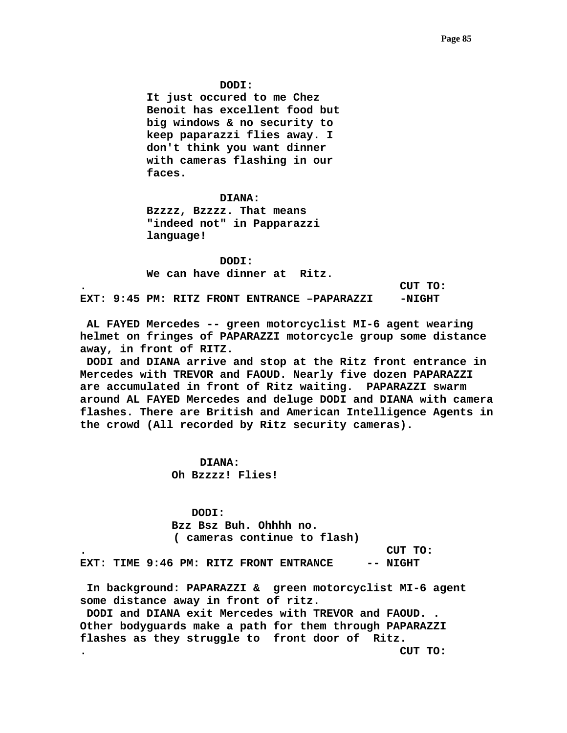**DODI:** 

 **It just occured to me Chez Benoit has excellent food but big windows & no security to keep paparazzi flies away. I don't think you want dinner with cameras flashing in our faces.** 

## **DIANA:**

 **Bzzzz, Bzzzz. That means "indeed not" in Papparazzi language!** 

 **DODI: We can have dinner at Ritz.** 

**. CUT TO:** 

EXT: 9:45 PM: RITZ FRONT ENTRANCE -PAPARAZZI -NIGHT

 **AL FAYED Mercedes -- green motorcyclist MI-6 agent wearing helmet on fringes of PAPARAZZI motorcycle group some distance away, in front of RITZ.** 

 **DODI and DIANA arrive and stop at the Ritz front entrance in Mercedes with TREVOR and FAOUD. Nearly five dozen PAPARAZZI are accumulated in front of Ritz waiting. PAPARAZZI swarm around AL FAYED Mercedes and deluge DODI and DIANA with camera flashes. There are British and American Intelligence Agents in the crowd (All recorded by Ritz security cameras).** 

> **DIANA: Oh Bzzzz! Flies!**

 **DODI: Bzz Bsz Buh. Ohhhh no. ( cameras continue to flash)** 

**. CUT TO:**  EXT: TIME 9:46 PM: RITZ FRONT ENTRANCE -- NIGHT

 **In background: PAPARAZZI & green motorcyclist MI-6 agent some distance away in front of ritz.** 

 **DODI and DIANA exit Mercedes with TREVOR and FAOUD. . Other bodyguards make a path for them through PAPARAZZI flashes as they struggle to front door of Ritz. . CUT TO:**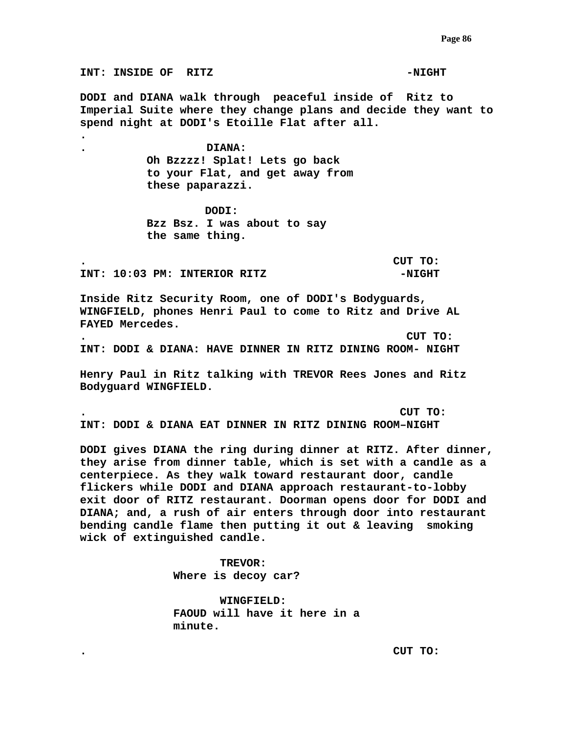**INT: INSIDE OF RITZ THE SET OF PROPERTY OF ALGEBRA DODI and DIANA walk through peaceful inside of Ritz to Imperial Suite where they change plans and decide they want to spend night at DODI's Etoille Flat after all. . . DIANA: Oh Bzzzz! Splat! Lets go back to your Flat, and get away from these paparazzi. DODI: Bzz Bsz. I was about to say the same thing. . CUT TO:**  INT: 10:03 PM: INTERIOR RITZ **-NIGHT Inside Ritz Security Room, one of DODI's Bodyguards, WINGFIELD, phones Henri Paul to come to Ritz and Drive AL FAYED Mercedes. . CUT TO: INT: DODI & DIANA: HAVE DINNER IN RITZ DINING ROOM- NIGHT Henry Paul in Ritz talking with TREVOR Rees Jones and Ritz Bodyguard WINGFIELD. . CUT TO: INT: DODI & DIANA EAT DINNER IN RITZ DINING ROOM–NIGHT DODI gives DIANA the ring during dinner at RITZ. After dinner, they arise from dinner table, which is set with a candle as a centerpiece. As they walk toward restaurant door, candle flickers while DODI and DIANA approach restaurant-to-lobby exit door of RITZ restaurant. Doorman opens door for DODI and DIANA; and, a rush of air enters through door into restaurant bending candle flame then putting it out & leaving smoking wick of extinguished candle.** 

> **TREVOR: Where is decoy car?**

 **WINGFIELD: FAOUD will have it here in a minute.** 

**. CUT TO:**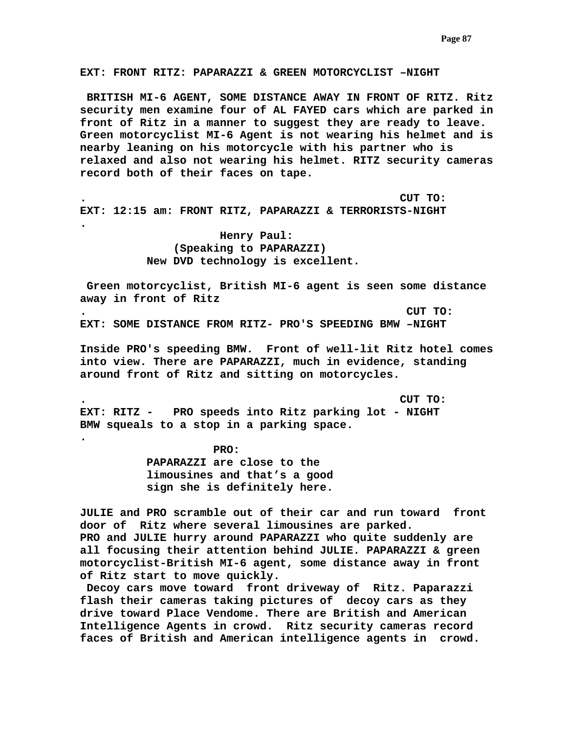**EXT: FRONT RITZ: PAPARAZZI & GREEN MOTORCYCLIST –NIGHT** 

 **BRITISH MI-6 AGENT, SOME DISTANCE AWAY IN FRONT OF RITZ. Ritz security men examine four of AL FAYED cars which are parked in front of Ritz in a manner to suggest they are ready to leave. Green motorcyclist MI-6 Agent is not wearing his helmet and is nearby leaning on his motorcycle with his partner who is relaxed and also not wearing his helmet. RITZ security cameras record both of their faces on tape.** 

**. CUT TO: EXT: 12:15 am: FRONT RITZ, PAPARAZZI & TERRORISTS-NIGHT** 

> **Henry Paul: (Speaking to PAPARAZZI) New DVD technology is excellent.**

**.** 

**.** 

 **Green motorcyclist, British MI-6 agent is seen some distance away in front of Ritz . CUT TO:** 

**EXT: SOME DISTANCE FROM RITZ- PRO'S SPEEDING BMW –NIGHT** 

**Inside PRO's speeding BMW. Front of well-lit Ritz hotel comes into view. There are PAPARAZZI, much in evidence, standing around front of Ritz and sitting on motorcycles.** 

**. CUT TO: EXT: RITZ - PRO speeds into Ritz parking lot - NIGHT BMW squeals to a stop in a parking space.** 

> **PRO: PAPARAZZI are close to the limousines and that's a good sign she is definitely here.**

**JULIE and PRO scramble out of their car and run toward front door of Ritz where several limousines are parked. PRO and JULIE hurry around PAPARAZZI who quite suddenly are all focusing their attention behind JULIE. PAPARAZZI & green motorcyclist-British MI-6 agent, some distance away in front of Ritz start to move quickly.** 

 **Decoy cars move toward front driveway of Ritz. Paparazzi flash their cameras taking pictures of decoy cars as they drive toward Place Vendome. There are British and American Intelligence Agents in crowd. Ritz security cameras record faces of British and American intelligence agents in crowd.**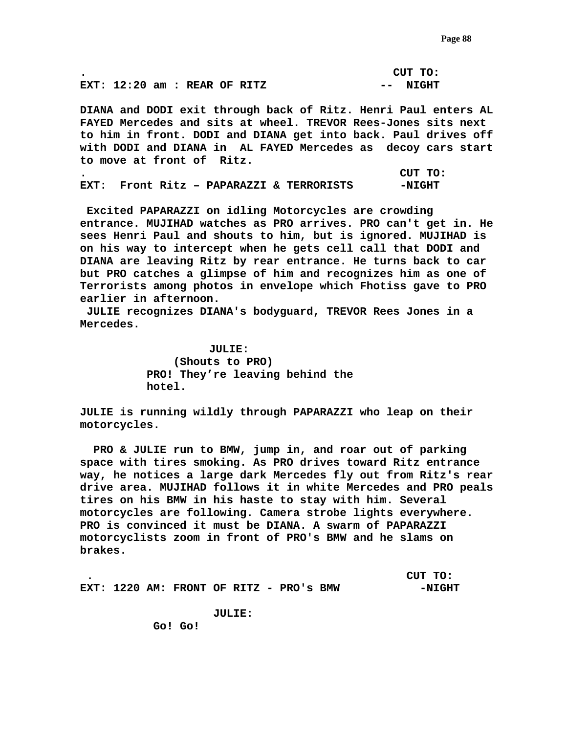|                                |  |  |  | CUT TO:  |
|--------------------------------|--|--|--|----------|
| EXT: $12:20$ am : REAR OF RITZ |  |  |  | -- NIGHT |

**DIANA and DODI exit through back of Ritz. Henri Paul enters AL FAYED Mercedes and sits at wheel. TREVOR Rees-Jones sits next to him in front. DODI and DIANA get into back. Paul drives off with DODI and DIANA in AL FAYED Mercedes as decoy cars start to move at front of Ritz.** 

|  |  |                                          | CUT TO: |
|--|--|------------------------------------------|---------|
|  |  | EXT: Front Ritz - PAPARAZZI & TERRORISTS | -NIGHT  |

 **Excited PAPARAZZI on idling Motorcycles are crowding entrance. MUJIHAD watches as PRO arrives. PRO can't get in. He sees Henri Paul and shouts to him, but is ignored. MUJIHAD is on his way to intercept when he gets cell call that DODI and DIANA are leaving Ritz by rear entrance. He turns back to car but PRO catches a glimpse of him and recognizes him as one of Terrorists among photos in envelope which Fhotiss gave to PRO earlier in afternoon.** 

 **JULIE recognizes DIANA's bodyguard, TREVOR Rees Jones in a Mercedes.** 

> **JULIE: (Shouts to PRO) PRO! They're leaving behind the hotel.**

**JULIE is running wildly through PAPARAZZI who leap on their motorcycles.** 

 **PRO & JULIE run to BMW, jump in, and roar out of parking space with tires smoking. As PRO drives toward Ritz entrance way, he notices a large dark Mercedes fly out from Ritz's rear drive area. MUJIHAD follows it in white Mercedes and PRO peals tires on his BMW in his haste to stay with him. Several motorcycles are following. Camera strobe lights everywhere. PRO is convinced it must be DIANA. A swarm of PAPARAZZI motorcyclists zoom in front of PRO's BMW and he slams on brakes.** 

|  |  |  |                                         | CUT TO:  |
|--|--|--|-----------------------------------------|----------|
|  |  |  | EXT: 1220 AM: FRONT OF RITZ - PRO'S BMW | $-NIGHT$ |

 **JULIE:** 

 **Go! Go!**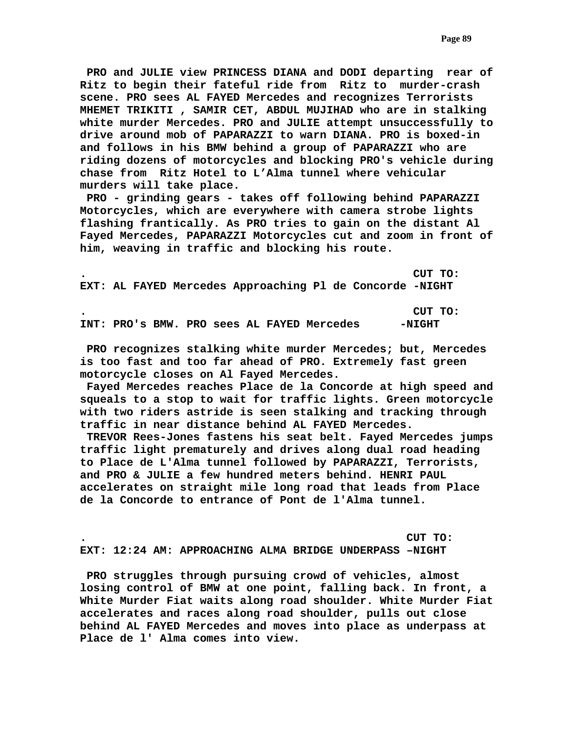**PRO and JULIE view PRINCESS DIANA and DODI departing rear of Ritz to begin their fateful ride from Ritz to murder-crash scene. PRO sees AL FAYED Mercedes and recognizes Terrorists MHEMET TRIKITI , SAMIR CET, ABDUL MUJIHAD who are in stalking white murder Mercedes. PRO and JULIE attempt unsuccessfully to drive around mob of PAPARAZZI to warn DIANA. PRO is boxed-in and follows in his BMW behind a group of PAPARAZZI who are riding dozens of motorcycles and blocking PRO's vehicle during chase from Ritz Hotel to L'Alma tunnel where vehicular murders will take place.** 

 **PRO - grinding gears - takes off following behind PAPARAZZI Motorcycles, which are everywhere with camera strobe lights flashing frantically. As PRO tries to gain on the distant Al Fayed Mercedes, PAPARAZZI Motorcycles cut and zoom in front of him, weaving in traffic and blocking his route.** 

**. CUT TO: EXT: AL FAYED Mercedes Approaching Pl de Concorde -NIGHT** 

**. CUT TO: INT: PRO's BMW. PRO sees AL FAYED Mercedes -NIGHT** 

 **PRO recognizes stalking white murder Mercedes; but, Mercedes is too fast and too far ahead of PRO. Extremely fast green motorcycle closes on Al Fayed Mercedes.** 

 **Fayed Mercedes reaches Place de la Concorde at high speed and squeals to a stop to wait for traffic lights. Green motorcycle with two riders astride is seen stalking and tracking through traffic in near distance behind AL FAYED Mercedes.** 

 **TREVOR Rees-Jones fastens his seat belt. Fayed Mercedes jumps traffic light prematurely and drives along dual road heading to Place de L'Alma tunnel followed by PAPARAZZI, Terrorists, and PRO & JULIE a few hundred meters behind. HENRI PAUL accelerates on straight mile long road that leads from Place de la Concorde to entrance of Pont de l'Alma tunnel.** 

**. CUT TO: EXT: 12:24 AM: APPROACHING ALMA BRIDGE UNDERPASS –NIGHT** 

 **PRO struggles through pursuing crowd of vehicles, almost losing control of BMW at one point, falling back. In front, a White Murder Fiat waits along road shoulder. White Murder Fiat accelerates and races along road shoulder, pulls out close behind AL FAYED Mercedes and moves into place as underpass at Place de l' Alma comes into view.**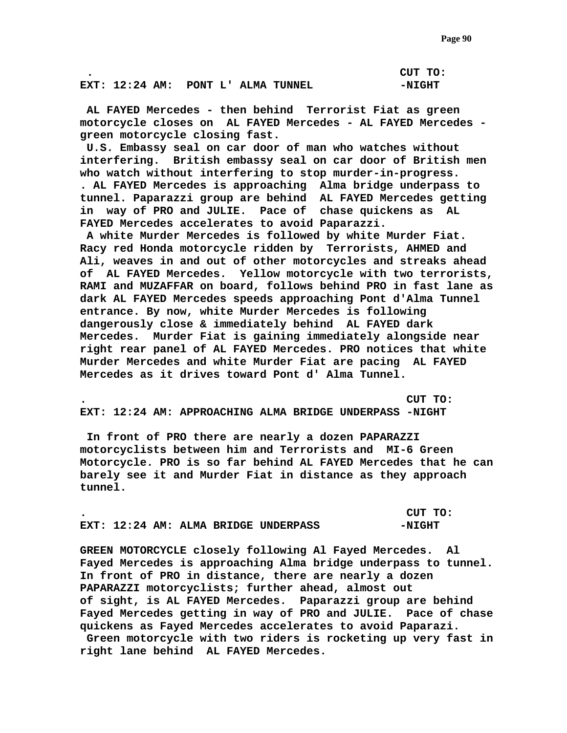**. CUT TO:** 

**EXT: 12:24 AM: PONT L' ALMA TUNNEL -NIGHT** 

 **AL FAYED Mercedes - then behind Terrorist Fiat as green motorcycle closes on AL FAYED Mercedes - AL FAYED Mercedes green motorcycle closing fast.** 

 **U.S. Embassy seal on car door of man who watches without interfering. British embassy seal on car door of British men who watch without interfering to stop murder-in-progress. . AL FAYED Mercedes is approaching Alma bridge underpass to tunnel. Paparazzi group are behind AL FAYED Mercedes getting in way of PRO and JULIE. Pace of chase quickens as AL FAYED Mercedes accelerates to avoid Paparazzi.** 

 **A white Murder Mercedes is followed by white Murder Fiat. Racy red Honda motorcycle ridden by Terrorists, AHMED and Ali, weaves in and out of other motorcycles and streaks ahead of AL FAYED Mercedes. Yellow motorcycle with two terrorists, RAMI and MUZAFFAR on board, follows behind PRO in fast lane as dark AL FAYED Mercedes speeds approaching Pont d'Alma Tunnel entrance. By now, white Murder Mercedes is following dangerously close & immediately behind AL FAYED dark Mercedes. Murder Fiat is gaining immediately alongside near right rear panel of AL FAYED Mercedes. PRO notices that white Murder Mercedes and white Murder Fiat are pacing AL FAYED Mercedes as it drives toward Pont d' Alma Tunnel.** 

**. CUT TO: EXT: 12:24 AM: APPROACHING ALMA BRIDGE UNDERPASS -NIGHT** 

 **In front of PRO there are nearly a dozen PAPARAZZI motorcyclists between him and Terrorists and MI-6 Green Motorcycle. PRO is so far behind AL FAYED Mercedes that he can barely see it and Murder Fiat in distance as they approach tunnel.** 

|  |  |                                      | CUT TO:  |
|--|--|--------------------------------------|----------|
|  |  | EXT: 12:24 AM: ALMA BRIDGE UNDERPASS | $-NIGHT$ |

**GREEN MOTORCYCLE closely following Al Fayed Mercedes. Al Fayed Mercedes is approaching Alma bridge underpass to tunnel. In front of PRO in distance, there are nearly a dozen PAPARAZZI motorcyclists; further ahead, almost out of sight, is AL FAYED Mercedes. Paparazzi group are behind Fayed Mercedes getting in way of PRO and JULIE. Pace of chase quickens as Fayed Mercedes accelerates to avoid Paparazi. Green motorcycle with two riders is rocketing up very fast in right lane behind AL FAYED Mercedes.**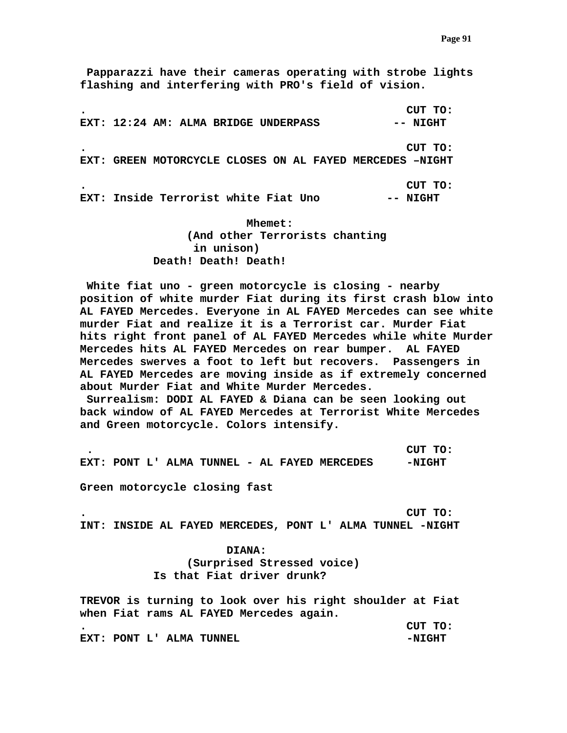**Papparazzi have their cameras operating with strobe lights flashing and interfering with PRO's field of vision.** 

**. CUT TO:**  EXT: 12:24 AM: ALMA BRIDGE UNDERPASS -- NIGHT **. CUT TO: EXT: GREEN MOTORCYCLE CLOSES ON AL FAYED MERCEDES –NIGHT . CUT TO: EXT: Inside Terrorist white Fiat Uno -- NIGHT** 

> **Mhemet: (And other Terrorists chanting in unison) Death! Death! Death!**

 **White fiat uno - green motorcycle is closing - nearby position of white murder Fiat during its first crash blow into AL FAYED Mercedes. Everyone in AL FAYED Mercedes can see white murder Fiat and realize it is a Terrorist car. Murder Fiat hits right front panel of AL FAYED Mercedes while white Murder Mercedes hits AL FAYED Mercedes on rear bumper. AL FAYED Mercedes swerves a foot to left but recovers. Passengers in AL FAYED Mercedes are moving inside as if extremely concerned about Murder Fiat and White Murder Mercedes.** 

 **Surrealism: DODI AL FAYED & Diana can be seen looking out back window of AL FAYED Mercedes at Terrorist White Mercedes and Green motorcycle. Colors intensify.** 

 **. CUT TO:**  EXT: PONT L' ALMA TUNNEL - AL FAYED MERCEDES - - NIGHT

**Green motorcycle closing fast** 

**. CUT TO: INT: INSIDE AL FAYED MERCEDES, PONT L' ALMA TUNNEL -NIGHT** 

> **DIANA: (Surprised Stressed voice) Is that Fiat driver drunk?**

**TREVOR is turning to look over his right shoulder at Fiat when Fiat rams AL FAYED Mercedes again. . CUT TO: EXT: PONT L' ALMA TUNNEL -NIGHT**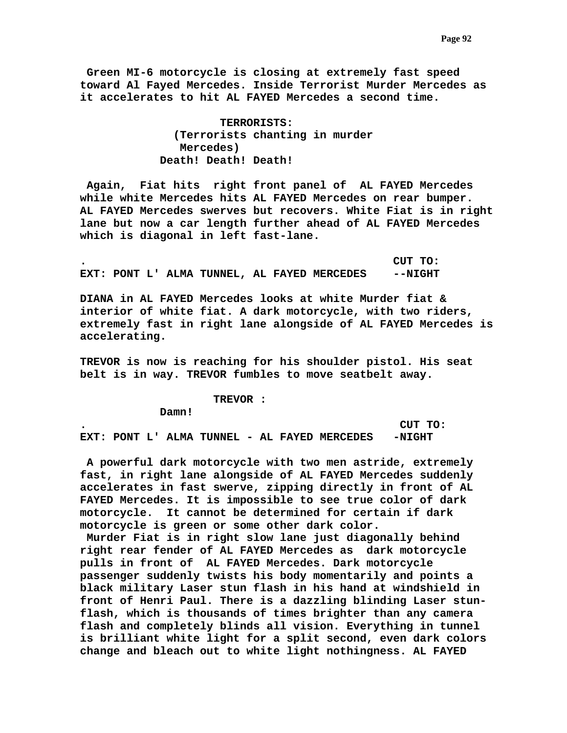**Green MI-6 motorcycle is closing at extremely fast speed toward Al Fayed Mercedes. Inside Terrorist Murder Mercedes as it accelerates to hit AL FAYED Mercedes a second time.** 

> **TERRORISTS: (Terrorists chanting in murder Mercedes) Death! Death! Death!**

 **Again, Fiat hits right front panel of AL FAYED Mercedes while white Mercedes hits AL FAYED Mercedes on rear bumper. AL FAYED Mercedes swerves but recovers. White Fiat is in right lane but now a car length further ahead of AL FAYED Mercedes which is diagonal in left fast-lane.** 

**. CUT TO: EXT: PONT L' ALMA TUNNEL, AL FAYED MERCEDES --NIGHT** 

**DIANA in AL FAYED Mercedes looks at white Murder fiat & interior of white fiat. A dark motorcycle, with two riders, extremely fast in right lane alongside of AL FAYED Mercedes is accelerating.** 

**TREVOR is now is reaching for his shoulder pistol. His seat belt is in way. TREVOR fumbles to move seatbelt away.** 

 **TREVOR :** 

 **Damn!** 

**. CUT TO: EXT: PONT L' ALMA TUNNEL - AL FAYED MERCEDES -NIGHT** 

 **A powerful dark motorcycle with two men astride, extremely fast, in right lane alongside of AL FAYED Mercedes suddenly accelerates in fast swerve, zipping directly in front of AL FAYED Mercedes. It is impossible to see true color of dark motorcycle. It cannot be determined for certain if dark motorcycle is green or some other dark color.** 

 **Murder Fiat is in right slow lane just diagonally behind right rear fender of AL FAYED Mercedes as dark motorcycle pulls in front of AL FAYED Mercedes. Dark motorcycle passenger suddenly twists his body momentarily and points a black military Laser stun flash in his hand at windshield in front of Henri Paul. There is a dazzling blinding Laser stunflash, which is thousands of times brighter than any camera flash and completely blinds all vision. Everything in tunnel is brilliant white light for a split second, even dark colors change and bleach out to white light nothingness. AL FAYED**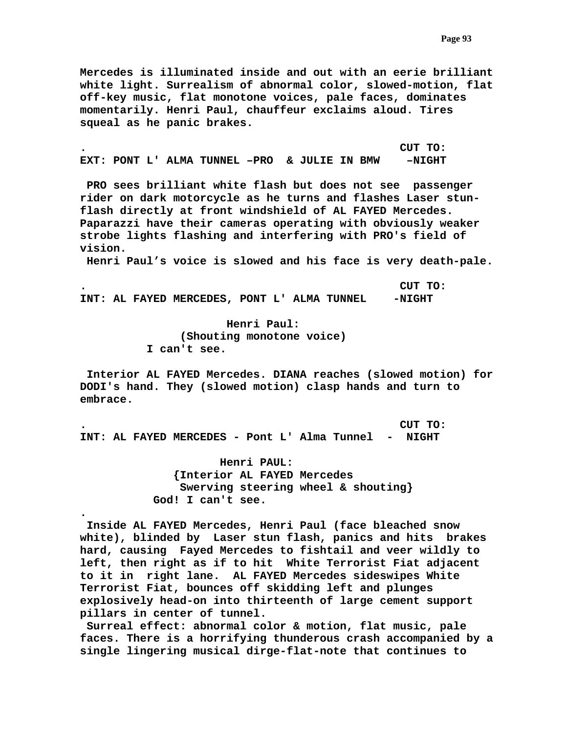**Mercedes is illuminated inside and out with an eerie brilliant white light. Surrealism of abnormal color, slowed-motion, flat off-key music, flat monotone voices, pale faces, dominates momentarily. Henri Paul, chauffeur exclaims aloud. Tires squeal as he panic brakes.** 

**. CUT TO: EXT: PONT L' ALMA TUNNEL –PRO & JULIE IN BMW –NIGHT** 

 **PRO sees brilliant white flash but does not see passenger rider on dark motorcycle as he turns and flashes Laser stunflash directly at front windshield of AL FAYED Mercedes. Paparazzi have their cameras operating with obviously weaker strobe lights flashing and interfering with PRO's field of vision.** 

 **Henri Paul's voice is slowed and his face is very death-pale.** 

**. CUT TO: INT: AL FAYED MERCEDES, PONT L' ALMA TUNNEL -NIGHT** 

> **Henri Paul: (Shouting monotone voice) I can't see.**

 **Interior AL FAYED Mercedes. DIANA reaches (slowed motion) for DODI's hand. They (slowed motion) clasp hands and turn to embrace.** 

**. CUT TO: INT: AL FAYED MERCEDES - Pont L' Alma Tunnel - NIGHT** 

**.** 

 **Henri PAUL: {Interior AL FAYED Mercedes Swerving steering wheel & shouting} God! I can't see.** 

 **Inside AL FAYED Mercedes, Henri Paul (face bleached snow white), blinded by Laser stun flash, panics and hits brakes hard, causing Fayed Mercedes to fishtail and veer wildly to left, then right as if to hit White Terrorist Fiat adjacent to it in right lane. AL FAYED Mercedes sideswipes White Terrorist Fiat, bounces off skidding left and plunges explosively head-on into thirteenth of large cement support pillars in center of tunnel.** 

 **Surreal effect: abnormal color & motion, flat music, pale faces. There is a horrifying thunderous crash accompanied by a single lingering musical dirge-flat-note that continues to**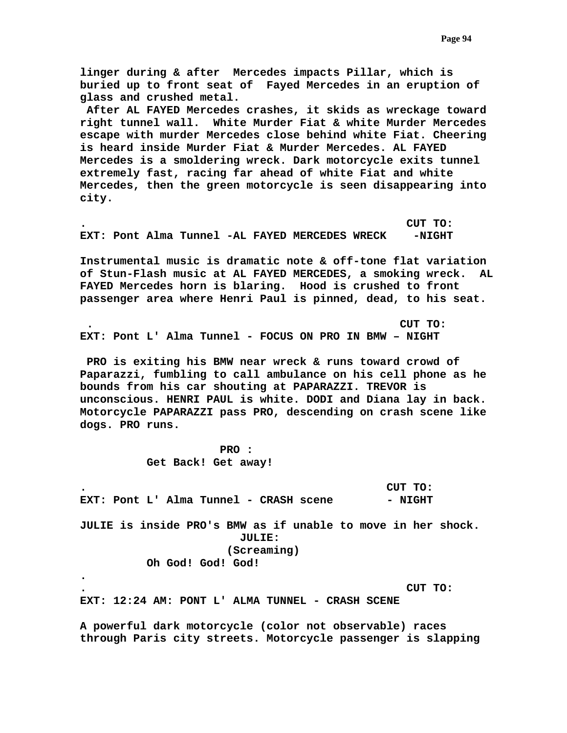**linger during & after Mercedes impacts Pillar, which is buried up to front seat of Fayed Mercedes in an eruption of glass and crushed metal.** 

 **After AL FAYED Mercedes crashes, it skids as wreckage toward right tunnel wall. White Murder Fiat & white Murder Mercedes escape with murder Mercedes close behind white Fiat. Cheering is heard inside Murder Fiat & Murder Mercedes. AL FAYED Mercedes is a smoldering wreck. Dark motorcycle exits tunnel extremely fast, racing far ahead of white Fiat and white Mercedes, then the green motorcycle is seen disappearing into city.** 

**. CUT TO:**  EXT: Pont Alma Tunnel -AL FAYED MERCEDES WRECK -NIGHT

**Instrumental music is dramatic note & off-tone flat variation of Stun-Flash music at AL FAYED MERCEDES, a smoking wreck. AL FAYED Mercedes horn is blaring. Hood is crushed to front passenger area where Henri Paul is pinned, dead, to his seat.** 

 **. CUT TO: EXT: Pont L' Alma Tunnel - FOCUS ON PRO IN BMW – NIGHT** 

 **PRO is exiting his BMW near wreck & runs toward crowd of Paparazzi, fumbling to call ambulance on his cell phone as he bounds from his car shouting at PAPARAZZI. TREVOR is unconscious. HENRI PAUL is white. DODI and Diana lay in back. Motorcycle PAPARAZZI pass PRO, descending on crash scene like dogs. PRO runs.** 

> **PRO : Get Back! Get away!**

**. CUT TO:**  EXT: Pont L' Alma Tunnel - CRASH scene  $-$  NIGHT **JULIE is inside PRO's BMW as if unable to move in her shock. JULIE: (Screaming) Oh God! God! God! .** 

**. CUT TO:** 

**EXT: 12:24 AM: PONT L' ALMA TUNNEL - CRASH SCENE** 

**A powerful dark motorcycle (color not observable) races through Paris city streets. Motorcycle passenger is slapping**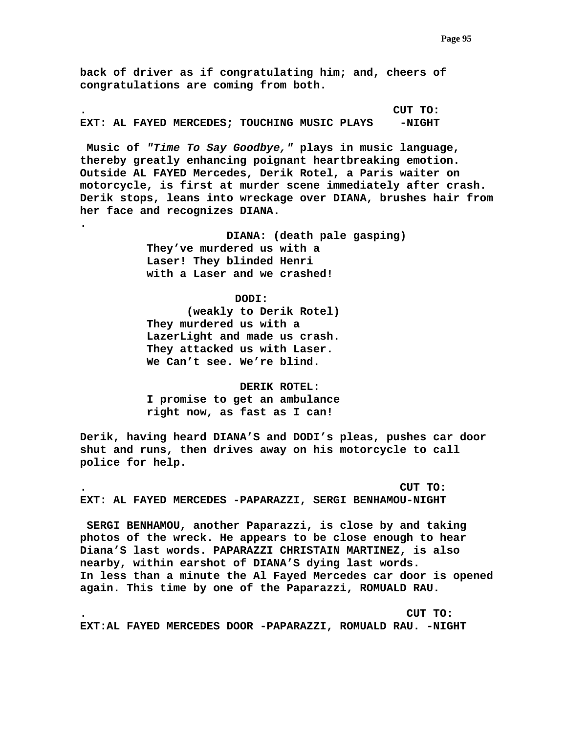**back of driver as if congratulating him; and, cheers of congratulations are coming from both.** 

**. CUT TO: EXT: AL FAYED MERCEDES; TOUCHING MUSIC PLAYS -NIGHT** 

 **Music of** *"Time To Say Goodbye,"* **plays in music language, thereby greatly enhancing poignant heartbreaking emotion. Outside AL FAYED Mercedes, Derik Rotel, a Paris waiter on motorcycle, is first at murder scene immediately after crash. Derik stops, leans into wreckage over DIANA, brushes hair from her face and recognizes DIANA.** 

> **DIANA: (death pale gasping) They've murdered us with a Laser! They blinded Henri with a Laser and we crashed!**

> > **DODI:**

**.** 

 **(weakly to Derik Rotel) They murdered us with a LazerLight and made us crash. They attacked us with Laser. We Can't see. We're blind.** 

 **DERIK ROTEL: I promise to get an ambulance right now, as fast as I can!** 

**Derik, having heard DIANA'S and DODI's pleas, pushes car door shut and runs, then drives away on his motorcycle to call police for help.** 

**. CUT TO: EXT: AL FAYED MERCEDES -PAPARAZZI, SERGI BENHAMOU-NIGHT** 

 **SERGI BENHAMOU, another Paparazzi, is close by and taking photos of the wreck. He appears to be close enough to hear Diana'S last words. PAPARAZZI CHRISTAIN MARTINEZ, is also nearby, within earshot of DIANA'S dying last words. In less than a minute the Al Fayed Mercedes car door is opened again. This time by one of the Paparazzi, ROMUALD RAU.** 

**. CUT TO: EXT:AL FAYED MERCEDES DOOR -PAPARAZZI, ROMUALD RAU. -NIGHT**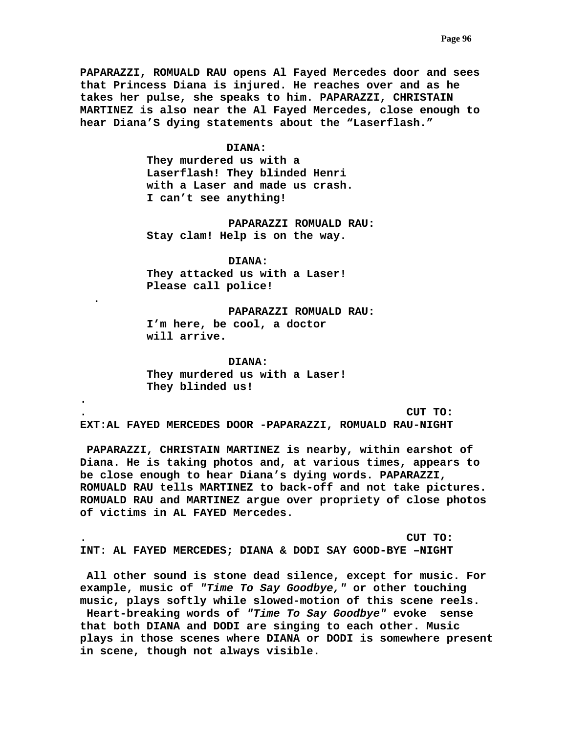**PAPARAZZI, ROMUALD RAU opens Al Fayed Mercedes door and sees that Princess Diana is injured. He reaches over and as he takes her pulse, she speaks to him. PAPARAZZI, CHRISTAIN MARTINEZ is also near the Al Fayed Mercedes, close enough to hear Diana'S dying statements about the "Laserflash."** 

## **DIANA:**

**They murdered us with a Laserflash! They blinded Henri with a Laser and made us crash. I can't see anything!** 

 **PAPARAZZI ROMUALD RAU: Stay clam! Help is on the way.** 

 **DIANA: They attacked us with a Laser! Please call police!** 

**. .** 

**.** 

 **PAPARAZZI ROMUALD RAU: I'm here, be cool, a doctor will arrive.** 

 **DIANA: They murdered us with a Laser! They blinded us!** 

**. CUT TO: EXT:AL FAYED MERCEDES DOOR -PAPARAZZI, ROMUALD RAU-NIGHT** 

 **PAPARAZZI, CHRISTAIN MARTINEZ is nearby, within earshot of Diana. He is taking photos and, at various times, appears to be close enough to hear Diana's dying words. PAPARAZZI, ROMUALD RAU tells MARTINEZ to back-off and not take pictures. ROMUALD RAU and MARTINEZ argue over propriety of close photos of victims in AL FAYED Mercedes.** 

**. CUT TO: INT: AL FAYED MERCEDES; DIANA & DODI SAY GOOD-BYE –NIGHT** 

**in scene, though not always visible.** 

 **All other sound is stone dead silence, except for music. For example, music of** *"Time To Say Goodbye,"* **or other touching music, plays softly while slowed-motion of this scene reels. Heart-breaking words of** *"Time To Say Goodbye"* **evoke sense that both DIANA and DODI are singing to each other. Music plays in those scenes where DIANA or DODI is somewhere present**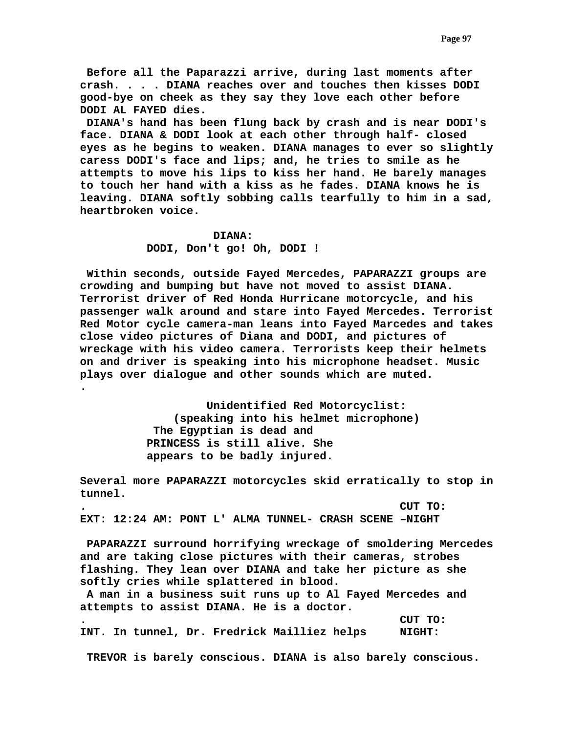**Before all the Paparazzi arrive, during last moments after crash. . . . DIANA reaches over and touches then kisses DODI good-bye on cheek as they say they love each other before DODI AL FAYED dies.** 

 **DIANA's hand has been flung back by crash and is near DODI's face. DIANA & DODI look at each other through half- closed eyes as he begins to weaken. DIANA manages to ever so slightly caress DODI's face and lips; and, he tries to smile as he attempts to move his lips to kiss her hand. He barely manages to touch her hand with a kiss as he fades. DIANA knows he is leaving. DIANA softly sobbing calls tearfully to him in a sad, heartbroken voice.** 

# **DIANA: DODI, Don't go! Oh, DODI !**

**.** 

 **Within seconds, outside Fayed Mercedes, PAPARAZZI groups are crowding and bumping but have not moved to assist DIANA. Terrorist driver of Red Honda Hurricane motorcycle, and his passenger walk around and stare into Fayed Mercedes. Terrorist Red Motor cycle camera-man leans into Fayed Marcedes and takes close video pictures of Diana and DODI, and pictures of wreckage with his video camera. Terrorists keep their helmets on and driver is speaking into his microphone headset. Music plays over dialogue and other sounds which are muted.** 

> **Unidentified Red Motorcyclist: (speaking into his helmet microphone) The Egyptian is dead and PRINCESS is still alive. She appears to be badly injured.**

**Several more PAPARAZZI motorcycles skid erratically to stop in tunnel.** 

**. CUT TO: EXT: 12:24 AM: PONT L' ALMA TUNNEL- CRASH SCENE –NIGHT** 

 **PAPARAZZI surround horrifying wreckage of smoldering Mercedes and are taking close pictures with their cameras, strobes flashing. They lean over DIANA and take her picture as she softly cries while splattered in blood.** 

 **A man in a business suit runs up to Al Fayed Mercedes and attempts to assist DIANA. He is a doctor.** 

**. CUT TO: INT. In tunnel, Dr. Fredrick Mailliez helps NIGHT:** 

 **TREVOR is barely conscious. DIANA is also barely conscious.**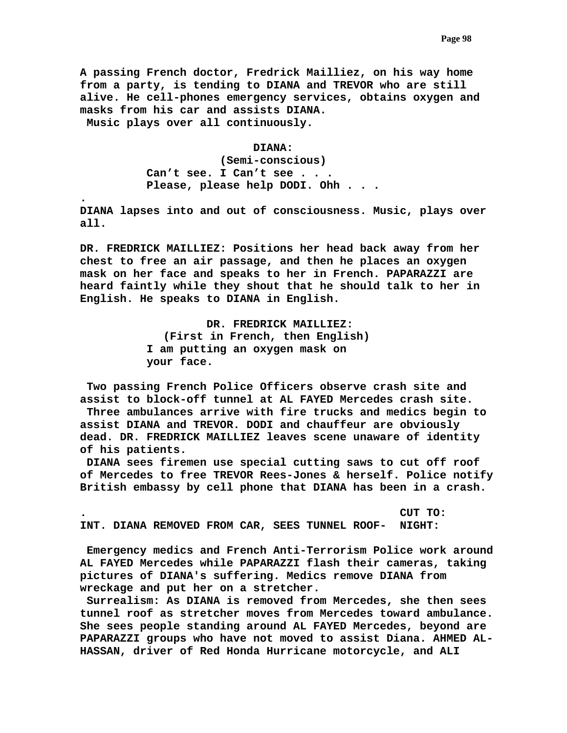**A passing French doctor, Fredrick Mailliez, on his way home from a party, is tending to DIANA and TREVOR who are still alive. He cell-phones emergency services, obtains oxygen and masks from his car and assists DIANA. Music plays over all continuously.** 

### **DIANA:**

 **(Semi-conscious) Can't see. I Can't see . . . Please, please help DODI. Ohh . . .** 

**.** 

**DIANA lapses into and out of consciousness. Music, plays over all.** 

**DR. FREDRICK MAILLIEZ: Positions her head back away from her chest to free an air passage, and then he places an oxygen mask on her face and speaks to her in French. PAPARAZZI are heard faintly while they shout that he should talk to her in English. He speaks to DIANA in English.** 

> **DR. FREDRICK MAILLIEZ: (First in French, then English) I am putting an oxygen mask on your face.**

 **Two passing French Police Officers observe crash site and assist to block-off tunnel at AL FAYED Mercedes crash site. Three ambulances arrive with fire trucks and medics begin to assist DIANA and TREVOR. DODI and chauffeur are obviously dead. DR. FREDRICK MAILLIEZ leaves scene unaware of identity of his patients.** 

 **DIANA sees firemen use special cutting saws to cut off roof of Mercedes to free TREVOR Rees-Jones & herself. Police notify British embassy by cell phone that DIANA has been in a crash.** 

**. CUT TO: INT. DIANA REMOVED FROM CAR, SEES TUNNEL ROOF- NIGHT:** 

 **Emergency medics and French Anti-Terrorism Police work around AL FAYED Mercedes while PAPARAZZI flash their cameras, taking pictures of DIANA's suffering. Medics remove DIANA from wreckage and put her on a stretcher.** 

 **Surrealism: As DIANA is removed from Mercedes, she then sees tunnel roof as stretcher moves from Mercedes toward ambulance. She sees people standing around AL FAYED Mercedes, beyond are PAPARAZZI groups who have not moved to assist Diana. AHMED AL-HASSAN, driver of Red Honda Hurricane motorcycle, and ALI**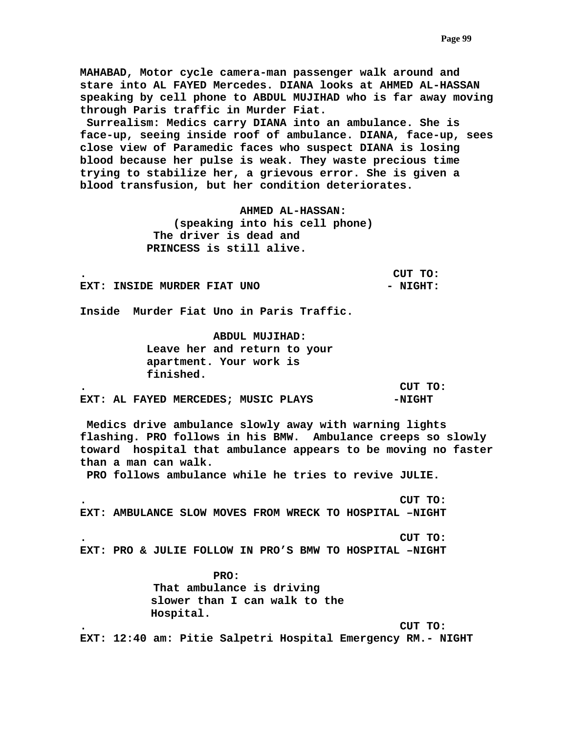**MAHABAD, Motor cycle camera-man passenger walk around and stare into AL FAYED Mercedes. DIANA looks at AHMED AL-HASSAN speaking by cell phone to ABDUL MUJIHAD who is far away moving through Paris traffic in Murder Fiat.** 

 **Surrealism: Medics carry DIANA into an ambulance. She is face-up, seeing inside roof of ambulance. DIANA, face-up, sees close view of Paramedic faces who suspect DIANA is losing blood because her pulse is weak. They waste precious time trying to stabilize her, a grievous error. She is given a blood transfusion, but her condition deteriorates.** 

> **AHMED AL-HASSAN: (speaking into his cell phone) The driver is dead and PRINCESS is still alive.**

**. CUT TO:** 

**EXT: INSIDE MURDER FIAT UNO**  $-$  **NIGHT:** 

**Inside Murder Fiat Uno in Paris Traffic.** 

 **ABDUL MUJIHAD: Leave her and return to your apartment. Your work is finished.** 

**. CUT TO:** 

**EXT: AL FAYED MERCEDES; MUSIC PLAYS -NIGHT** 

 **Medics drive ambulance slowly away with warning lights flashing. PRO follows in his BMW. Ambulance creeps so slowly toward hospital that ambulance appears to be moving no faster than a man can walk.** 

 **PRO follows ambulance while he tries to revive JULIE.** 

**. CUT TO: EXT: AMBULANCE SLOW MOVES FROM WRECK TO HOSPITAL –NIGHT** 

**. CUT TO: EXT: PRO & JULIE FOLLOW IN PRO'S BMW TO HOSPITAL –NIGHT** 

> **PRO: That ambulance is driving slower than I can walk to the Hospital.**

**. CUT TO:** 

**EXT: 12:40 am: Pitie Salpetri Hospital Emergency RM.- NIGHT**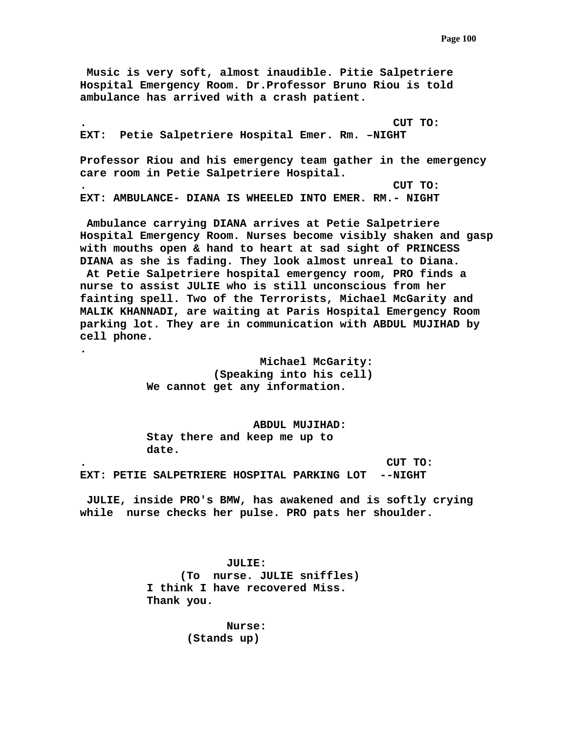**Music is very soft, almost inaudible. Pitie Salpetriere Hospital Emergency Room. Dr.Professor Bruno Riou is told ambulance has arrived with a crash patient.** 

**. CUT TO: EXT: Petie Salpetriere Hospital Emer. Rm. –NIGHT Professor Riou and his emergency team gather in the emergency care room in Petie Salpetriere Hospital. . CUT TO: EXT: AMBULANCE- DIANA IS WHEELED INTO EMER. RM.- NIGHT** 

 **Ambulance carrying DIANA arrives at Petie Salpetriere Hospital Emergency Room. Nurses become visibly shaken and gasp with mouths open & hand to heart at sad sight of PRINCESS DIANA as she is fading. They look almost unreal to Diana. At Petie Salpetriere hospital emergency room, PRO finds a nurse to assist JULIE who is still unconscious from her fainting spell. Two of the Terrorists, Michael McGarity and MALIK KHANNADI, are waiting at Paris Hospital Emergency Room parking lot. They are in communication with ABDUL MUJIHAD by cell phone.** 

> **Michael McGarity: (Speaking into his cell) We cannot get any information.**

**.** 

 **ABDUL MUJIHAD: Stay there and keep me up to date.** 

**. CUT TO: EXT: PETIE SALPETRIERE HOSPITAL PARKING LOT --NIGHT** 

 **JULIE, inside PRO's BMW, has awakened and is softly crying while nurse checks her pulse. PRO pats her shoulder.** 

> **JULIE: (To nurse. JULIE sniffles) I think I have recovered Miss. Thank you.**

> > **Nurse: (Stands up)**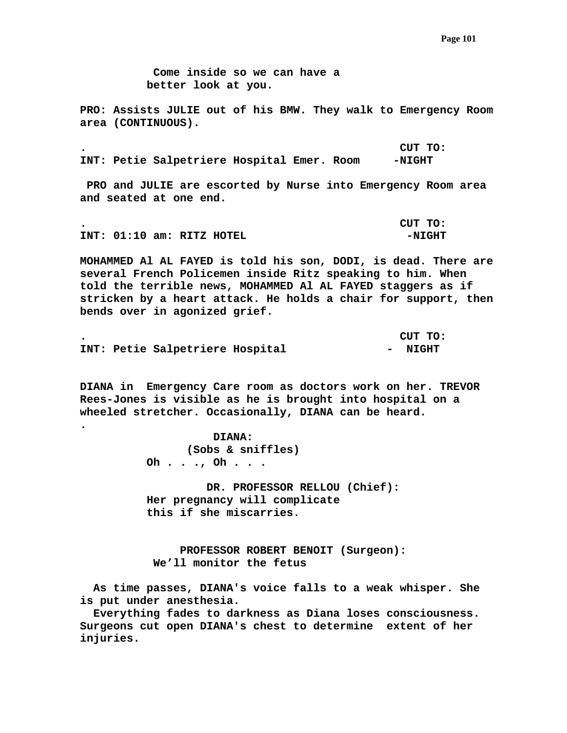**Come inside so we can have a better look at you.** 

**PRO: Assists JULIE out of his BMW. They walk to Emergency Room area (CONTINUOUS).** 

**. CUT TO: INT: Petie Salpetriere Hospital Emer. Room -NIGHT** 

 **PRO and JULIE are escorted by Nurse into Emergency Room area and seated at one end.** 

**. CUT TO: INT: 01:10 am: RITZ HOTEL -NIGHT** 

**MOHAMMED Al AL FAYED is told his son, DODI, is dead. There are several French Policemen inside Ritz speaking to him. When told the terrible news, MOHAMMED Al AL FAYED staggers as if stricken by a heart attack. He holds a chair for support, then bends over in agonized grief.** 

|  |                                 |  | CUT TO: |
|--|---------------------------------|--|---------|
|  | INT: Petie Salpetriere Hospital |  | - NIGHT |

**DIANA in Emergency Care room as doctors work on her. TREVOR Rees-Jones is visible as he is brought into hospital on a wheeled stretcher. Occasionally, DIANA can be heard.** 

> **DIANA: (Sobs & sniffles) Oh . . ., Oh . . .**

**.** 

 **DR. PROFESSOR RELLOU (Chief): Her pregnancy will complicate this if she miscarries.** 

 **PROFESSOR ROBERT BENOIT (Surgeon): We'll monitor the fetus** 

 **As time passes, DIANA's voice falls to a weak whisper. She is put under anesthesia.** 

 **Everything fades to darkness as Diana loses consciousness. Surgeons cut open DIANA's chest to determine extent of her injuries.**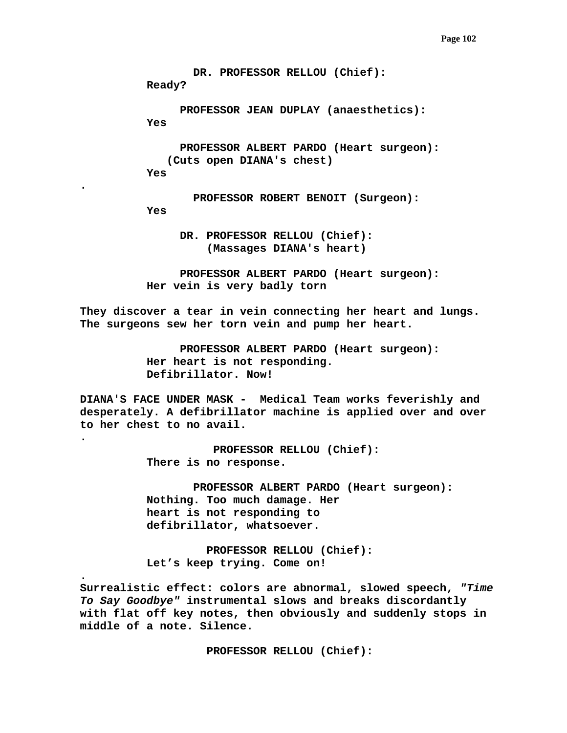```
 DR. PROFESSOR RELLOU (Chief): 
          Ready? 
                 PROFESSOR JEAN DUPLAY (anaesthetics): 
          Yes 
                 PROFESSOR ALBERT PARDO (Heart surgeon): 
               (Cuts open DIANA's chest) 
          Yes 
                   PROFESSOR ROBERT BENOIT (Surgeon): 
          Yes 
                 DR. PROFESSOR RELLOU (Chief): 
                     (Massages DIANA's heart) 
                 PROFESSOR ALBERT PARDO (Heart surgeon): 
          Her vein is very badly torn 
They discover a tear in vein connecting her heart and lungs. 
The surgeons sew her torn vein and pump her heart. 
                 PROFESSOR ALBERT PARDO (Heart surgeon): 
          Her heart is not responding. 
          Defibrillator. Now! 
DIANA'S FACE UNDER MASK - Medical Team works feverishly and 
desperately. A defibrillator machine is applied over and over 
to her chest to no avail. 
                      PROFESSOR RELLOU (Chief): 
          There is no response. 
                   PROFESSOR ALBERT PARDO (Heart surgeon): 
           Nothing. Too much damage. Her 
          heart is not responding to 
          defibrillator, whatsoever.
```
**.** 

**.** 

**.** 

 **PROFESSOR RELLOU (Chief): Let's keep trying. Come on!** 

**Surrealistic effect: colors are abnormal, slowed speech,** *"Time To Say Goodbye"* **instrumental slows and breaks discordantly with flat off key notes, then obviously and suddenly stops in middle of a note. Silence.** 

 **PROFESSOR RELLOU (Chief):**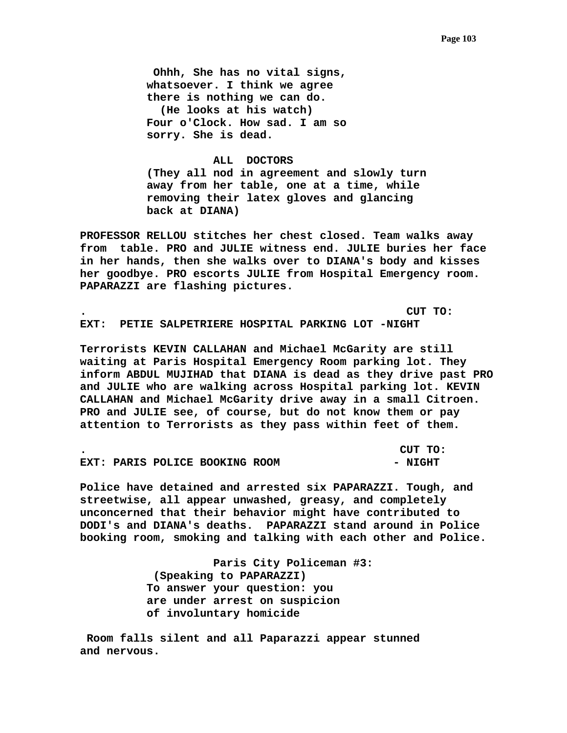**Ohhh, She has no vital signs, whatsoever. I think we agree there is nothing we can do. (He looks at his watch) Four o'Clock. How sad. I am so sorry. She is dead.** 

# **ALL DOCTORS (They all nod in agreement and slowly turn away from her table, one at a time, while removing their latex gloves and glancing back at DIANA)**

**PROFESSOR RELLOU stitches her chest closed. Team walks away from table. PRO and JULIE witness end. JULIE buries her face in her hands, then she walks over to DIANA's body and kisses her goodbye. PRO escorts JULIE from Hospital Emergency room. PAPARAZZI are flashing pictures.** 

**. CUT TO: EXT: PETIE SALPETRIERE HOSPITAL PARKING LOT -NIGHT** 

**Terrorists KEVIN CALLAHAN and Michael McGarity are still waiting at Paris Hospital Emergency Room parking lot. They inform ABDUL MUJIHAD that DIANA is dead as they drive past PRO and JULIE who are walking across Hospital parking lot. KEVIN CALLAHAN and Michael McGarity drive away in a small Citroen. PRO and JULIE see, of course, but do not know them or pay attention to Terrorists as they pass within feet of them.** 

|  |                                | CUT TO: |
|--|--------------------------------|---------|
|  | EXT: PARIS POLICE BOOKING ROOM | - NIGHT |

**Police have detained and arrested six PAPARAZZI. Tough, and streetwise, all appear unwashed, greasy, and completely unconcerned that their behavior might have contributed to DODI's and DIANA's deaths. PAPARAZZI stand around in Police booking room, smoking and talking with each other and Police.** 

> **Paris City Policeman #3: (Speaking to PAPARAZZI) To answer your question: you are under arrest on suspicion of involuntary homicide**

 **Room falls silent and all Paparazzi appear stunned and nervous.**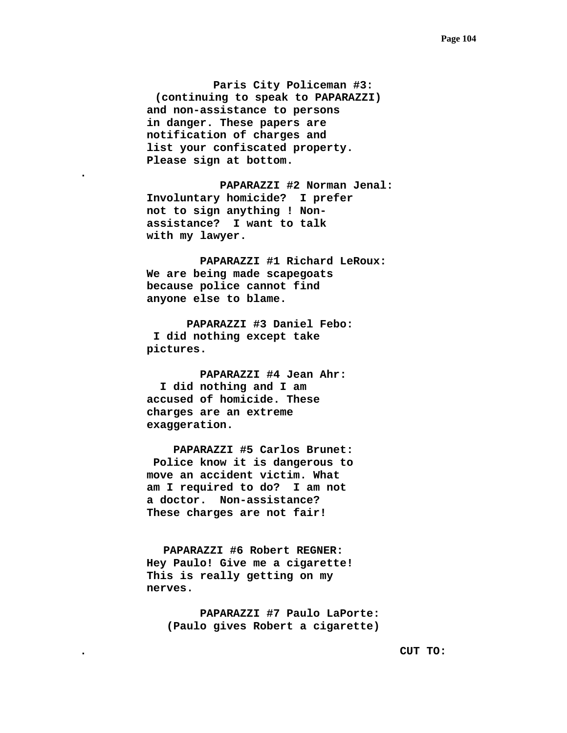**Paris City Policeman #3: (continuing to speak to PAPARAZZI) and non-assistance to persons in danger. These papers are notification of charges and list your confiscated property. Please sign at bottom.** 

**.** 

 **PAPARAZZI #2 Norman Jenal: Involuntary homicide? I prefer not to sign anything ! Nonassistance? I want to talk with my lawyer.** 

 **PAPARAZZI #1 Richard LeRoux: We are being made scapegoats because police cannot find anyone else to blame.** 

 **PAPARAZZI #3 Daniel Febo: I did nothing except take pictures.** 

 **PAPARAZZI #4 Jean Ahr: I did nothing and I am accused of homicide. These charges are an extreme exaggeration.** 

 **PAPARAZZI #5 Carlos Brunet: Police know it is dangerous to move an accident victim. What am I required to do? I am not a doctor. Non-assistance? These charges are not fair!** 

**PAPARAZZI #6 Robert REGNER: Hey Paulo! Give me a cigarette! This is really getting on my nerves.** 

> **PAPARAZZI #7 Paulo LaPorte: (Paulo gives Robert a cigarette)**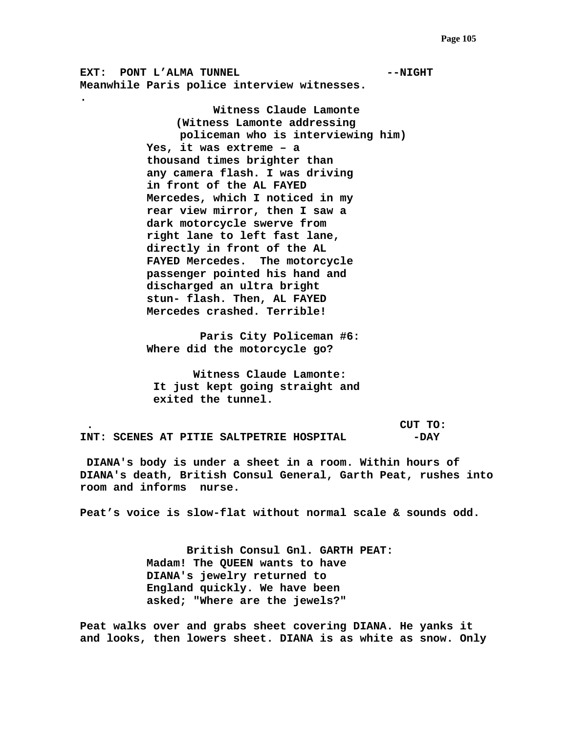**EXT:** PONT L'ALMA TUNNEL **AUGHER AUGHER AUGHER AUGHER AUGHER Meanwhile Paris police interview witnesses.** 

**.** 

 **Witness Claude Lamonte (Witness Lamonte addressing policeman who is interviewing him) Yes, it was extreme – a thousand times brighter than any camera flash. I was driving in front of the AL FAYED Mercedes, which I noticed in my rear view mirror, then I saw a dark motorcycle swerve from right lane to left fast lane, directly in front of the AL FAYED Mercedes. The motorcycle passenger pointed his hand and discharged an ultra bright stun- flash. Then, AL FAYED Mercedes crashed. Terrible!** 

 **Paris City Policeman #6: Where did the motorcycle go?** 

 **Witness Claude Lamonte: It just kept going straight and exited the tunnel.** 

 **. CUT TO: INT: SCENES AT PITIE SALTPETRIE HOSPITAL -DAY** 

 **DIANA's body is under a sheet in a room. Within hours of DIANA's death, British Consul General, Garth Peat, rushes into room and informs nurse.** 

**Peat's voice is slow-flat without normal scale & sounds odd.** 

 **British Consul Gnl. GARTH PEAT: Madam! The QUEEN wants to have DIANA's jewelry returned to England quickly. We have been asked; "Where are the jewels?"** 

**Peat walks over and grabs sheet covering DIANA. He yanks it and looks, then lowers sheet. DIANA is as white as snow. Only**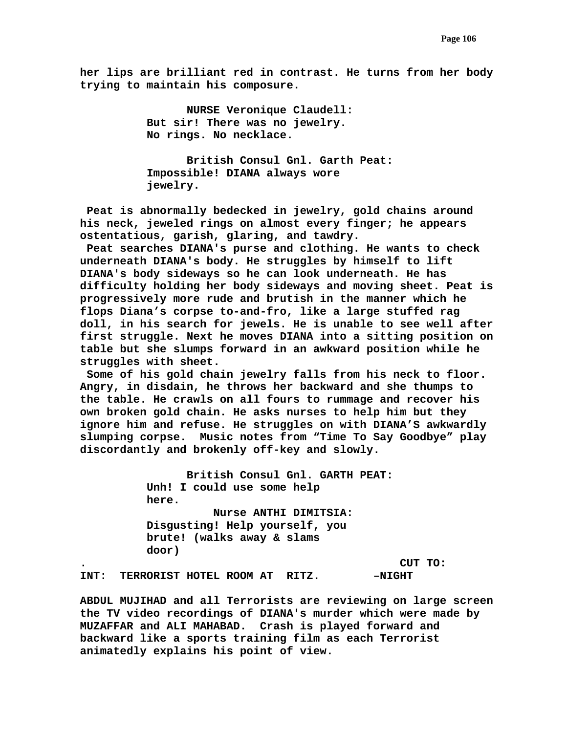**her lips are brilliant red in contrast. He turns from her body trying to maintain his composure.** 

> **NURSE Veronique Claudell: But sir! There was no jewelry. No rings. No necklace.**

 **British Consul Gnl. Garth Peat: Impossible! DIANA always wore jewelry.** 

 **Peat is abnormally bedecked in jewelry, gold chains around his neck, jeweled rings on almost every finger; he appears ostentatious, garish, glaring, and tawdry.** 

 **Peat searches DIANA's purse and clothing. He wants to check underneath DIANA's body. He struggles by himself to lift DIANA's body sideways so he can look underneath. He has difficulty holding her body sideways and moving sheet. Peat is progressively more rude and brutish in the manner which he flops Diana's corpse to-and-fro, like a large stuffed rag doll, in his search for jewels. He is unable to see well after first struggle. Next he moves DIANA into a sitting position on table but she slumps forward in an awkward position while he struggles with sheet.** 

 **Some of his gold chain jewelry falls from his neck to floor. Angry, in disdain, he throws her backward and she thumps to the table. He crawls on all fours to rummage and recover his own broken gold chain. He asks nurses to help him but they ignore him and refuse. He struggles on with DIANA'S awkwardly slumping corpse. Music notes from "Time To Say Goodbye" play discordantly and brokenly off-key and slowly.** 

 **British Consul Gnl. GARTH PEAT: Unh! I could use some help here. Nurse ANTHI DIMITSIA: Disgusting! Help yourself, you brute! (walks away & slams door) . CUT TO:** 

INT: TERRORIST HOTEL ROOM AT RITZ. - - NIGHT

**ABDUL MUJIHAD and all Terrorists are reviewing on large screen the TV video recordings of DIANA's murder which were made by MUZAFFAR and ALI MAHABAD. Crash is played forward and backward like a sports training film as each Terrorist animatedly explains his point of view.**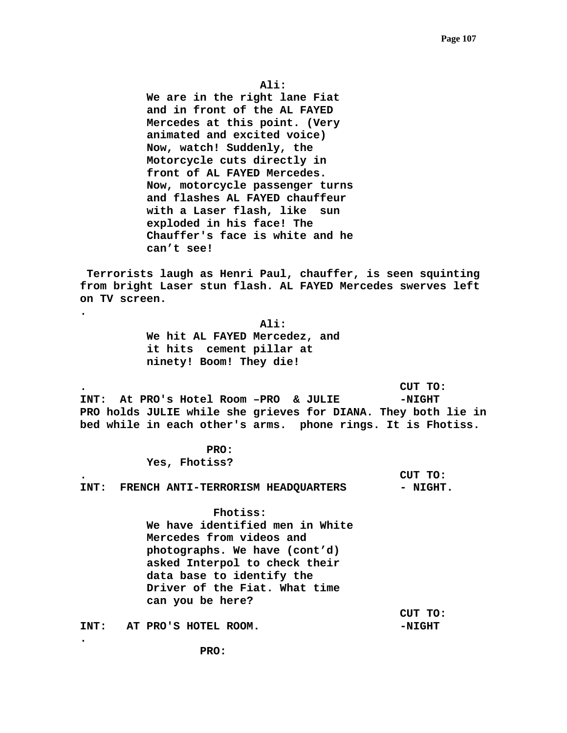**Ali:** 

 **We are in the right lane Fiat and in front of the AL FAYED Mercedes at this point. (Very animated and excited voice) Now, watch! Suddenly, the Motorcycle cuts directly in front of AL FAYED Mercedes. Now, motorcycle passenger turns and flashes AL FAYED chauffeur with a Laser flash, like sun exploded in his face! The Chauffer's face is white and he can't see!** 

 **Terrorists laugh as Henri Paul, chauffer, is seen squinting from bright Laser stun flash. AL FAYED Mercedes swerves left on TV screen.** 

> **Ali: We hit AL FAYED Mercedez, and it hits cement pillar at ninety! Boom! They die!**

**. CUT TO: INT: At PRO's Hotel Room –PRO & JULIE -NIGHT PRO holds JULIE while she grieves for DIANA. They both lie in bed while in each other's arms. phone rings. It is Fhotiss.** 

> **PRO: Yes, Fhotiss?**

**.** 

**.** 

**. CUT TO:**  INT: FRENCH ANTI-TERRORISM HEADQUARTERS - NIGHT.

> **Fhotiss: We have identified men in White Mercedes from videos and photographs. We have (cont'd) asked Interpol to check their data base to identify the Driver of the Fiat. What time can you be here?**

INT: AT PRO'S HOTEL ROOM. **A** PRO'S HOTEL ROOM.

 **CUT TO:**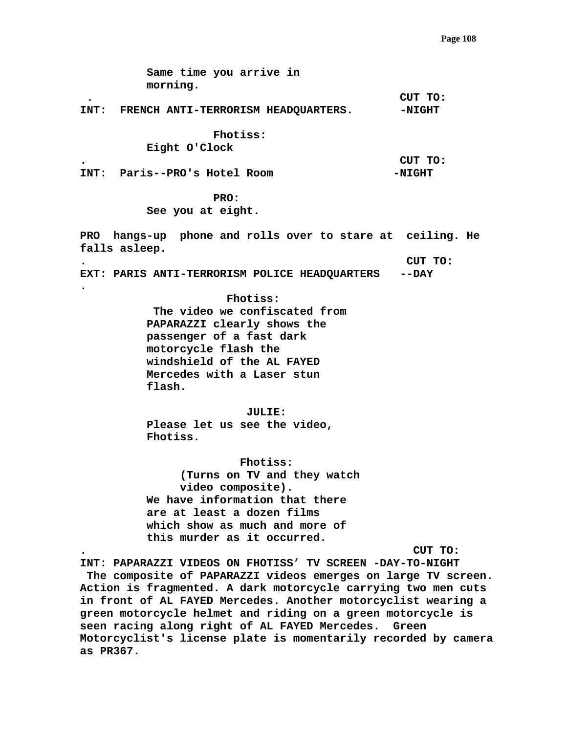**Same time you arrive in morning. . CUT TO:**  INT: FRENCH ANTI-TERRORISM HEADQUARTERS. - - NIGHT  **Fhotiss: Eight O'Clock . CUT TO:**  INT: Paris--PRO's Hotel Room **-NIGHT PRO: See you at eight. PRO hangs-up phone and rolls over to stare at ceiling. He falls asleep. . CUT TO: EXT: PARIS ANTI-TERRORISM POLICE HEADQUARTERS --DAY . Fhotiss: The video we confiscated from PAPARAZZI clearly shows the passenger of a fast dark motorcycle flash the windshield of the AL FAYED Mercedes with a Laser stun flash. JULIE: Please let us see the video, Fhotiss. Fhotiss: (Turns on TV and they watch video composite). We have information that there are at least a dozen films which show as much and more of this murder as it occurred. . CUT TO: INT: PAPARAZZI VIDEOS ON FHOTISS' TV SCREEN -DAY-TO-NIGHT The composite of PAPARAZZI videos emerges on large TV screen. Action is fragmented. A dark motorcycle carrying two men cuts in front of AL FAYED Mercedes. Another motorcyclist wearing a green motorcycle helmet and riding on a green motorcycle is seen racing along right of AL FAYED Mercedes. Green** 

**Motorcyclist's license plate is momentarily recorded by camera as PR367.**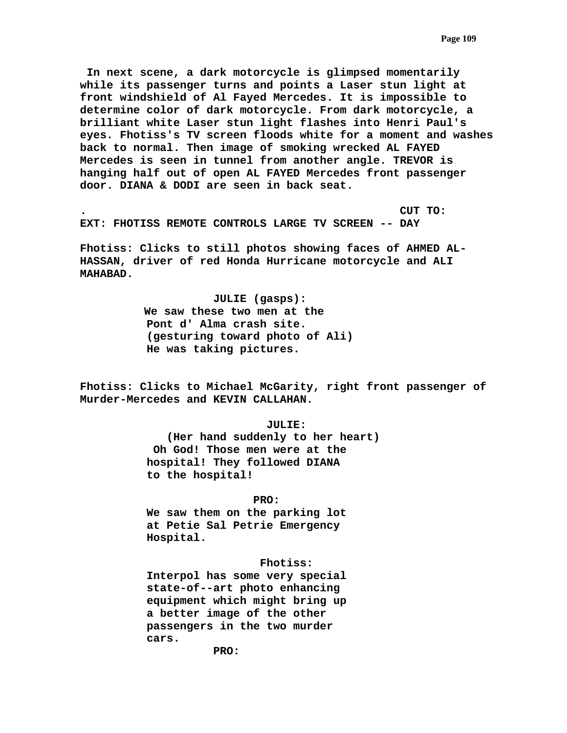**In next scene, a dark motorcycle is glimpsed momentarily while its passenger turns and points a Laser stun light at front windshield of Al Fayed Mercedes. It is impossible to determine color of dark motorcycle. From dark motorcycle, a brilliant white Laser stun light flashes into Henri Paul's eyes. Fhotiss's TV screen floods white for a moment and washes back to normal. Then image of smoking wrecked AL FAYED Mercedes is seen in tunnel from another angle. TREVOR is hanging half out of open AL FAYED Mercedes front passenger door. DIANA & DODI are seen in back seat.** 

**. CUT TO: EXT: FHOTISS REMOTE CONTROLS LARGE TV SCREEN -- DAY** 

**Fhotiss: Clicks to still photos showing faces of AHMED AL-HASSAN, driver of red Honda Hurricane motorcycle and ALI MAHABAD.** 

> **JULIE (gasps): We saw these two men at the Pont d' Alma crash site. (gesturing toward photo of Ali) He was taking pictures.**

**Fhotiss: Clicks to Michael McGarity, right front passenger of Murder-Mercedes and KEVIN CALLAHAN.** 

 **JULIE:** 

 **(Her hand suddenly to her heart) Oh God! Those men were at the hospital! They followed DIANA to the hospital!** 

 **PRO:** 

 **We saw them on the parking lot at Petie Sal Petrie Emergency Hospital.** 

 **Fhotiss:** 

 **Interpol has some very special state-of--art photo enhancing equipment which might bring up a better image of the other passengers in the two murder cars.** 

 **PRO:**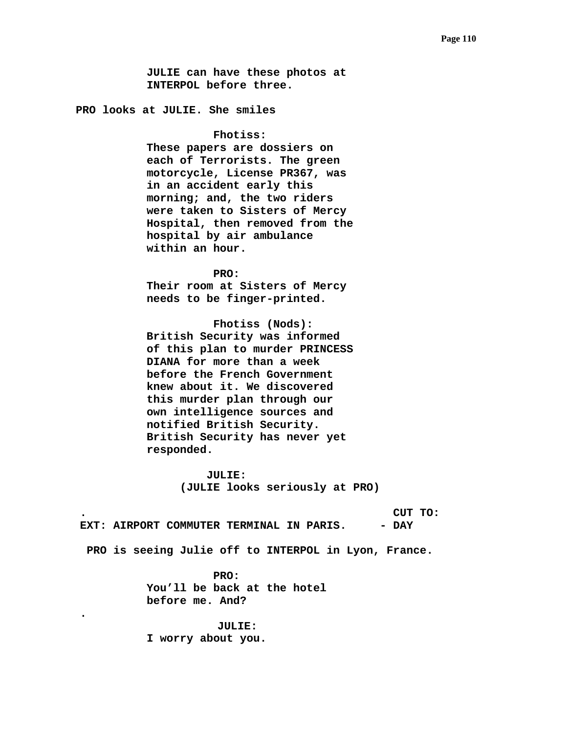**JULIE can have these photos at INTERPOL before three.** 

**PRO looks at JULIE. She smiles** 

 **Fhotiss:** 

 **These papers are dossiers on each of Terrorists. The green motorcycle, License PR367, was in an accident early this morning; and, the two riders were taken to Sisters of Mercy Hospital, then removed from the hospital by air ambulance within an hour.** 

 **PRO: Their room at Sisters of Mercy needs to be finger-printed.** 

 **Fhotiss (Nods): British Security was informed of this plan to murder PRINCESS DIANA for more than a week before the French Government knew about it. We discovered this murder plan through our own intelligence sources and notified British Security. British Security has never yet responded.** 

> **JULIE: (JULIE looks seriously at PRO)**

**. CUT TO:**  EXT: AIRPORT COMMUTER TERMINAL IN PARIS. - DAY

 **PRO is seeing Julie off to INTERPOL in Lyon, France.** 

 **PRO: You'll be back at the hotel before me. And?** 

**JULIE: I worry about you.** 

**.**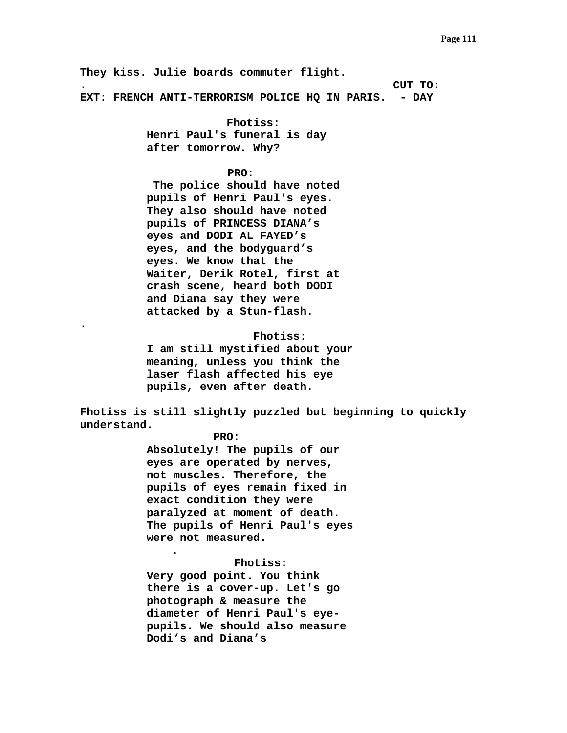**They kiss. Julie boards commuter flight. . CUT TO: EXT: FRENCH ANTI-TERRORISM POLICE HQ IN PARIS. - DAY** 

> **Fhotiss: Henri Paul's funeral is day after tomorrow. Why?**

## **PRO:**

 **The police should have noted pupils of Henri Paul's eyes. They also should have noted pupils of PRINCESS DIANA's eyes and DODI AL FAYED's eyes, and the bodyguard's eyes. We know that the Waiter, Derik Rotel, first at crash scene, heard both DODI and Diana say they were attacked by a Stun-flash.** 

 **Fhotiss: I am still mystified about your meaning, unless you think the laser flash affected his eye pupils, even after death.** 

**Fhotiss is still slightly puzzled but beginning to quickly understand.** 

## **PRO:**

**.** 

**.** 

**Absolutely! The pupils of our eyes are operated by nerves, not muscles. Therefore, the pupils of eyes remain fixed in exact condition they were paralyzed at moment of death. The pupils of Henri Paul's eyes were not measured.** 

 **Fhotiss:** 

**Very good point. You think there is a cover-up. Let's go photograph & measure the diameter of Henri Paul's eyepupils. We should also measure Dodi's and Diana's**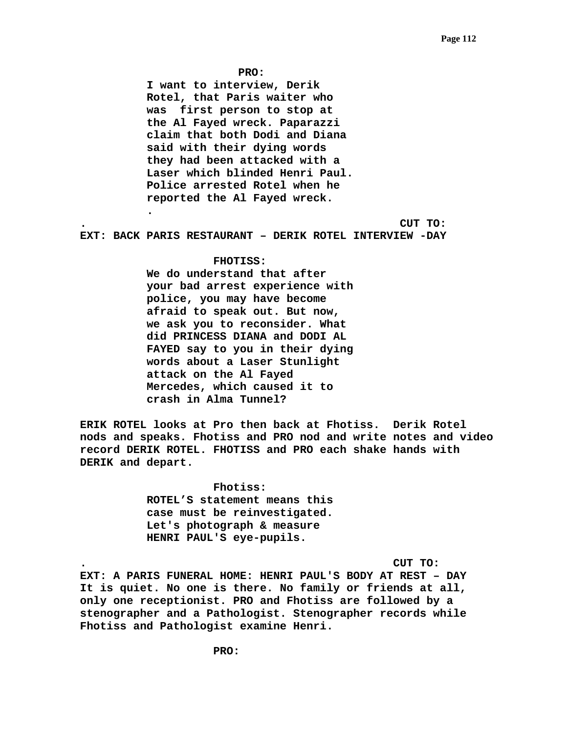**PRO:** 

**I want to interview, Derik Rotel, that Paris waiter who was first person to stop at the Al Fayed wreck. Paparazzi claim that both Dodi and Diana said with their dying words they had been attacked with a Laser which blinded Henri Paul. Police arrested Rotel when he reported the Al Fayed wreck.** 

**. CUT TO:** 

**EXT: BACK PARIS RESTAURANT – DERIK ROTEL INTERVIEW -DAY** 

### **FHOTISS:**

**.** 

**We do understand that after your bad arrest experience with police, you may have become afraid to speak out. But now, we ask you to reconsider. What did PRINCESS DIANA and DODI AL FAYED say to you in their dying words about a Laser Stunlight attack on the Al Fayed Mercedes, which caused it to crash in Alma Tunnel?** 

**ERIK ROTEL looks at Pro then back at Fhotiss. Derik Rotel nods and speaks. Fhotiss and PRO nod and write notes and video record DERIK ROTEL. FHOTISS and PRO each shake hands with DERIK and depart.** 

> **Fhotiss: ROTEL'S statement means this case must be reinvestigated. Let's photograph & measure HENRI PAUL'S eye-pupils.**

**. CUT TO:** 

**EXT: A PARIS FUNERAL HOME: HENRI PAUL'S BODY AT REST – DAY It is quiet. No one is there. No family or friends at all, only one receptionist. PRO and Fhotiss are followed by a stenographer and a Pathologist. Stenographer records while Fhotiss and Pathologist examine Henri.**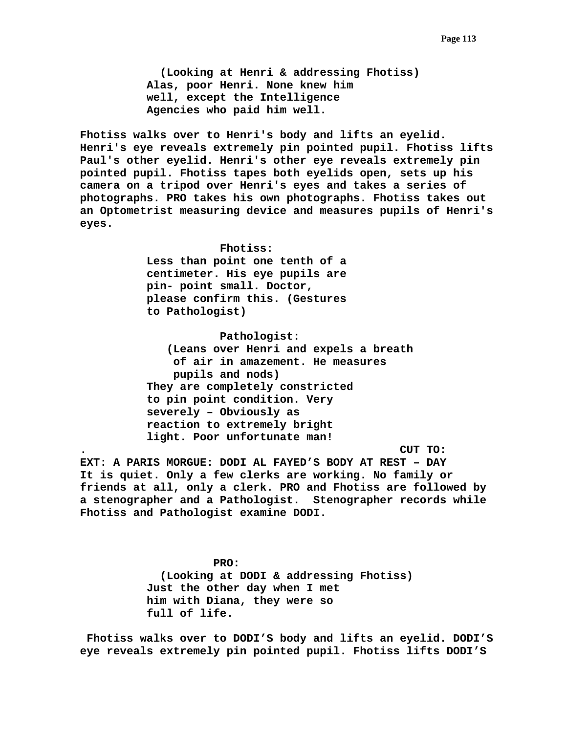**(Looking at Henri & addressing Fhotiss) Alas, poor Henri. None knew him well, except the Intelligence Agencies who paid him well.** 

**Fhotiss walks over to Henri's body and lifts an eyelid. Henri's eye reveals extremely pin pointed pupil. Fhotiss lifts Paul's other eyelid. Henri's other eye reveals extremely pin pointed pupil. Fhotiss tapes both eyelids open, sets up his camera on a tripod over Henri's eyes and takes a series of photographs. PRO takes his own photographs. Fhotiss takes out an Optometrist measuring device and measures pupils of Henri's eyes.** 

> **Fhotiss: Less than point one tenth of a centimeter. His eye pupils are pin- point small. Doctor, please confirm this. (Gestures to Pathologist)**

 **Pathologist: (Leans over Henri and expels a breath of air in amazement. He measures pupils and nods) They are completely constricted to pin point condition. Very severely – Obviously as reaction to extremely bright light. Poor unfortunate man!** 

**. CUT TO: EXT: A PARIS MORGUE: DODI AL FAYED'S BODY AT REST – DAY It is quiet. Only a few clerks are working. No family or friends at all, only a clerk. PRO and Fhotiss are followed by a stenographer and a Pathologist. Stenographer records while Fhotiss and Pathologist examine DODI.** 

> **PRO: (Looking at DODI & addressing Fhotiss) Just the other day when I met him with Diana, they were so full of life.**

 **Fhotiss walks over to DODI'S body and lifts an eyelid. DODI'S eye reveals extremely pin pointed pupil. Fhotiss lifts DODI'S**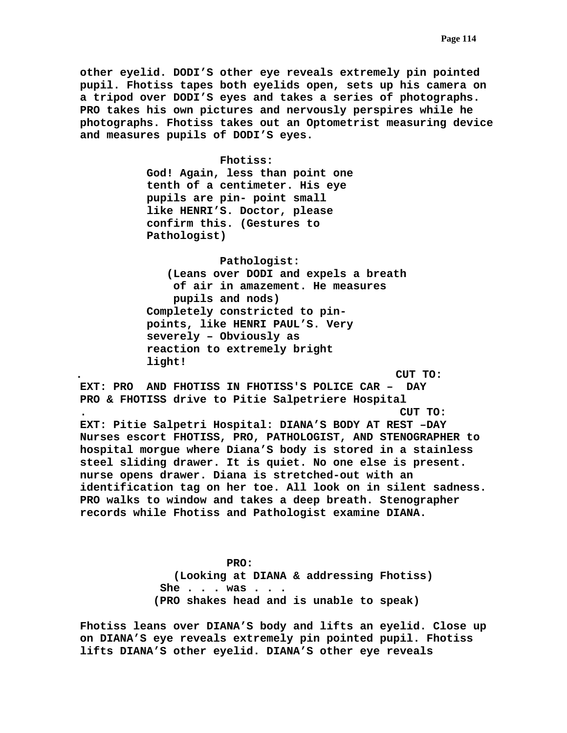**other eyelid. DODI'S other eye reveals extremely pin pointed pupil. Fhotiss tapes both eyelids open, sets up his camera on a tripod over DODI'S eyes and takes a series of photographs. PRO takes his own pictures and nervously perspires while he photographs. Fhotiss takes out an Optometrist measuring device and measures pupils of DODI'S eyes.** 

> **Fhotiss: God! Again, less than point one tenth of a centimeter. His eye pupils are pin- point small like HENRI'S. Doctor, please confirm this. (Gestures to Pathologist)**

 **Pathologist: (Leans over DODI and expels a breath of air in amazement. He measures pupils and nods) Completely constricted to pinpoints, like HENRI PAUL'S. Very severely – Obviously as reaction to extremely bright light!** 

**. CUT TO: EXT: PRO AND FHOTISS IN FHOTISS'S POLICE CAR – DAY PRO & FHOTISS drive to Pitie Salpetriere Hospital . CUT TO: EXT: Pitie Salpetri Hospital: DIANA'S BODY AT REST –DAY Nurses escort FHOTISS, PRO, PATHOLOGIST, AND STENOGRAPHER to hospital morgue where Diana'S body is stored in a stainless steel sliding drawer. It is quiet. No one else is present. nurse opens drawer. Diana is stretched-out with an identification tag on her toe. All look on in silent sadness. PRO walks to window and takes a deep breath. Stenographer records while Fhotiss and Pathologist examine DIANA.** 

> **PRO: (Looking at DIANA & addressing Fhotiss) She . . . was . . . (PRO shakes head and is unable to speak)**

**Fhotiss leans over DIANA'S body and lifts an eyelid. Close up on DIANA'S eye reveals extremely pin pointed pupil. Fhotiss lifts DIANA'S other eyelid. DIANA'S other eye reveals**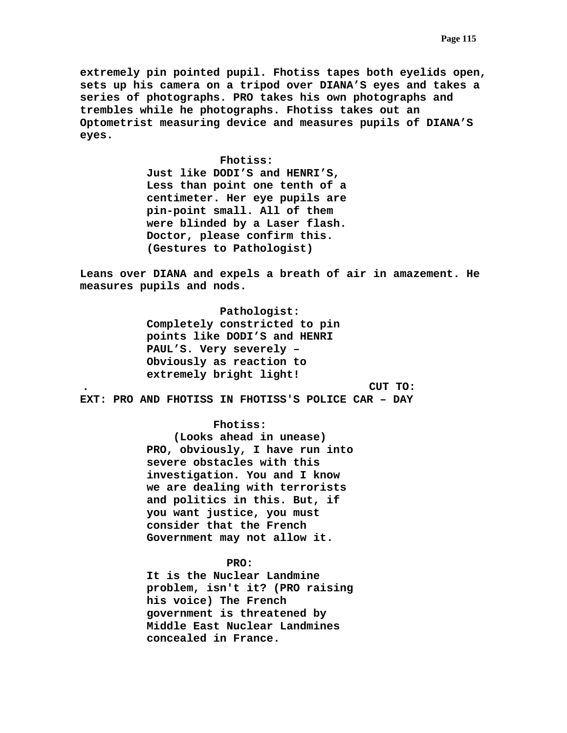**extremely pin pointed pupil. Fhotiss tapes both eyelids open, sets up his camera on a tripod over DIANA'S eyes and takes a series of photographs. PRO takes his own photographs and trembles while he photographs. Fhotiss takes out an Optometrist measuring device and measures pupils of DIANA'S eyes.** 

### **Fhotiss:**

 **Just like DODI'S and HENRI'S, Less than point one tenth of a centimeter. Her eye pupils are pin-point small. All of them were blinded by a Laser flash. Doctor, please confirm this. (Gestures to Pathologist)** 

**Leans over DIANA and expels a breath of air in amazement. He measures pupils and nods.** 

 **Pathologist: Completely constricted to pin points like DODI'S and HENRI PAUL'S. Very severely – Obviously as reaction to extremely bright light! . CUT TO:** 

**EXT: PRO AND FHOTISS IN FHOTISS'S POLICE CAR – DAY** 

### **Fhotiss:**

 **(Looks ahead in unease) PRO, obviously, I have run into severe obstacles with this investigation. You and I know we are dealing with terrorists and politics in this. But, if you want justice, you must consider that the French Government may not allow it.** 

# **PRO:**

 **It is the Nuclear Landmine problem, isn't it? (PRO raising his voice) The French government is threatened by Middle East Nuclear Landmines concealed in France.**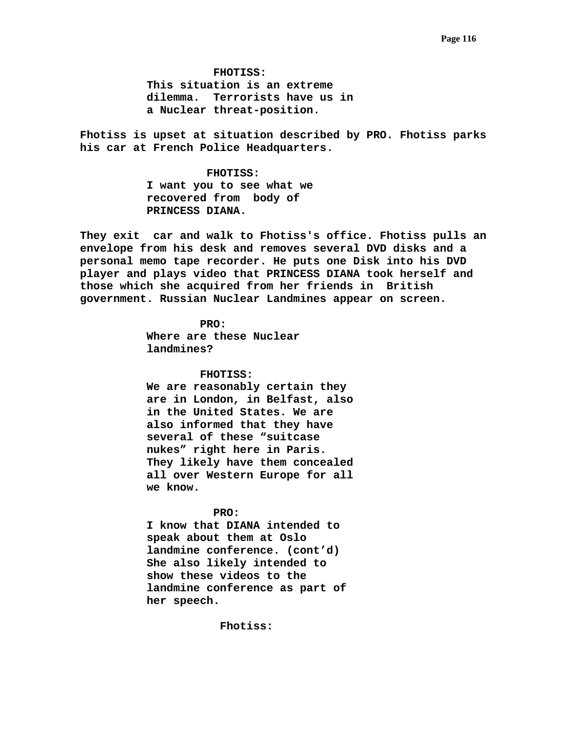**FHOTISS: This situation is an extreme dilemma. Terrorists have us in a Nuclear threat-position.** 

**Fhotiss is upset at situation described by PRO. Fhotiss parks his car at French Police Headquarters.** 

> **FHOTISS: I want you to see what we recovered from body of PRINCESS DIANA.**

**They exit car and walk to Fhotiss's office. Fhotiss pulls an envelope from his desk and removes several DVD disks and a personal memo tape recorder. He puts one Disk into his DVD player and plays video that PRINCESS DIANA took herself and those which she acquired from her friends in British government. Russian Nuclear Landmines appear on screen.** 

> **PRO: Where are these Nuclear landmines?**

### **FHOTISS:**

 **We are reasonably certain they are in London, in Belfast, also in the United States. We are also informed that they have several of these "suitcase nukes" right here in Paris. They likely have them concealed all over Western Europe for all we know.** 

### **PRO:**

 **I know that DIANA intended to speak about them at Oslo landmine conference. (cont'd) She also likely intended to show these videos to the landmine conference as part of her speech.** 

 **Fhotiss:**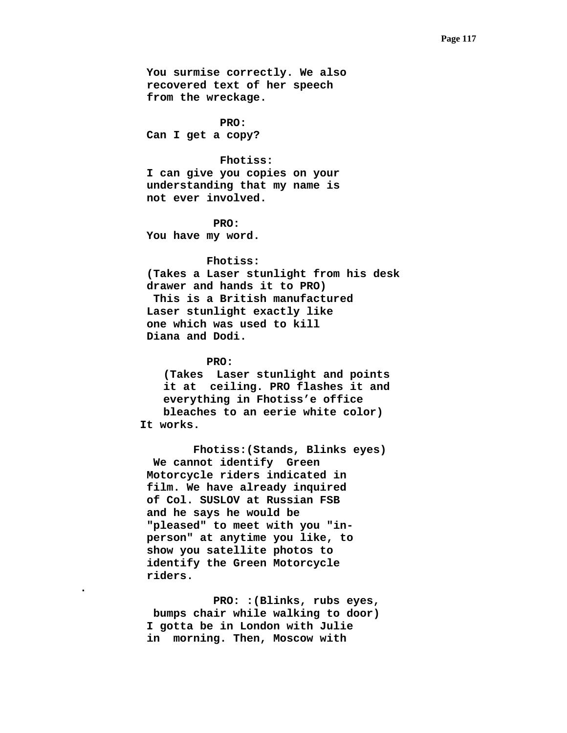**You surmise correctly. We also recovered text of her speech from the wreckage.** 

 **PRO: Can I get a copy?** 

 **Fhotiss:** 

 **I can give you copies on your understanding that my name is not ever involved.** 

 **PRO: You have my word.** 

 **Fhotiss: (Takes a Laser stunlight from his desk drawer and hands it to PRO) This is a British manufactured Laser stunlight exactly like one which was used to kill Diana and Dodi.** 

 **PRO:** 

**.** 

**(Takes Laser stunlight and points it at ceiling. PRO flashes it and everything in Fhotiss'e office bleaches to an eerie white color) It works.** 

 **Fhotiss:(Stands, Blinks eyes) We cannot identify Green Motorcycle riders indicated in film. We have already inquired of Col. SUSLOV at Russian FSB and he says he would be "pleased" to meet with you "inperson" at anytime you like, to show you satellite photos to identify the Green Motorcycle riders.** 

 **PRO: :(Blinks, rubs eyes, bumps chair while walking to door) I gotta be in London with Julie in morning. Then, Moscow with**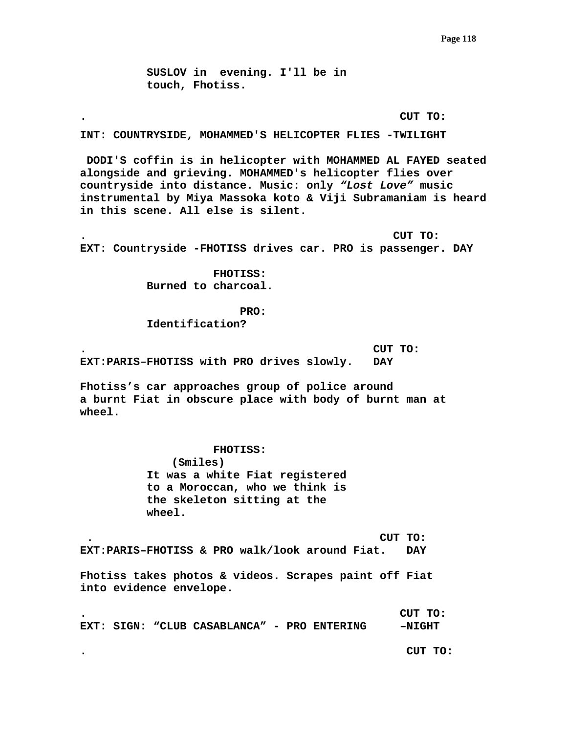**SUSLOV in evening. I'll be in touch, Fhotiss.** 

### **. CUT TO:**

**INT: COUNTRYSIDE, MOHAMMED'S HELICOPTER FLIES -TWILIGHT** 

 **DODI'S coffin is in helicopter with MOHAMMED AL FAYED seated alongside and grieving. MOHAMMED's helicopter flies over countryside into distance. Music: only** *"Lost Love"* **music instrumental by Miya Massoka koto & Viji Subramaniam is heard in this scene. All else is silent.** 

**. CUT TO: EXT: Countryside -FHOTISS drives car. PRO is passenger. DAY** 

> **FHOTISS: Burned to charcoal.**

> > **PRO:**

**Identification?** 

**. CUT TO: EXT:PARIS–FHOTISS with PRO drives slowly. DAY** 

**Fhotiss's car approaches group of police around a burnt Fiat in obscure place with body of burnt man at wheel.** 

> **FHOTISS: (Smiles) It was a white Fiat registered to a Moroccan, who we think is the skeleton sitting at the wheel.**

 **. CUT TO: EXT:PARIS–FHOTISS & PRO walk/look around Fiat. DAY** 

**Fhotiss takes photos & videos. Scrapes paint off Fiat into evidence envelope.** 

**. CUT TO: EXT: SIGN: "CLUB CASABLANCA" - PRO ENTERING –NIGHT** 

**. CUT TO:**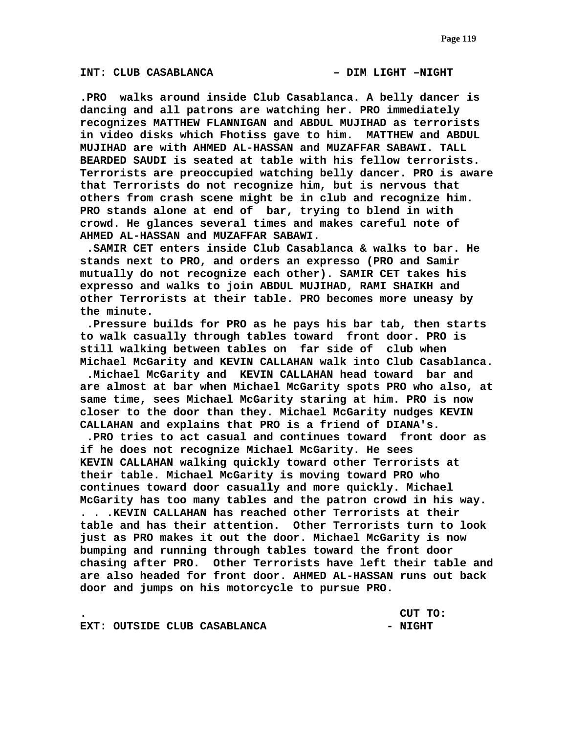**.PRO walks around inside Club Casablanca. A belly dancer is dancing and all patrons are watching her. PRO immediately recognizes MATTHEW FLANNIGAN and ABDUL MUJIHAD as terrorists in video disks which Fhotiss gave to him. MATTHEW and ABDUL MUJIHAD are with AHMED AL-HASSAN and MUZAFFAR SABAWI. TALL BEARDED SAUDI is seated at table with his fellow terrorists. Terrorists are preoccupied watching belly dancer. PRO is aware that Terrorists do not recognize him, but is nervous that others from crash scene might be in club and recognize him. PRO stands alone at end of bar, trying to blend in with crowd. He glances several times and makes careful note of AHMED AL-HASSAN and MUZAFFAR SABAWI.** 

 **.SAMIR CET enters inside Club Casablanca & walks to bar. He stands next to PRO, and orders an expresso (PRO and Samir mutually do not recognize each other). SAMIR CET takes his expresso and walks to join ABDUL MUJIHAD, RAMI SHAIKH and other Terrorists at their table. PRO becomes more uneasy by the minute.** 

 **.Pressure builds for PRO as he pays his bar tab, then starts to walk casually through tables toward front door. PRO is still walking between tables on far side of club when Michael McGarity and KEVIN CALLAHAN walk into Club Casablanca.** 

 **.Michael McGarity and KEVIN CALLAHAN head toward bar and are almost at bar when Michael McGarity spots PRO who also, at same time, sees Michael McGarity staring at him. PRO is now closer to the door than they. Michael McGarity nudges KEVIN CALLAHAN and explains that PRO is a friend of DIANA's.** 

 **.PRO tries to act casual and continues toward front door as if he does not recognize Michael McGarity. He sees KEVIN CALLAHAN walking quickly toward other Terrorists at their table. Michael McGarity is moving toward PRO who continues toward door casually and more quickly. Michael McGarity has too many tables and the patron crowd in his way. . . .KEVIN CALLAHAN has reached other Terrorists at their table and has their attention. Other Terrorists turn to look just as PRO makes it out the door. Michael McGarity is now bumping and running through tables toward the front door chasing after PRO. Other Terrorists have left their table and are also headed for front door. AHMED AL-HASSAN runs out back door and jumps on his motorcycle to pursue PRO.** 

**. CUT TO:** 

**EXT: OUTSIDE CLUB CASABLANCA - NIGHT**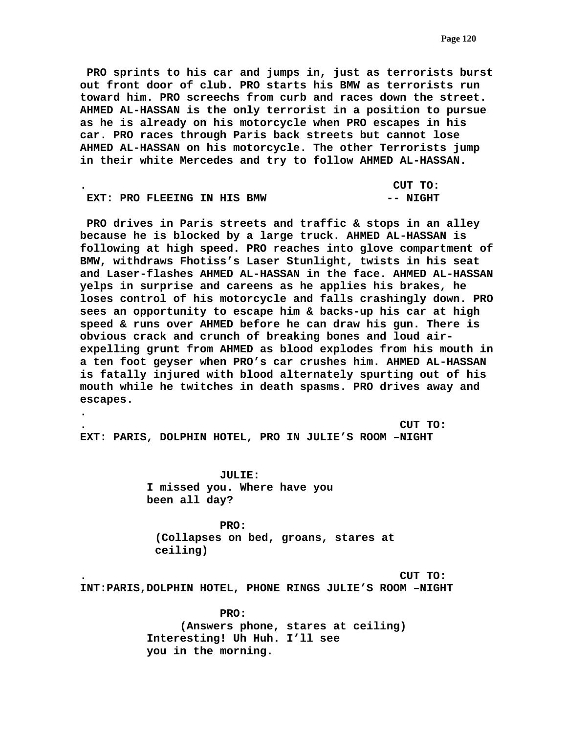**PRO sprints to his car and jumps in, just as terrorists burst out front door of club. PRO starts his BMW as terrorists run toward him. PRO screechs from curb and races down the street. AHMED AL-HASSAN is the only terrorist in a position to pursue as he is already on his motorcycle when PRO escapes in his car. PRO races through Paris back streets but cannot lose AHMED AL-HASSAN on his motorcycle. The other Terrorists jump in their white Mercedes and try to follow AHMED AL-HASSAN.** 

|  |                             |  | CUT TO:  |
|--|-----------------------------|--|----------|
|  | EXT: PRO FLEEING IN HIS BMW |  | -- NIGHT |

 **PRO drives in Paris streets and traffic & stops in an alley because he is blocked by a large truck. AHMED AL-HASSAN is following at high speed. PRO reaches into glove compartment of BMW, withdraws Fhotiss's Laser Stunlight, twists in his seat and Laser-flashes AHMED AL-HASSAN in the face. AHMED AL-HASSAN yelps in surprise and careens as he applies his brakes, he loses control of his motorcycle and falls crashingly down. PRO sees an opportunity to escape him & backs-up his car at high speed & runs over AHMED before he can draw his gun. There is obvious crack and crunch of breaking bones and loud airexpelling grunt from AHMED as blood explodes from his mouth in a ten foot geyser when PRO's car crushes him. AHMED AL-HASSAN is fatally injured with blood alternately spurting out of his mouth while he twitches in death spasms. PRO drives away and escapes.** 

**. CUT TO: EXT: PARIS, DOLPHIN HOTEL, PRO IN JULIE'S ROOM –NIGHT** 

> **JULIE: I missed you. Where have you been all day?**

**.** 

 **PRO: (Collapses on bed, groans, stares at ceiling)** 

**. CUT TO:** 

**INT:PARIS,DOLPHIN HOTEL, PHONE RINGS JULIE'S ROOM –NIGHT** 

 **PRO: (Answers phone, stares at ceiling) Interesting! Uh Huh. I'll see you in the morning.**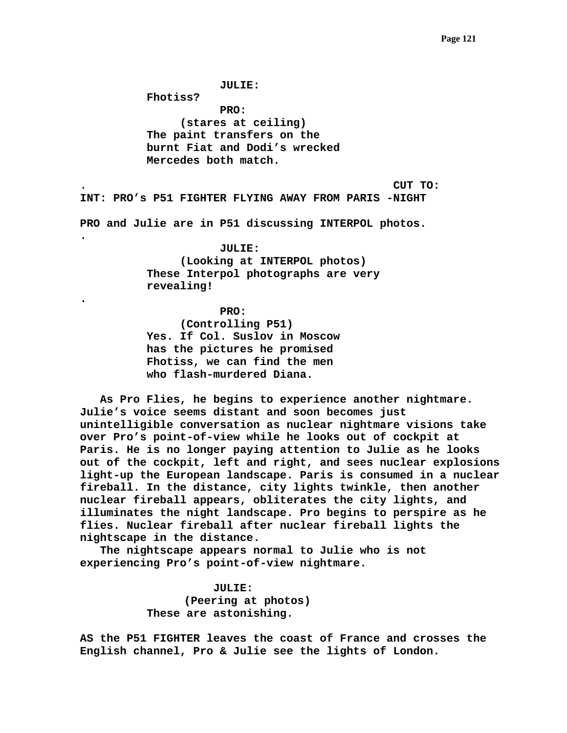**JULIE:** 

**Fhotiss?** 

**.** 

**.** 

 **PRO: (stares at ceiling) The paint transfers on the burnt Fiat and Dodi's wrecked Mercedes both match.** 

**. CUT TO:** 

**INT: PRO's P51 FIGHTER FLYING AWAY FROM PARIS -NIGHT** 

**PRO and Julie are in P51 discussing INTERPOL photos.** 

### **JULIE:**

**(Looking at INTERPOL photos) These Interpol photographs are very revealing!** 

 **PRO: (Controlling P51) Yes. If Col. Suslov in Moscow has the pictures he promised Fhotiss, we can find the men who flash-murdered Diana.** 

 **As Pro Flies, he begins to experience another nightmare. Julie's voice seems distant and soon becomes just unintelligible conversation as nuclear nightmare visions take over Pro's point-of-view while he looks out of cockpit at Paris. He is no longer paying attention to Julie as he looks out of the cockpit, left and right, and sees nuclear explosions light-up the European landscape. Paris is consumed in a nuclear fireball. In the distance, city lights twinkle, then another nuclear fireball appears, obliterates the city lights, and illuminates the night landscape. Pro begins to perspire as he flies. Nuclear fireball after nuclear fireball lights the nightscape in the distance.** 

 **The nightscape appears normal to Julie who is not experiencing Pro's point-of-view nightmare.** 

> **JULIE: (Peering at photos) These are astonishing.**

**AS the P51 FIGHTER leaves the coast of France and crosses the English channel, Pro & Julie see the lights of London.**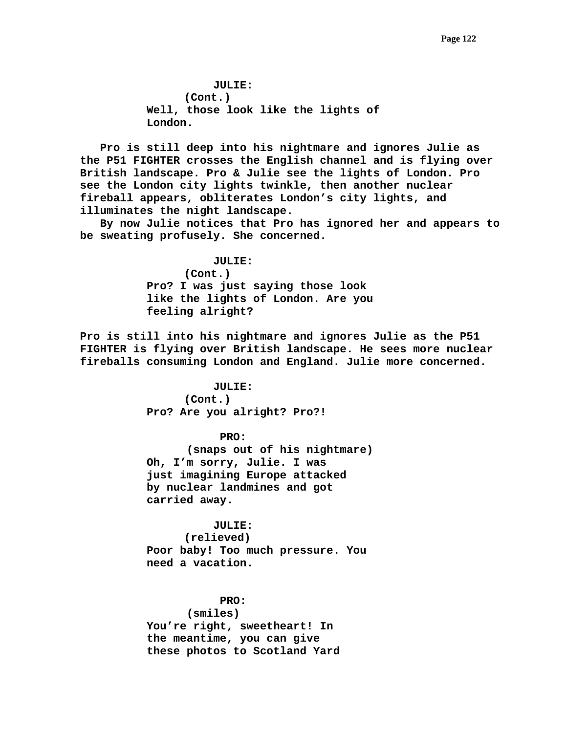**JULIE: (Cont.) Well, those look like the lights of London.** 

 **Pro is still deep into his nightmare and ignores Julie as the P51 FIGHTER crosses the English channel and is flying over British landscape. Pro & Julie see the lights of London. Pro see the London city lights twinkle, then another nuclear fireball appears, obliterates London's city lights, and illuminates the night landscape.** 

 **By now Julie notices that Pro has ignored her and appears to be sweating profusely. She concerned.** 

> **JULIE: (Cont.) Pro? I was just saying those look like the lights of London. Are you feeling alright?**

**Pro is still into his nightmare and ignores Julie as the P51 FIGHTER is flying over British landscape. He sees more nuclear fireballs consuming London and England. Julie more concerned.** 

# **JULIE:**

**(Cont.) Pro? Are you alright? Pro?!** 

## **PRO:**

 **(snaps out of his nightmare) Oh, I'm sorry, Julie. I was just imagining Europe attacked by nuclear landmines and got carried away.** 

# **JULIE:**

**(relieved) Poor baby! Too much pressure. You need a vacation.** 

 **PRO:** 

 **(smiles)** 

**You're right, sweetheart! In the meantime, you can give these photos to Scotland Yard**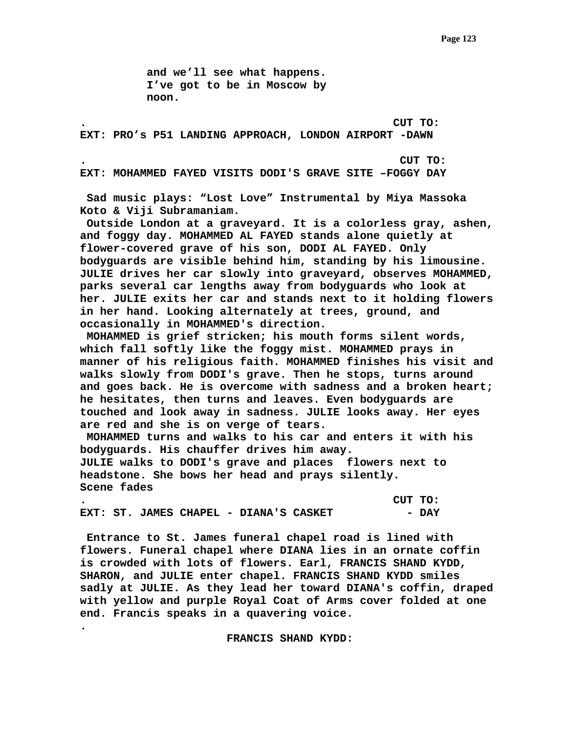**and we'll see what happens. I've got to be in Moscow by noon.** 

**. CUT TO: EXT: PRO's P51 LANDING APPROACH, LONDON AIRPORT -DAWN** 

**. CUT TO:** 

**EXT: MOHAMMED FAYED VISITS DODI'S GRAVE SITE –FOGGY DAY** 

 **Sad music plays: "Lost Love" Instrumental by Miya Massoka Koto & Viji Subramaniam.** 

 **Outside London at a graveyard. It is a colorless gray, ashen, and foggy day. MOHAMMED AL FAYED stands alone quietly at flower-covered grave of his son, DODI AL FAYED. Only bodyguards are visible behind him, standing by his limousine. JULIE drives her car slowly into graveyard, observes MOHAMMED, parks several car lengths away from bodyguards who look at her. JULIE exits her car and stands next to it holding flowers in her hand. Looking alternately at trees, ground, and occasionally in MOHAMMED's direction.** 

 **MOHAMMED is grief stricken; his mouth forms silent words, which fall softly like the foggy mist. MOHAMMED prays in manner of his religious faith. MOHAMMED finishes his visit and walks slowly from DODI's grave. Then he stops, turns around and goes back. He is overcome with sadness and a broken heart; he hesitates, then turns and leaves. Even bodyguards are touched and look away in sadness. JULIE looks away. Her eyes are red and she is on verge of tears.** 

 **MOHAMMED turns and walks to his car and enters it with his bodyguards. His chauffer drives him away. JULIE walks to DODI's grave and places flowers next to headstone. She bows her head and prays silently. Scene fades** 

**. CUT TO: EXT: ST. JAMES CHAPEL - DIANA'S CASKET**  $-$  **DAY** 

**.** 

 **Entrance to St. James funeral chapel road is lined with flowers. Funeral chapel where DIANA lies in an ornate coffin is crowded with lots of flowers. Earl, FRANCIS SHAND KYDD, SHARON, and JULIE enter chapel. FRANCIS SHAND KYDD smiles sadly at JULIE. As they lead her toward DIANA's coffin, draped with yellow and purple Royal Coat of Arms cover folded at one end. Francis speaks in a quavering voice.** 

 **FRANCIS SHAND KYDD:**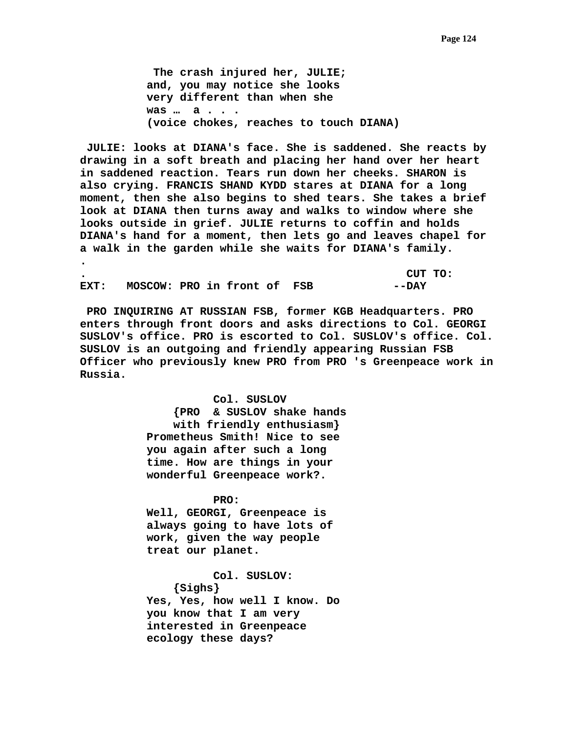**The crash injured her, JULIE; and, you may notice she looks very different than when she was … a . . . (voice chokes, reaches to touch DIANA)** 

 **JULIE: looks at DIANA's face. She is saddened. She reacts by drawing in a soft breath and placing her hand over her heart in saddened reaction. Tears run down her cheeks. SHARON is also crying. FRANCIS SHAND KYDD stares at DIANA for a long moment, then she also begins to shed tears. She takes a brief look at DIANA then turns away and walks to window where she looks outside in grief. JULIE returns to coffin and holds DIANA's hand for a moment, then lets go and leaves chapel for a walk in the garden while she waits for DIANA's family. .** 

**. CUT TO: EXT: MOSCOW: PRO in front of FSB --DAY** 

 **PRO INQUIRING AT RUSSIAN FSB, former KGB Headquarters. PRO enters through front doors and asks directions to Col. GEORGI SUSLOV's office. PRO is escorted to Col. SUSLOV's office. Col. SUSLOV is an outgoing and friendly appearing Russian FSB Officer who previously knew PRO from PRO 's Greenpeace work in Russia.** 

> **Col. SUSLOV {PRO & SUSLOV shake hands with friendly enthusiasm} Prometheus Smith! Nice to see you again after such a long time. How are things in your wonderful Greenpeace work?.**

 **PRO: Well, GEORGI, Greenpeace is always going to have lots of work, given the way people treat our planet.** 

 **Col. SUSLOV: {Sighs} Yes, Yes, how well I know. Do you know that I am very interested in Greenpeace ecology these days?**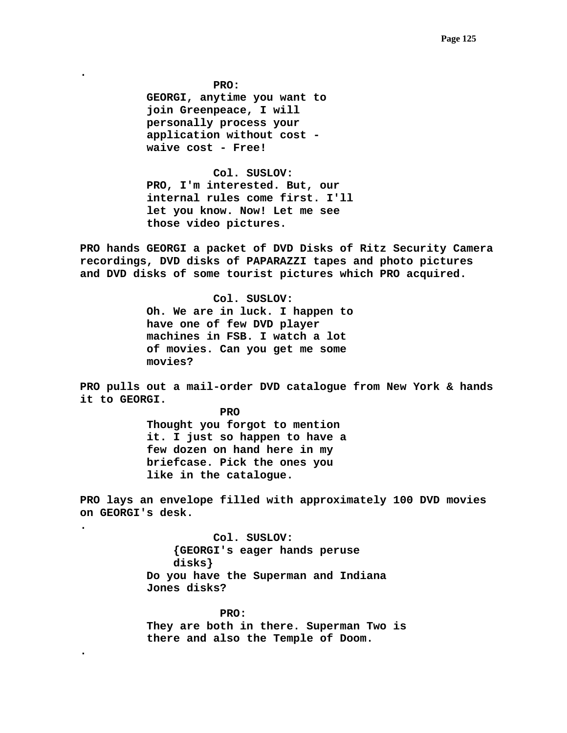**PRO: GEORGI, anytime you want to join Greenpeace, I will personally process your application without cost waive cost - Free!** 

**.** 

**.** 

**.** 

 **Col. SUSLOV: PRO, I'm interested. But, our internal rules come first. I'll let you know. Now! Let me see those video pictures.** 

**PRO hands GEORGI a packet of DVD Disks of Ritz Security Camera recordings, DVD disks of PAPARAZZI tapes and photo pictures and DVD disks of some tourist pictures which PRO acquired.** 

> **Col. SUSLOV: Oh. We are in luck. I happen to have one of few DVD player machines in FSB. I watch a lot of movies. Can you get me some movies?**

**PRO pulls out a mail-order DVD catalogue from New York & hands it to GEORGI.** 

> **PRO Thought you forgot to mention it. I just so happen to have a few dozen on hand here in my briefcase. Pick the ones you like in the catalogue.**

**PRO lays an envelope filled with approximately 100 DVD movies on GEORGI's desk.** 

> **Col. SUSLOV: {GEORGI's eager hands peruse disks} Do you have the Superman and Indiana Jones disks?**

 **PRO: They are both in there. Superman Two is there and also the Temple of Doom.**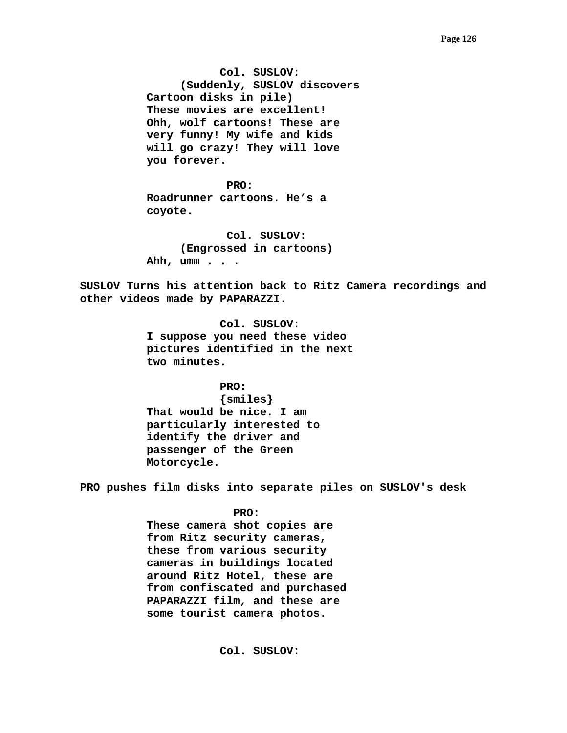**Col. SUSLOV: (Suddenly, SUSLOV discovers Cartoon disks in pile) These movies are excellent! Ohh, wolf cartoons! These are very funny! My wife and kids will go crazy! They will love you forever.** 

**PRO: Roadrunner cartoons. He's a coyote.** 

> **Col. SUSLOV: (Engrossed in cartoons) Ahh, umm . . .**

**SUSLOV Turns his attention back to Ritz Camera recordings and other videos made by PAPARAZZI.** 

> **Col. SUSLOV: I suppose you need these video pictures identified in the next two minutes.**

> > **PRO:**

 **{smiles} That would be nice. I am particularly interested to identify the driver and passenger of the Green Motorcycle.** 

**PRO pushes film disks into separate piles on SUSLOV's desk** 

 **PRO:** 

 **These camera shot copies are from Ritz security cameras, these from various security cameras in buildings located around Ritz Hotel, these are from confiscated and purchased PAPARAZZI film, and these are some tourist camera photos.** 

 **Col. SUSLOV:**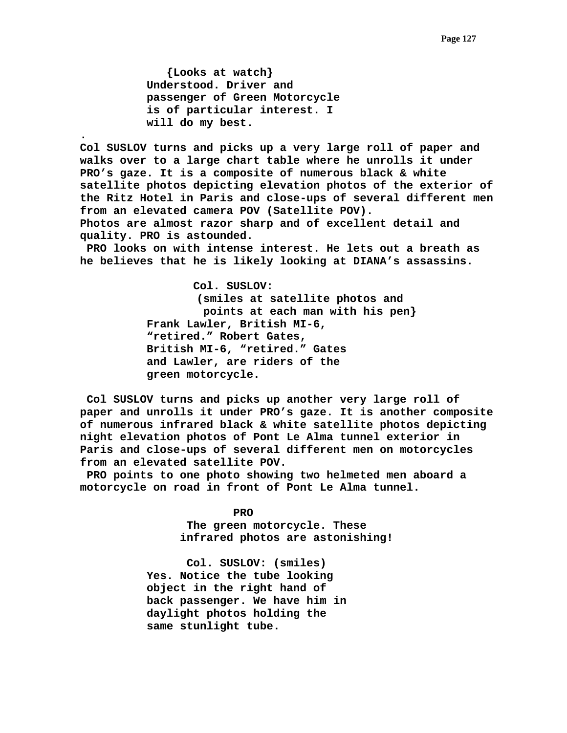**{Looks at watch} Understood. Driver and passenger of Green Motorcycle is of particular interest. I will do my best.** 

**.** 

 **Col SUSLOV turns and picks up a very large roll of paper and walks over to a large chart table where he unrolls it under PRO's gaze. It is a composite of numerous black & white satellite photos depicting elevation photos of the exterior of the Ritz Hotel in Paris and close-ups of several different men from an elevated camera POV (Satellite POV). Photos are almost razor sharp and of excellent detail and quality. PRO is astounded.** 

 **PRO looks on with intense interest. He lets out a breath as he believes that he is likely looking at DIANA's assassins.** 

> **Col. SUSLOV: (smiles at satellite photos and points at each man with his pen} Frank Lawler, British MI-6, "retired." Robert Gates, British MI-6, "retired." Gates and Lawler, are riders of the green motorcycle.**

 **Col SUSLOV turns and picks up another very large roll of paper and unrolls it under PRO's gaze. It is another composite of numerous infrared black & white satellite photos depicting night elevation photos of Pont Le Alma tunnel exterior in Paris and close-ups of several different men on motorcycles from an elevated satellite POV.** 

 **PRO points to one photo showing two helmeted men aboard a motorcycle on road in front of Pont Le Alma tunnel.** 

> **PRO The green motorcycle. These infrared photos are astonishing!**

 **Col. SUSLOV: (smiles) Yes. Notice the tube looking object in the right hand of back passenger. We have him in daylight photos holding the same stunlight tube.**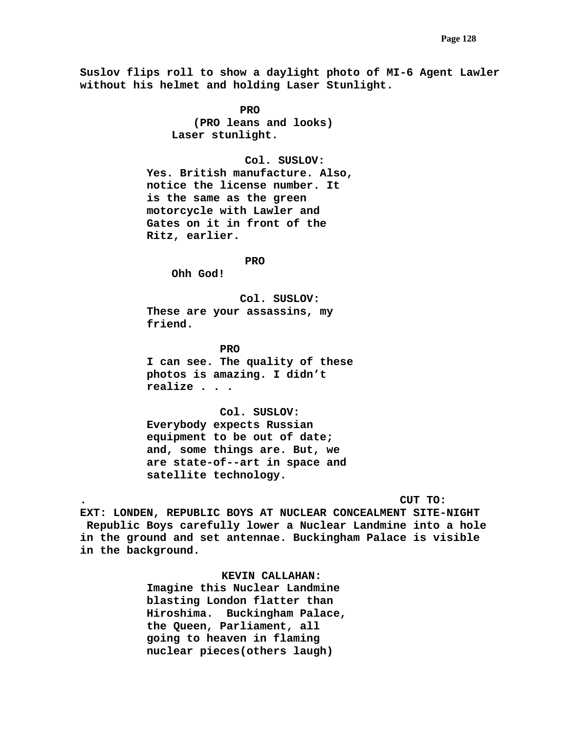**Suslov flips roll to show a daylight photo of MI-6 Agent Lawler without his helmet and holding Laser Stunlight.** 

*PRO*  **(PRO leans and looks) Laser stunlight.** 

 **Col. SUSLOV:** 

**Yes. British manufacture. Also, notice the license number. It is the same as the green motorcycle with Lawler and Gates on it in front of the Ritz, earlier.** 

 **PRO** 

**Ohh God!** 

 **Col. SUSLOV: These are your assassins, my friend.** 

 **PRO I can see. The quality of these photos is amazing. I didn't realize . . .** 

 **Col. SUSLOV: Everybody expects Russian equipment to be out of date; and, some things are. But, we are state-of--art in space and satellite technology.** 

**. CUT TO:** 

**EXT: LONDEN, REPUBLIC BOYS AT NUCLEAR CONCEALMENT SITE-NIGHT Republic Boys carefully lower a Nuclear Landmine into a hole in the ground and set antennae. Buckingham Palace is visible in the background.** 

 **KEVIN CALLAHAN:** 

**Imagine this Nuclear Landmine blasting London flatter than Hiroshima. Buckingham Palace, the Queen, Parliament, all going to heaven in flaming nuclear pieces(others laugh)**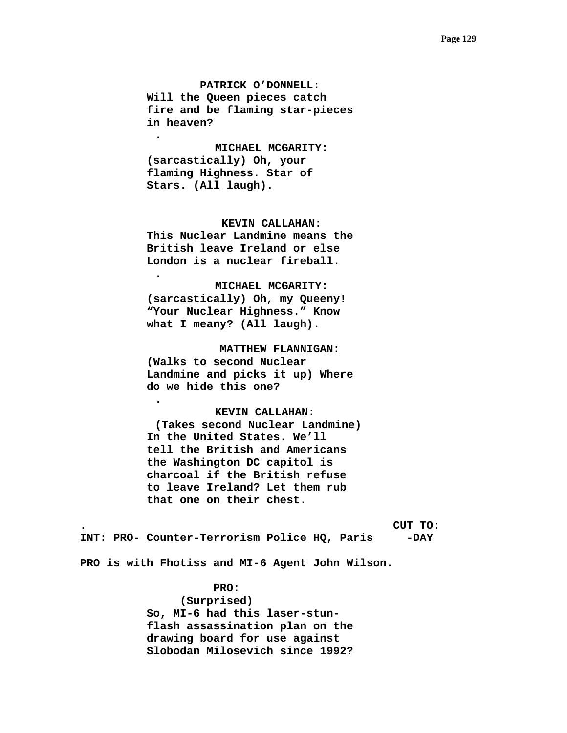**PATRICK O'DONNELL: Will the Queen pieces catch fire and be flaming star-pieces in heaven?** 

 **MICHAEL MCGARITY: (sarcastically) Oh, your flaming Highness. Star of Stars. (All laugh).** 

**.** 

**.** 

**.** 

## **KEVIN CALLAHAN:**

**This Nuclear Landmine means the British leave Ireland or else London is a nuclear fireball.** 

### **MICHAEL MCGARITY:**

**(sarcastically) Oh, my Queeny! "Your Nuclear Highness." Know what I meany? (All laugh).** 

 **MATTHEW FLANNIGAN: (Walks to second Nuclear Landmine and picks it up) Where do we hide this one?** 

### **KEVIN CALLAHAN:**

**(Takes second Nuclear Landmine) In the United States. We'll tell the British and Americans the Washington DC capitol is charcoal if the British refuse to leave Ireland? Let them rub that one on their chest.** 

**. CUT TO:** 

**INT: PRO- Counter-Terrorism Police HQ, Paris -DAY** 

**PRO is with Fhotiss and MI-6 Agent John Wilson.** 

 **PRO:** 

 **(Surprised) So, MI-6 had this laser-stunflash assassination plan on the drawing board for use against Slobodan Milosevich since 1992?**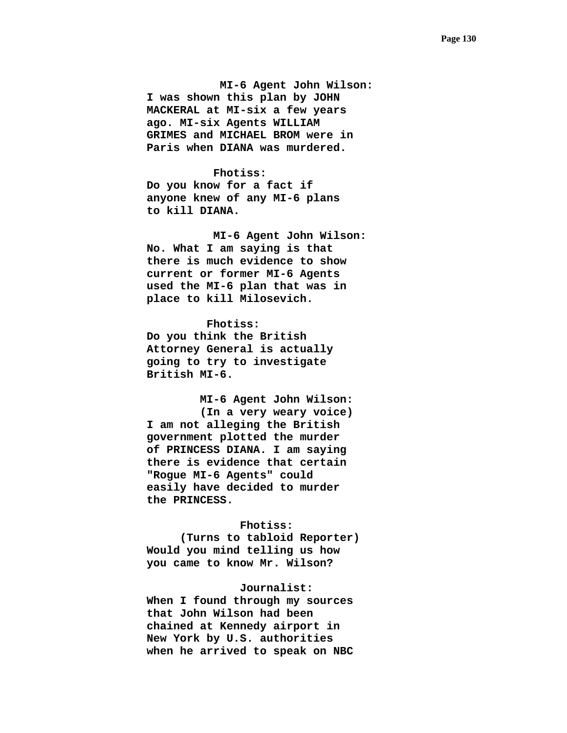**MI-6 Agent John Wilson: I was shown this plan by JOHN MACKERAL at MI-six a few years ago. MI-six Agents WILLIAM GRIMES and MICHAEL BROM were in Paris when DIANA was murdered.** 

 **Fhotiss: Do you know for a fact if anyone knew of any MI-6 plans to kill DIANA.** 

 **MI-6 Agent John Wilson: No. What I am saying is that there is much evidence to show current or former MI-6 Agents used the MI-6 plan that was in place to kill Milosevich.** 

 **Fhotiss: Do you think the British Attorney General is actually going to try to investigate British MI-6.** 

 **MI-6 Agent John Wilson: (In a very weary voice) I am not alleging the British government plotted the murder of PRINCESS DIANA. I am saying there is evidence that certain "Rogue MI-6 Agents" could easily have decided to murder the PRINCESS.** 

### **Fhotiss:**

**(Turns to tabloid Reporter) Would you mind telling us how you came to know Mr. Wilson?** 

### **Journalist:**

**When I found through my sources that John Wilson had been chained at Kennedy airport in New York by U.S. authorities when he arrived to speak on NBC**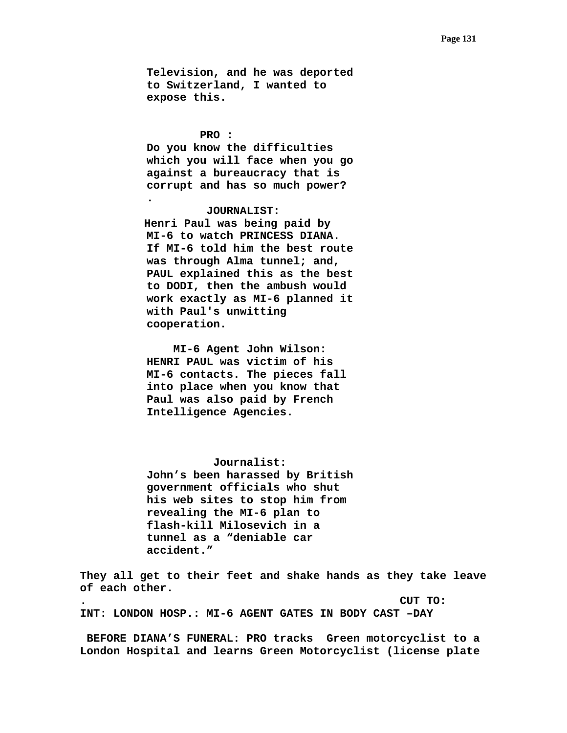**Television, and he was deported to Switzerland, I wanted to expose this.** 

#### **PRO :**

**.** 

**Do you know the difficulties which you will face when you go against a bureaucracy that is corrupt and has so much power?** 

## **JOURNALIST:**

 **Henri Paul was being paid by MI-6 to watch PRINCESS DIANA. If MI-6 told him the best route was through Alma tunnel; and, PAUL explained this as the best to DODI, then the ambush would work exactly as MI-6 planned it with Paul's unwitting cooperation.** 

 **MI-6 Agent John Wilson: HENRI PAUL was victim of his MI-6 contacts. The pieces fall into place when you know that Paul was also paid by French Intelligence Agencies.** 

## **Journalist:**

**John's been harassed by British government officials who shut his web sites to stop him from revealing the MI-6 plan to flash-kill Milosevich in a tunnel as a "deniable car accident."** 

**They all get to their feet and shake hands as they take leave of each other.** 

**. CUT TO: INT: LONDON HOSP.: MI-6 AGENT GATES IN BODY CAST –DAY** 

 **BEFORE DIANA'S FUNERAL: PRO tracks Green motorcyclist to a London Hospital and learns Green Motorcyclist (license plate**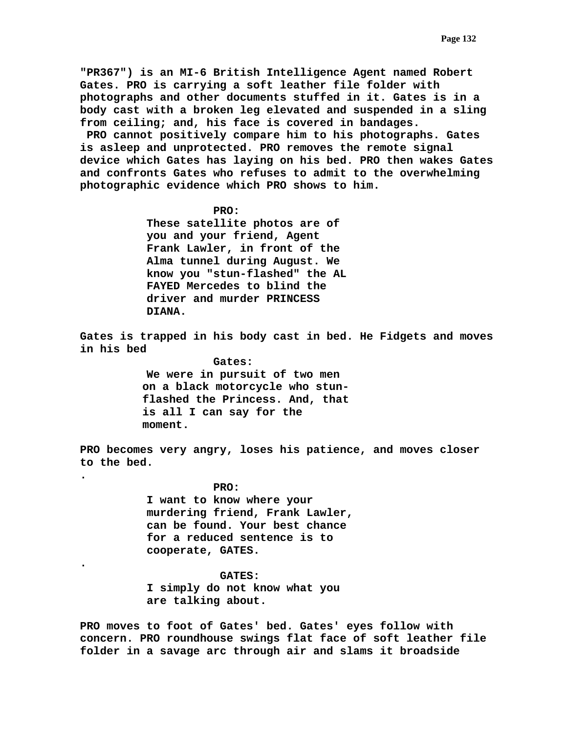**"PR367") is an MI-6 British Intelligence Agent named Robert Gates. PRO is carrying a soft leather file folder with photographs and other documents stuffed in it. Gates is in a body cast with a broken leg elevated and suspended in a sling from ceiling; and, his face is covered in bandages. PRO cannot positively compare him to his photographs. Gates is asleep and unprotected. PRO removes the remote signal device which Gates has laying on his bed. PRO then wakes Gates and confronts Gates who refuses to admit to the overwhelming photographic evidence which PRO shows to him.** 

### **PRO:**

 **These satellite photos are of you and your friend, Agent Frank Lawler, in front of the Alma tunnel during August. We know you "stun-flashed" the AL FAYED Mercedes to blind the driver and murder PRINCESS DIANA.** 

**Gates is trapped in his body cast in bed. He Fidgets and moves in his bed** 

> **Gates: We were in pursuit of two men on a black motorcycle who stunflashed the Princess. And, that is all I can say for the moment.**

**PRO becomes very angry, loses his patience, and moves closer to the bed.** 

> **PRO: I want to know where your murdering friend, Frank Lawler, can be found. Your best chance for a reduced sentence is to cooperate, GATES.**

**.** 

**.** 

 **GATES: I simply do not know what you are talking about.** 

**PRO moves to foot of Gates' bed. Gates' eyes follow with concern. PRO roundhouse swings flat face of soft leather file folder in a savage arc through air and slams it broadside**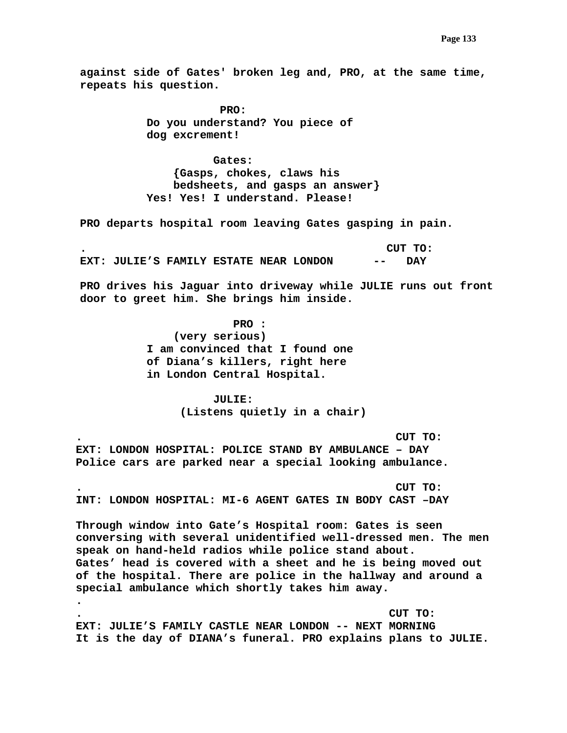**against side of Gates' broken leg and, PRO, at the same time, repeats his question.** 

> **PRO: Do you understand? You piece of dog excrement!**

 **Gates: {Gasps, chokes, claws his bedsheets, and gasps an answer} Yes! Yes! I understand. Please!** 

**PRO departs hospital room leaving Gates gasping in pain.** 

**. CUT TO: EXT: JULIE'S FAMILY ESTATE NEAR LONDON -- DAY** 

**PRO drives his Jaguar into driveway while JULIE runs out front door to greet him. She brings him inside.** 

> **PRO : (very serious) I am convinced that I found one of Diana's killers, right here in London Central Hospital.**

> > **JULIE: (Listens quietly in a chair)**

**. CUT TO: EXT: LONDON HOSPITAL: POLICE STAND BY AMBULANCE – DAY Police cars are parked near a special looking ambulance.** 

**. CUT TO: INT: LONDON HOSPITAL: MI-6 AGENT GATES IN BODY CAST –DAY** 

**.** 

**Through window into Gate's Hospital room: Gates is seen conversing with several unidentified well-dressed men. The men speak on hand-held radios while police stand about. Gates' head is covered with a sheet and he is being moved out of the hospital. There are police in the hallway and around a special ambulance which shortly takes him away.** 

**. CUT TO: EXT: JULIE'S FAMILY CASTLE NEAR LONDON -- NEXT MORNING It is the day of DIANA's funeral. PRO explains plans to JULIE.**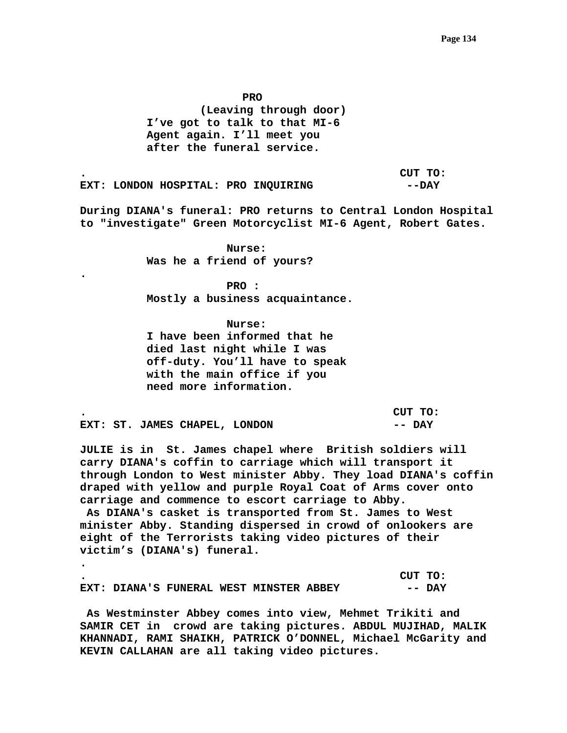*PRO* PRO  **(Leaving through door) I've got to talk to that MI-6 Agent again. I'll meet you after the funeral service.** 

**. CUT TO: EXT: LONDON HOSPITAL: PRO INQUIRING --DAY** 

**During DIANA's funeral: PRO returns to Central London Hospital to "investigate" Green Motorcyclist MI-6 Agent, Robert Gates.** 

> **Nurse: Was he a friend of yours?**

**.** 

**.** 

 **PRO : Mostly a business acquaintance.** 

 **Nurse: I have been informed that he died last night while I was off-duty. You'll have to speak with the main office if you need more information.** 

|  |                               | CUT TO: |  |
|--|-------------------------------|---------|--|
|  | EXT: ST. JAMES CHAPEL, LONDON | -- DAY  |  |

**JULIE is in St. James chapel where British soldiers will carry DIANA's coffin to carriage which will transport it through London to West minister Abby. They load DIANA's coffin draped with yellow and purple Royal Coat of Arms cover onto carriage and commence to escort carriage to Abby.** 

 **As DIANA's casket is transported from St. James to West minister Abby. Standing dispersed in crowd of onlookers are eight of the Terrorists taking video pictures of their victim's (DIANA's) funeral.** 

|                                         |  |  | CUT TO: |        |
|-----------------------------------------|--|--|---------|--------|
| EXT: DIANA'S FUNERAL WEST MINSTER ABBEY |  |  |         | -- DAY |

 **As Westminster Abbey comes into view, Mehmet Trikiti and SAMIR CET in crowd are taking pictures. ABDUL MUJIHAD, MALIK KHANNADI, RAMI SHAIKH, PATRICK O'DONNEL, Michael McGarity and KEVIN CALLAHAN are all taking video pictures.**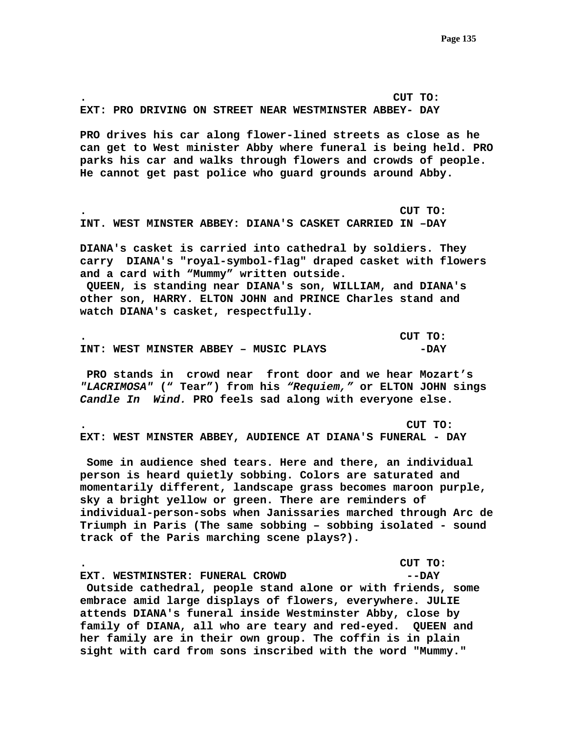**. CUT TO: EXT: PRO DRIVING ON STREET NEAR WESTMINSTER ABBEY- DAY** 

**PRO drives his car along flower-lined streets as close as he can get to West minister Abby where funeral is being held. PRO parks his car and walks through flowers and crowds of people. He cannot get past police who guard grounds around Abby.** 

**. CUT TO: INT. WEST MINSTER ABBEY: DIANA'S CASKET CARRIED IN –DAY** 

**DIANA's casket is carried into cathedral by soldiers. They carry DIANA's "royal-symbol-flag" draped casket with flowers and a card with "Mummy" written outside. QUEEN, is standing near DIANA's son, WILLIAM, and DIANA's other son, HARRY. ELTON JOHN and PRINCE Charles stand and watch DIANA's casket, respectfully.** 

|  |                                       |  |  | CUT TO: |
|--|---------------------------------------|--|--|---------|
|  | INT: WEST MINSTER ABBEY - MUSIC PLAYS |  |  | -DAY    |

 **PRO stands in crowd near front door and we hear Mozart's**  *"LACRIMOSA"* **(" Tear") from his** *"Requiem,"* **or ELTON JOHN sings**  *Candle In Wind.* **PRO feels sad along with everyone else.** 

**. CUT TO: EXT: WEST MINSTER ABBEY, AUDIENCE AT DIANA'S FUNERAL - DAY** 

 **Some in audience shed tears. Here and there, an individual person is heard quietly sobbing. Colors are saturated and momentarily different, landscape grass becomes maroon purple, sky a bright yellow or green. There are reminders of individual-person-sobs when Janissaries marched through Arc de Triumph in Paris (The same sobbing – sobbing isolated - sound track of the Paris marching scene plays?).** 

**. CUT TO: EXT. WESTMINSTER: FUNERAL CROWD --DAY Outside cathedral, people stand alone or with friends, some embrace amid large displays of flowers, everywhere. JULIE attends DIANA's funeral inside Westminster Abby, close by family of DIANA, all who are teary and red-eyed. QUEEN and her family are in their own group. The coffin is in plain sight with card from sons inscribed with the word "Mummy."**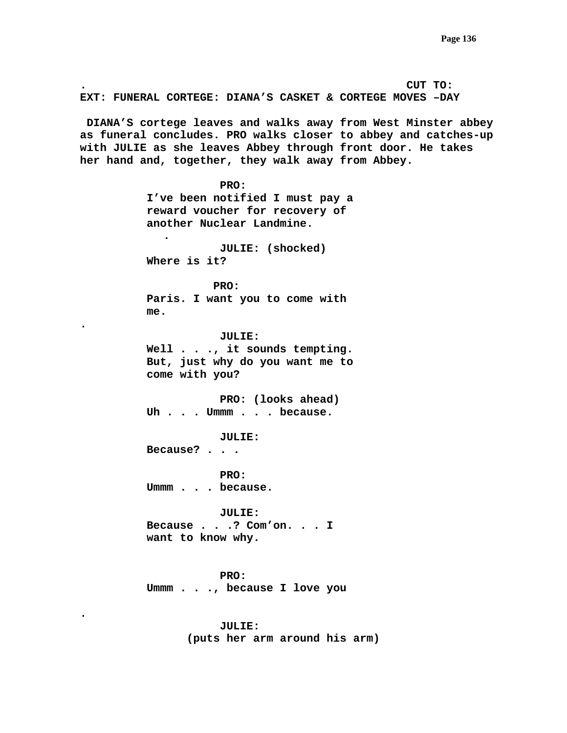**. CUT TO: EXT: FUNERAL CORTEGE: DIANA'S CASKET & CORTEGE MOVES –DAY DIANA'S cortege leaves and walks away from West Minster abbey as funeral concludes. PRO walks closer to abbey and catches-up with JULIE as she leaves Abbey through front door. He takes her hand and, together, they walk away from Abbey. PRO: I've been notified I must pay a reward voucher for recovery of another Nuclear Landmine. . JULIE: (shocked) Where is it? PRO: Paris. I want you to come with me. . JULIE: Well . . ., it sounds tempting. But, just why do you want me to come with you? PRO: (looks ahead) Uh . . . Ummm . . . because. JULIE: Because? . . . PRO: Ummm . . . because. JULIE: Because . . .? Com'on. . . I want to know why. PRO: Ummm . . ., because I love you .** 

> **JULIE: (puts her arm around his arm)**